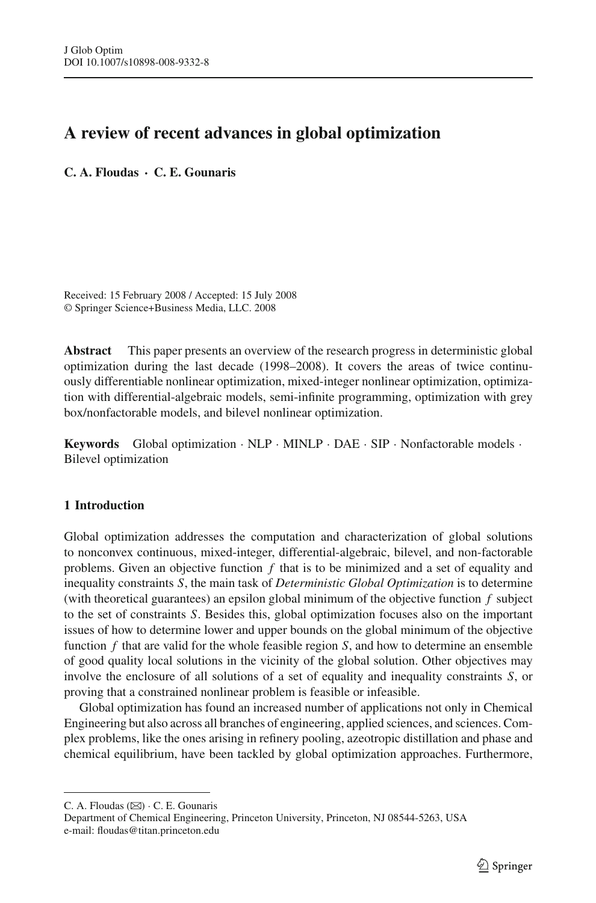# **A review of recent advances in global optimization**

**C. A. Floudas · C. E. Gounaris**

Received: 15 February 2008 / Accepted: 15 July 2008 © Springer Science+Business Media, LLC. 2008

**Abstract** This paper presents an overview of the research progress in deterministic global optimization during the last decade (1998–2008). It covers the areas of twice continuously differentiable nonlinear optimization, mixed-integer nonlinear optimization, optimization with differential-algebraic models, semi-infinite programming, optimization with grey box/nonfactorable models, and bilevel nonlinear optimization.

**Keywords** Global optimization · NLP · MINLP · DAE · SIP · Nonfactorable models · Bilevel optimization

# **1 Introduction**

Global optimization addresses the computation and characterization of global solutions to nonconvex continuous, mixed-integer, differential-algebraic, bilevel, and non-factorable problems. Given an objective function *f* that is to be minimized and a set of equality and inequality constraints *S*, the main task of *Deterministic Global Optimization* is to determine (with theoretical guarantees) an epsilon global minimum of the objective function *f* subject to the set of constraints *S*. Besides this, global optimization focuses also on the important issues of how to determine lower and upper bounds on the global minimum of the objective function *f* that are valid for the whole feasible region *S*, and how to determine an ensemble of good quality local solutions in the vicinity of the global solution. Other objectives may involve the enclosure of all solutions of a set of equality and inequality constraints *S*, or proving that a constrained nonlinear problem is feasible or infeasible.

Global optimization has found an increased number of applications not only in Chemical Engineering but also across all branches of engineering, applied sciences, and sciences. Complex problems, like the ones arising in refinery pooling, azeotropic distillation and phase and chemical equilibrium, have been tackled by global optimization approaches. Furthermore,

C. A. Floudas ( $\boxtimes$ ) · C. E. Gounaris

Department of Chemical Engineering, Princeton University, Princeton, NJ 08544-5263, USA e-mail: floudas@titan.princeton.edu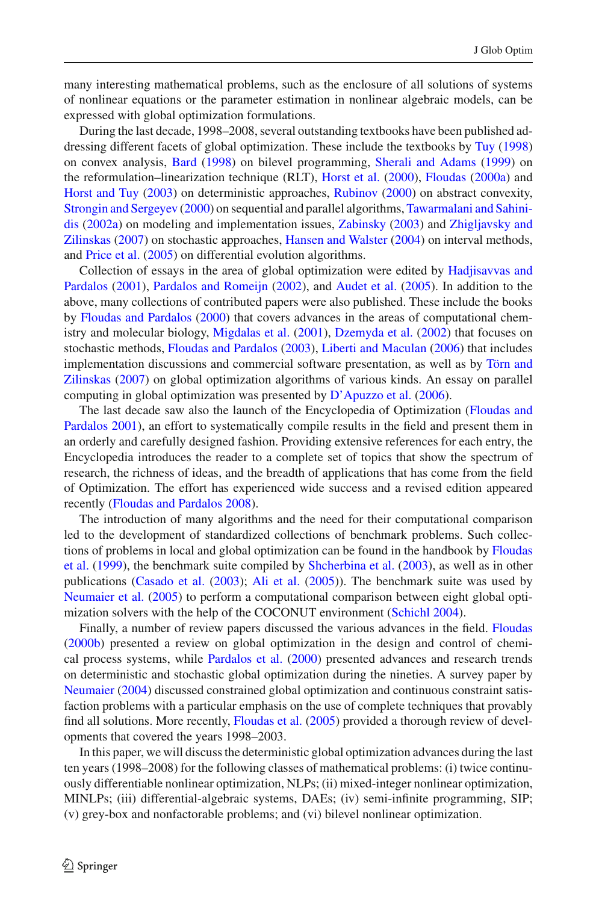many interesting mathematical problems, such as the enclosure of all solutions of systems of nonlinear equations or the parameter estimation in nonlinear algebraic models, can be expressed with global optimization formulations.

During the last decade, 1998–2008, several outstanding textbooks have been published addressing different facets of global optimization. These include the textbooks by [Tuy](#page-33-0) [\(1998\)](#page-33-0) on convex analysis, [Bard](#page-24-0) [\(1998\)](#page-24-0) on bilevel programming, [Sherali and Adams](#page-32-0) [\(1999\)](#page-32-0) on the reformulation–linearization technique (RLT), [Horst et al.](#page-28-0) [\(2000](#page-28-0)), [Floudas](#page-26-0) [\(2000a](#page-26-0)) and [Horst and Tuy](#page-28-1) [\(2003\)](#page-28-1) on deterministic approaches, [Rubinov](#page-31-0) [\(2000\)](#page-31-0) on abstract convexity, [Strongin and Sergeyev](#page-33-1) [\(2000](#page-33-1)[\)](#page-33-2) [on](#page-33-2) [sequential](#page-33-2) [and](#page-33-2) [parallel](#page-33-2) [algorithms,](#page-33-2) Tawarmalani and Sahinidis [\(2002a](#page-33-2)[\)](#page-34-1) [on](#page-34-1) [modeling](#page-34-1) [and](#page-34-1) [implementation](#page-34-1) [issues,](#page-34-1) [Zabinsky](#page-34-0) [\(2003\)](#page-34-0) and Zhigljavsky and Zilinskas [\(2007](#page-34-1)) on stochastic approaches, [Hansen and Walster](#page-27-0) [\(2004](#page-27-0)) on interval methods, and [Price et al.](#page-31-1) [\(2005\)](#page-31-1) on differential evolution algorithms.

Colle[ction](#page-27-1) [of](#page-27-1) [essays](#page-27-1) [in](#page-27-1) [the](#page-27-1) [area](#page-27-1) [of](#page-27-1) [global](#page-27-1) [optimization](#page-27-1) [were](#page-27-1) [edited](#page-27-1) [by](#page-27-1) Hadjisavvas and Pardalos [\(2001\)](#page-27-1), [Pardalos and Romeijn](#page-31-2) [\(2002\)](#page-31-2), and [Audet et al.](#page-24-1) [\(2005\)](#page-24-1). In addition to the above, many collections of contributed papers were also published. These include the books by [Floudas and Pardalos](#page-26-1) [\(2000\)](#page-26-1) that covers advances in the areas of computational chemistry and molecular biology, [Migdalas et al.](#page-30-0) [\(2001\)](#page-30-0), [Dzemyda et al.](#page-25-0) [\(2002\)](#page-25-0) that focuses on stochastic methods, [Floudas and Pardalos](#page-26-2) [\(2003](#page-26-2)), [Liberti and Maculan](#page-29-0) [\(2006](#page-29-0)) that includes impleme[ntation](#page-33-3) [discussions](#page-33-3) [and](#page-33-3) [commercial](#page-33-3) [software](#page-33-3) [presentation,](#page-33-3) [as](#page-33-3) [well](#page-33-3) [as](#page-33-3) [by](#page-33-3) Törn and Zilinskas [\(2007](#page-33-3)) on global optimization algorithms of various kinds. An essay on parallel computing in global optimization was presented by [D'Apuzzo et al.](#page-25-1) [\(2006](#page-25-1)).

The l[ast](#page-26-3) [decade](#page-26-3) [saw](#page-26-3) [also](#page-26-3) [the](#page-26-3) [launch](#page-26-3) [of](#page-26-3) [the](#page-26-3) [Encyclopedia](#page-26-3) [of](#page-26-3) [Optimization](#page-26-3) [\(](#page-26-3)Floudas and Pardalos [2001](#page-26-3)), an effort to systematically compile results in the field and present them in an orderly and carefully designed fashion. Providing extensive references for each entry, the Encyclopedia introduces the reader to a complete set of topics that show the spectrum of research, the richness of ideas, and the breadth of applications that has come from the field of Optimization. The effort has experienced wide success and a revised edition appeared recently [\(Floudas and Pardalos 2008](#page-26-4)).

The introduction of many algorithms and the need for their computational comparison led to the development of standardized collections of benchmark problems. Such collections [of](#page-26-5) [problems](#page-26-5) [in](#page-26-5) [local](#page-26-5) [and](#page-26-5) [global](#page-26-5) [optimization](#page-26-5) [can](#page-26-5) [be](#page-26-5) [found](#page-26-5) [in](#page-26-5) [the](#page-26-5) [handbook](#page-26-5) [by](#page-26-5) Floudas et al. [\(1999](#page-26-5)), the benchmark suite compiled by [Shcherbina et al.](#page-32-1) [\(2003\)](#page-32-1), as well as in other publications [\(Casado et al.](#page-25-2) [\(2003\)](#page-25-2); [Ali et al.](#page-24-2) [\(2005\)](#page-24-2)). The benchmark suite was used by [Neumaier et al.](#page-31-3) [\(2005](#page-31-3)) to perform a computational comparison between eight global optimization solvers with the help of the COCONUT environment [\(Schichl 2004](#page-32-2)).

Finally, a number of review papers discussed the various advances in the field. [Floudas](#page-26-6) [\(2000b](#page-26-6)) presented a review on global optimization in the design and control of chemical process systems, while [Pardalos et al.](#page-31-4) [\(2000](#page-31-4)) presented advances and research trends on deterministic and stochastic global optimization during the nineties. A survey paper by [Neumaier](#page-31-5) [\(2004\)](#page-31-5) discussed constrained global optimization and continuous constraint satisfaction problems with a particular emphasis on the use of complete techniques that provably find all solutions. More recently, [Floudas et al.](#page-26-7) [\(2005\)](#page-26-7) provided a thorough review of developments that covered the years 1998–2003.

In this paper, we will discuss the deterministic global optimization advances during the last ten years (1998–2008) for the following classes of mathematical problems: (i) twice continuously differentiable nonlinear optimization, NLPs; (ii) mixed-integer nonlinear optimization, MINLPs; (iii) differential-algebraic systems, DAEs; (iv) semi-infinite programming, SIP; (v) grey-box and nonfactorable problems; and (vi) bilevel nonlinear optimization.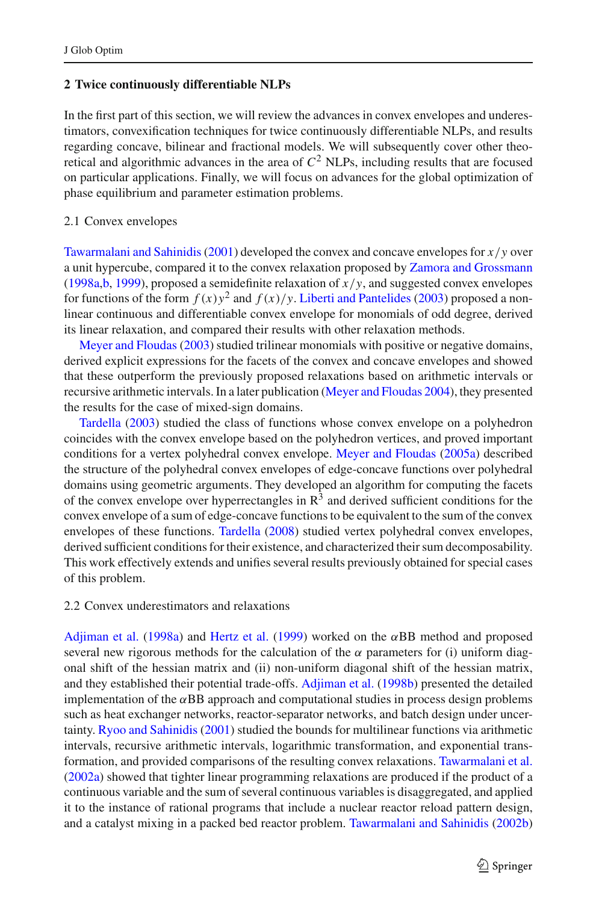# **2 Twice continuously differentiable NLPs**

In the first part of this section, we will review the advances in convex envelopes and underestimators, convexification techniques for twice continuously differentiable NLPs, and results regarding concave, bilinear and fractional models. We will subsequently cover other theoretical and algorithmic advances in the area of  $C<sup>2</sup>$  NLPs, including results that are focused on particular applications. Finally, we will focus on advances for the global optimization of phase equilibrium and parameter estimation problems.

# 2.1 Convex envelopes

Tawarmalani and Sahinidis [\(2001\)](#page-33-4) developed the convex and concave envelopes for  $x/y$  over a unit hypercube, compared it to the convex relaxation proposed by [Zamora and Grossmann](#page-34-2) [\(1998a](#page-34-2)[,b,](#page-34-3) [1999\)](#page-34-4), proposed a semidefinite relaxation of *x*/*y*, and suggested convex envelopes for functions of the form  $f(x)y^2$  and  $f(x)/y$ . [Liberti and Pantelides](#page-29-1) [\(2003](#page-29-1)) proposed a nonlinear continuous and differentiable convex envelope for monomials of odd degree, derived [its](#page-30-1) [linear](#page-30-1) [relaxation,](#page-30-1) [an](#page-30-1)d compared their results with other relaxation methods.

Meyer and Floudas [\(2003\)](#page-30-1) studied trilinear monomials with positive or negative domains, derived explicit expressions for the facets of the convex and concave envelopes and showed that these outperform the previously proposed relaxations based on arithmetic intervals or recursive arithmetic intervals. In a later publication [\(Meyer and Floudas 2004\)](#page-30-2), they presented [the](#page-33-5) [results](#page-33-5) [f](#page-33-5)or the case of mixed-sign domains.

Tardella [\(2003](#page-33-5)) studied the class of functions whose convex envelope on a polyhedron coincides with the convex envelope based on the polyhedron vertices, and proved important conditions for a vertex polyhedral convex envelope. [Meyer and Floudas](#page-30-3) [\(2005a\)](#page-30-3) described the structure of the polyhedral convex envelopes of edge-concave functions over polyhedral domains using geometric arguments. They developed an algorithm for computing the facets of the convex envelope over hyperrectangles in  $\mathbb{R}^3$  and derived sufficient conditions for the convex envelope of a sum of edge-concave functions to be equivalent to the sum of the convex envelopes of these functions. [Tardella](#page-33-6) [\(2008](#page-33-6)) studied vertex polyhedral convex envelopes, derived sufficient conditions for their existence, and characterized their sum decomposability. This work effectively extends and unifies several results previously obtained for special cases of this problem.

# 2.2 Convex underestimators and relaxations

Adjiman et al. [\(1998a](#page-23-0)) and [Hertz et al.](#page-28-2) [\(1999\)](#page-28-2) worked on the  $\alpha$ BB method and proposed several new rigorous methods for the calculation of the  $\alpha$  parameters for (i) uniform diagonal shift of the hessian matrix and (ii) non-uniform diagonal shift of the hessian matrix, and they established their potential trade-offs. [Adjiman et al.](#page-23-1) [\(1998b](#page-23-1)) presented the detailed implementation of the  $\alpha$ BB approach and computational studies in process design problems such as heat exchanger networks, reactor-separator networks, and batch design under uncertainty. [Ryoo and Sahinidis](#page-32-3) [\(2001\)](#page-32-3) studied the bounds for multilinear functions via arithmetic intervals, recursive arithmetic intervals, logarithmic transformation, and exponential transformation, and provided comparisons of the resulting convex relaxations. [Tawarmalani et al.](#page-33-7) [\(2002a](#page-33-7)) showed that tighter linear programming relaxations are produced if the product of a continuous variable and the sum of several continuous variables is disaggregated, and applied it to the instance of rational programs that include a nuclear reactor reload pattern design, and a catalyst mixing in a packed bed reactor problem. [Tawarmalani and Sahinidis](#page-33-8) [\(2002b\)](#page-33-8)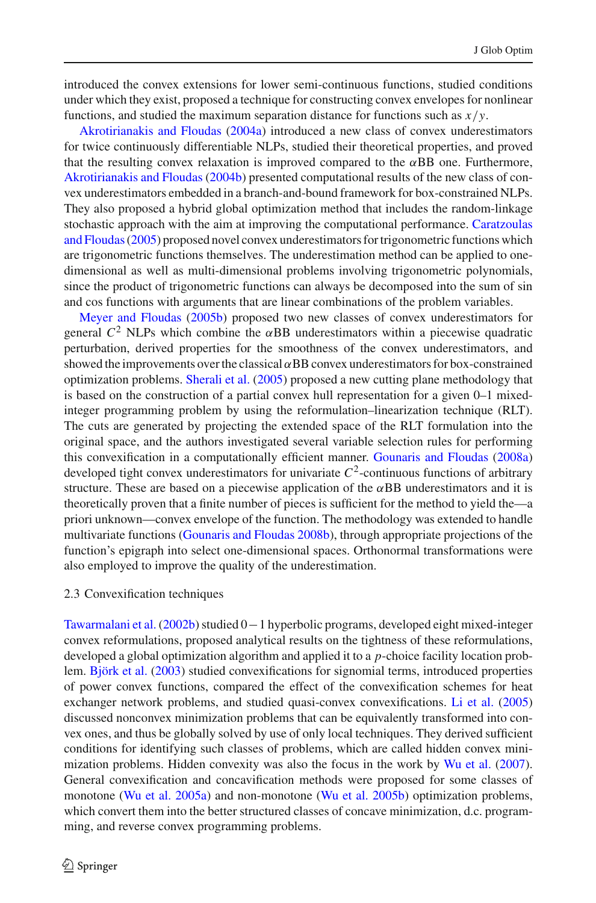introduced the convex extensions for lower semi-continuous functions, studied conditions under which they exist, proposed a technique for constructing convex envelopes for nonlinear [functions,](#page-23-2) [and](#page-23-2) [studied](#page-23-2) [the](#page-23-2) [max](#page-23-2)imum separation distance for functions such as *x*/*y*.

Akrotirianakis and Floudas [\(2004a](#page-23-2)) introduced a new class of convex underestimators for twice continuously differentiable NLPs, studied their theoretical properties, and proved that the resulting convex relaxation is improved compared to the  $\alpha$ BB one. Furthermore, [Akrotirianakis and Floudas](#page-23-3) [\(2004b](#page-23-3)) presented computational results of the new class of convex underestimators embedded in a branch-and-bound framework for box-constrained NLPs. They also proposed a hybrid global optimization method that includes the random-linkage stochastic a[pproach](#page-25-3) [with](#page-25-3) [the](#page-25-3) [aim](#page-25-3) [at](#page-25-3) [improving](#page-25-3) [the](#page-25-3) [computational](#page-25-3) [performance.](#page-25-3) Caratzoulas and Floudas [\(2005\)](#page-25-3) proposed novel convex underestimators for trigonometric functions which are trigonometric functions themselves. The underestimation method can be applied to onedimensional as well as multi-dimensional problems involving trigonometric polynomials, since the product of trigonometric functions can always be decomposed into the sum of sin and cos functions with arguments that are linear combinations of the problem variables.

Meyer and Floudas [\(2005b](#page-30-4)) proposed two new classes of convex underestimators for general  $C^2$  NLPs which combine the  $\alpha$ BB underestimators within a piecewise quadratic perturbation, derived properties for the smoothness of the convex underestimators, and showed the improvements over the classical  $\alpha$ BB convex underestimators for box-constrained optimization problems. [Sherali et al.](#page-32-4) [\(2005\)](#page-32-4) proposed a new cutting plane methodology that is based on the construction of a partial convex hull representation for a given 0–1 mixedinteger programming problem by using the reformulation–linearization technique (RLT). The cuts are generated by projecting the extended space of the RLT formulation into the original space, and the authors investigated several variable selection rules for performing this convexification in a computationally efficient manner. [Gounaris and Floudas](#page-27-2) [\(2008a\)](#page-27-2) developed tight convex underestimators for univariate  $C^2$ -continuous functions of arbitrary structure. These are based on a piecewise application of the  $\alpha$ BB underestimators and it is theoretically proven that a finite number of pieces is sufficient for the method to yield the—a priori unknown—convex envelope of the function. The methodology was extended to handle multivariate functions [\(Gounaris and Floudas 2008b](#page-27-3)), through appropriate projections of the function's epigraph into select one-dimensional spaces. Orthonormal transformations were also employed to improve the quality of the underestimation.

## 2.3 Convexification techniques

Tawarmalani et al. [\(2002b\)](#page-33-9) studied 0−1 hyperbolic programs, developed eight mixed-integer convex reformulations, proposed analytical results on the tightness of these reformulations, developed a global optimization algorithm and applied it to a *p*-choice facility location problem. [Björk et al.](#page-24-3) [\(2003](#page-24-3)) studied convexifications for signomial terms, introduced properties of power convex functions, compared the effect of the convexification schemes for heat exchanger network problems, and studied quasi-convex convexifications. [Li et al.](#page-29-2) [\(2005\)](#page-29-2) discussed nonconvex minimization problems that can be equivalently transformed into convex ones, and thus be globally solved by use of only local techniques. They derived sufficient conditions for identifying such classes of problems, which are called hidden convex minimization problems. Hidden convexity was also the focus in the work by [Wu et al.](#page-34-5) [\(2007\)](#page-34-5). General convexification and concavification methods were proposed for some classes of monotone [\(Wu et al. 2005a\)](#page-34-6) and non-monotone [\(Wu et al. 2005b](#page-34-7)) optimization problems, which convert them into the better structured classes of concave minimization, d.c. programming, and reverse convex programming problems.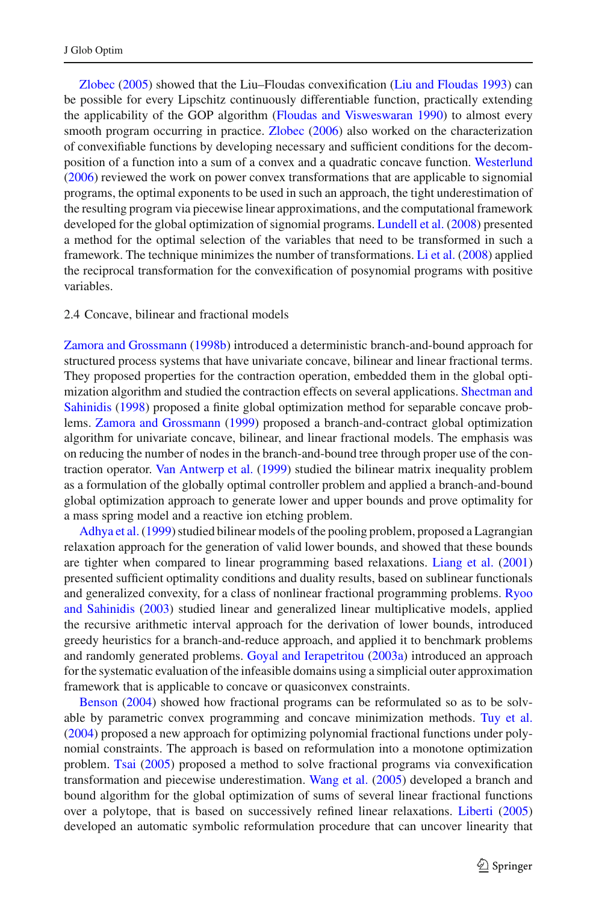[Zlobec](#page-35-0) [\(2005](#page-35-0)) showed that the Liu–Floudas convexification [\(Liu and Floudas 1993](#page-29-3)) can be possible for every Lipschitz continuously differentiable function, practically extending the applicability of the GOP algorithm [\(Floudas and Visweswaran 1990\)](#page-26-8) to almost every smooth program occurring in practice. [Zlobec](#page-35-1) [\(2006\)](#page-35-1) also worked on the characterization of convexifiable functions by developing necessary and sufficient conditions for the decomposition of a function into a sum of a convex and a quadratic concave function. [Westerlund](#page-34-8) [\(2006](#page-34-8)) reviewed the work on power convex transformations that are applicable to signomial programs, the optimal exponents to be used in such an approach, the tight underestimation of the resulting program via piecewise linear approximations, and the computational framework developed for the global optimization of signomial programs. [Lundell et al.](#page-30-5) [\(2008\)](#page-30-5) presented a method for the optimal selection of the variables that need to be transformed in such a framework. The technique minimizes the number of transformations. [Li et al.](#page-29-4) [\(2008](#page-29-4)) applied the reciprocal transformation for the convexification of posynomial programs with positive variables.

## 2.4 Concave, bilinear and fractional models

Zamora and Grossmann [\(1998b](#page-34-3)) introduced a deterministic branch-and-bound approach for structured process systems that have univariate concave, bilinear and linear fractional terms. They proposed properties for the contraction operation, embedded them in the global optimization [algorithm](#page-32-5) [and](#page-32-5) [studied](#page-32-5) [the](#page-32-5) [contraction](#page-32-5) [effects](#page-32-5) [on](#page-32-5) [several](#page-32-5) [applications.](#page-32-5) Shectman and Sahinidis [\(1998](#page-32-5)) proposed a finite global optimization method for separable concave problems. [Zamora and Grossmann](#page-34-4) [\(1999\)](#page-34-4) proposed a branch-and-contract global optimization algorithm for univariate concave, bilinear, and linear fractional models. The emphasis was on reducing the number of nodes in the branch-and-bound tree through proper use of the contraction operator. [Van Antwerp et al.](#page-34-9) [\(1999\)](#page-34-9) studied the bilinear matrix inequality problem as a formulation of the globally optimal controller problem and applied a branch-and-bound global optimization approach to generate lower and upper bounds and prove optimality for a mass spring model and a reactive ion etching problem.

Adhya et al.[\(1999](#page-23-4)) studied bilinear models of the pooling problem, proposed a Lagrangian relaxation approach for the generation of valid lower bounds, and showed that these bounds are tighter when compared to linear programming based relaxations. [Liang et al.](#page-29-5) [\(2001\)](#page-29-5) presented sufficient optimality conditions and duality results, based on sublinear functionals and generaliz[ed](#page-32-6) [convexity,](#page-32-6) [for](#page-32-6) [a](#page-32-6) [class](#page-32-6) [of](#page-32-6) [nonlinear](#page-32-6) [fractional](#page-32-6) [programming](#page-32-6) [problems.](#page-32-6) Ryoo and Sahinidis [\(2003](#page-32-6)) studied linear and generalized linear multiplicative models, applied the recursive arithmetic interval approach for the derivation of lower bounds, introduced greedy heuristics for a branch-and-reduce approach, and applied it to benchmark problems and randomly generated problems. [Goyal and Ierapetritou](#page-27-4) [\(2003a\)](#page-27-4) introduced an approach for the systematic evaluation of the infeasible domains using a simplicial outer approximation framework that is applicable to concave or quasiconvex constraints.

Benson [\(2004](#page-24-4)) showed how fractional programs can be reformulated so as to be solvable by parametric convex programming and concave minimization methods. [Tuy et al.](#page-33-10) [\(2004](#page-33-10)) proposed a new approach for optimizing polynomial fractional functions under polynomial constraints. The approach is based on reformulation into a monotone optimization problem. [Tsai](#page-33-11) [\(2005\)](#page-33-11) proposed a method to solve fractional programs via convexification transformation and piecewise underestimation. [Wang et al.](#page-34-10) [\(2005\)](#page-34-10) developed a branch and bound algorithm for the global optimization of sums of several linear fractional functions over a polytope, that is based on successively refined linear relaxations. [Liberti](#page-29-6) [\(2005\)](#page-29-6) developed an automatic symbolic reformulation procedure that can uncover linearity that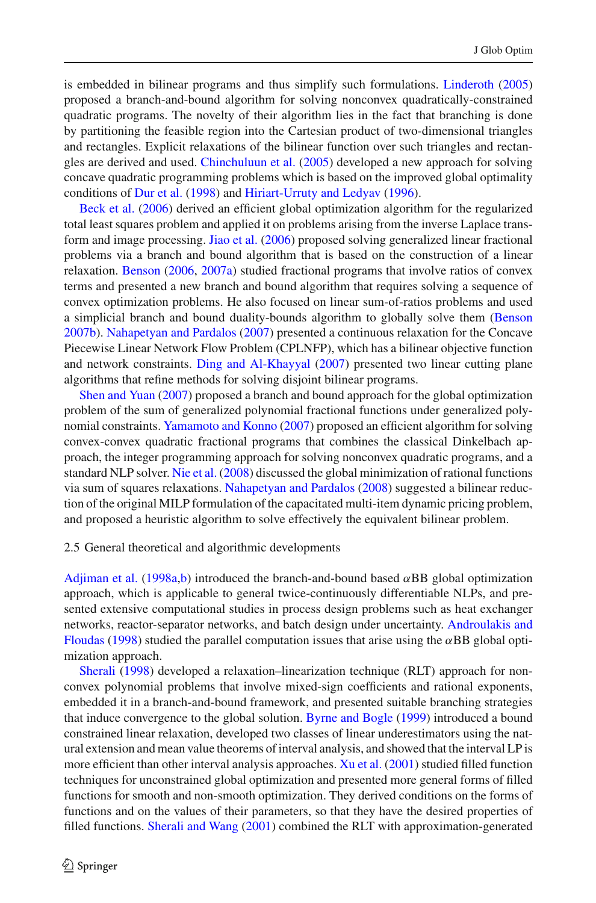is embedded in bilinear programs and thus simplify such formulations. [Linderoth](#page-29-7) [\(2005\)](#page-29-7) proposed a branch-and-bound algorithm for solving nonconvex quadratically-constrained quadratic programs. The novelty of their algorithm lies in the fact that branching is done by partitioning the feasible region into the Cartesian product of two-dimensional triangles and rectangles. Explicit relaxations of the bilinear function over such triangles and rectangles are derived and used. [Chinchuluun et al.](#page-25-4) [\(2005\)](#page-25-4) developed a new approach for solving concave quadratic programming problems which is based on the improved global optimality [conditions](#page-24-5) [of](#page-24-5) [Dur et al.](#page-25-5) [\(1998](#page-25-5)) and [Hiriart-Urruty and Ledyav](#page-28-3) [\(1996](#page-28-3)).

Beck et al. [\(2006](#page-24-5)) derived an efficient global optimization algorithm for the regularized total least squares problem and applied it on problems arising from the inverse Laplace transform and image processing. [Jiao et al.](#page-28-4) [\(2006\)](#page-28-4) proposed solving generalized linear fractional problems via a branch and bound algorithm that is based on the construction of a linear relaxation. [Benson](#page-24-6) [\(2006](#page-24-6), [2007a](#page-24-7)) studied fractional programs that involve ratios of convex terms and presented a new branch and bound algorithm that requires solving a sequence of convex optimization problems. He also focused on linear sum-of-ratios problems and used a simplicial branch and bound duality-bounds algorithm to globally solve them [\(Benson](#page-24-8) [2007b\)](#page-24-8). [Nahapetyan and Pardalos](#page-30-6) [\(2007\)](#page-30-6) presented a continuous relaxation for the Concave Piecewise Linear Network Flow Problem (CPLNFP), which has a bilinear objective function and network constraints. [Ding and Al-Khayyal](#page-25-6) [\(2007\)](#page-25-6) presented two linear cutting plane [algorithms](#page-32-7) [that](#page-32-7) [refi](#page-32-7)ne methods for solving disjoint bilinear programs.

Shen and Yuan [\(2007\)](#page-32-7) proposed a branch and bound approach for the global optimization problem of the sum of generalized polynomial fractional functions under generalized polynomial constraints. [Yamamoto and Konno](#page-34-11) [\(2007\)](#page-34-11) proposed an efficient algorithm for solving convex-convex quadratic fractional programs that combines the classical Dinkelbach approach, the integer programming approach for solving nonconvex quadratic programs, and a standard NLP solver. [Nie et al.](#page-31-6) [\(2008\)](#page-31-6) discussed the global minimization of rational functions via sum of squares relaxations. [Nahapetyan and Pardalos](#page-30-7) [\(2008](#page-30-7)) suggested a bilinear reduction of the original MILP formulation of the capacitated multi-item dynamic pricing problem, and proposed a heuristic algorithm to solve effectively the equivalent bilinear problem.

## 2.5 General theoretical and algorithmic developments

Adjiman et al. [\(1998a](#page-23-0)[,b\)](#page-23-1) introduced the branch-and-bound based  $\alpha$ BB global optimization approach, which is applicable to general twice-continuously differentiable NLPs, and presented extensive computational studies in process design problems such as heat exchanger networ[ks,](#page-24-9) [reactor-separator](#page-24-9) [networks,](#page-24-9) [and](#page-24-9) [batch](#page-24-9) [design](#page-24-9) [under](#page-24-9) [uncertainty.](#page-24-9) Androulakis and Floudas [\(1998\)](#page-24-9) studied the parallel computation issues that arise using the  $\alpha$ BB global optimization approach.

Sherali [\(1998](#page-32-8)) developed a relaxation–linearization technique (RLT) approach for nonconvex polynomial problems that involve mixed-sign coefficients and rational exponents, embedded it in a branch-and-bound framework, and presented suitable branching strategies that induce convergence to the global solution. [Byrne and Bogle](#page-25-7) [\(1999](#page-25-7)) introduced a bound constrained linear relaxation, developed two classes of linear underestimators using the natural extension and mean value theorems of interval analysis, and showed that the interval LP is more efficient than other interval analysis approaches. [Xu et al.](#page-34-12) [\(2001\)](#page-34-12) studied filled function techniques for unconstrained global optimization and presented more general forms of filled functions for smooth and non-smooth optimization. They derived conditions on the forms of functions and on the values of their parameters, so that they have the desired properties of filled functions. [Sherali and Wang](#page-32-9) [\(2001](#page-32-9)) combined the RLT with approximation-generated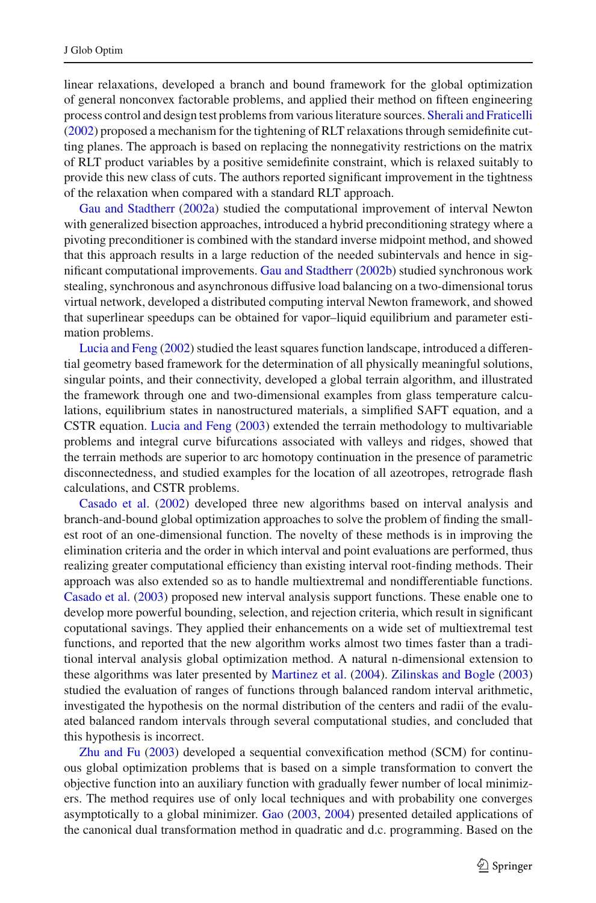linear relaxations, developed a branch and bound framework for the global optimization of general nonconvex factorable problems, and applied their method on fifteen engineering process control and design test problems from various literature sources. [Sherali and Fraticelli](#page-32-10) [\(2002](#page-32-10)) proposed a mechanism for the tightening of RLT relaxations through semidefinite cutting planes. The approach is based on replacing the nonnegativity restrictions on the matrix of RLT product variables by a positive semidefinite constraint, which is relaxed suitably to provide this new class of cuts. The authors reported significant improvement in the tightness [of](#page-27-5) [the](#page-27-5) [relaxation](#page-27-5) [when](#page-27-5) compared with a standard RLT approach.

Gau and Stadtherr [\(2002a](#page-27-5)) studied the computational improvement of interval Newton with generalized bisection approaches, introduced a hybrid preconditioning strategy where a pivoting preconditioner is combined with the standard inverse midpoint method, and showed that this approach results in a large reduction of the needed subintervals and hence in significant computational improvements. [Gau and Stadtherr](#page-27-6) [\(2002b](#page-27-6)) studied synchronous work stealing, synchronous and asynchronous diffusive load balancing on a two-dimensional torus virtual network, developed a distributed computing interval Newton framework, and showed that superlinear speedups can be obtained for vapor–liquid equilibrium and parameter estimation problems.

Lucia and Feng [\(2002](#page-30-8)) studied the least squares function landscape, introduced a differential geometry based framework for the determination of all physically meaningful solutions, singular points, and their connectivity, developed a global terrain algorithm, and illustrated the framework through one and two-dimensional examples from glass temperature calculations, equilibrium states in nanostructured materials, a simplified SAFT equation, and a CSTR equation. [Lucia and Feng](#page-30-9) [\(2003\)](#page-30-9) extended the terrain methodology to multivariable problems and integral curve bifurcations associated with valleys and ridges, showed that the terrain methods are superior to arc homotopy continuation in the presence of parametric disconnectedness, and studied examples for the location of all azeotropes, retrograde flash [calculations,](#page-25-8) [and](#page-25-8) CSTR problems.

Casado et al. [\(2002\)](#page-25-8) developed three new algorithms based on interval analysis and branch-and-bound global optimization approaches to solve the problem of finding the smallest root of an one-dimensional function. The novelty of these methods is in improving the elimination criteria and the order in which interval and point evaluations are performed, thus realizing greater computational efficiency than existing interval root-finding methods. Their approach was also extended so as to handle multiextremal and nondifferentiable functions. [Casado et al.](#page-25-2) [\(2003\)](#page-25-2) proposed new interval analysis support functions. These enable one to develop more powerful bounding, selection, and rejection criteria, which result in significant coputational savings. They applied their enhancements on a wide set of multiextremal test functions, and reported that the new algorithm works almost two times faster than a traditional interval analysis global optimization method. A natural n-dimensional extension to these algorithms was later presented by [Martinez et al.](#page-30-10) [\(2004\)](#page-30-10). [Zilinskas and Bogle](#page-35-2) [\(2003\)](#page-35-2) studied the evaluation of ranges of functions through balanced random interval arithmetic, investigated the hypothesis on the normal distribution of the centers and radii of the evaluated balanced random intervals through several computational studies, and concluded that [this](#page-35-3) [hypothesis](#page-35-3) is incorrect.

Zhu and Fu [\(2003\)](#page-35-3) developed a sequential convexification method (SCM) for continuous global optimization problems that is based on a simple transformation to convert the objective function into an auxiliary function with gradually fewer number of local minimizers. The method requires use of only local techniques and with probability one converges asymptotically to a global minimizer. [Gao](#page-27-7) [\(2003](#page-27-7), [2004](#page-27-8)) presented detailed applications of the canonical dual transformation method in quadratic and d.c. programming. Based on the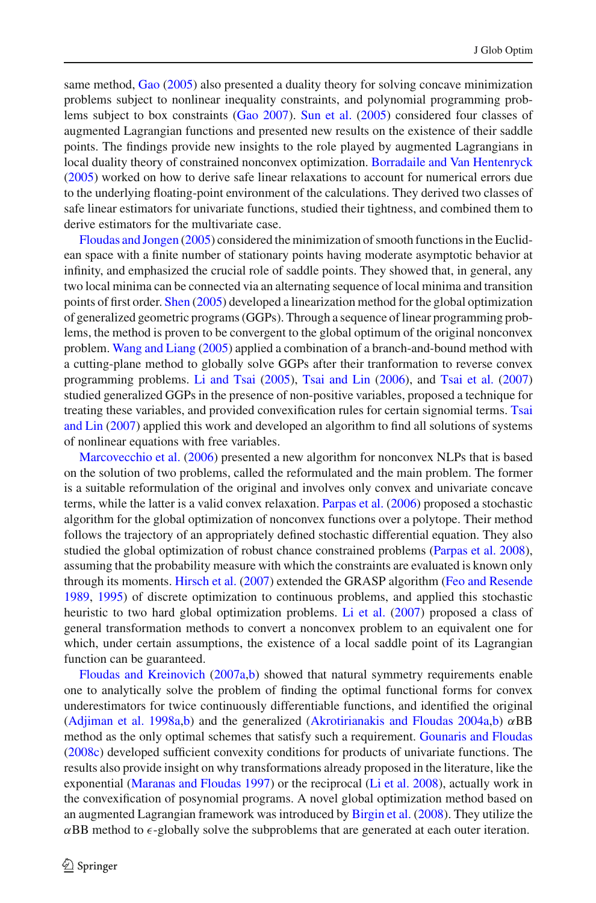same method, [Gao](#page-27-9) [\(2005](#page-27-9)) also presented a duality theory for solving concave minimization problems subject to nonlinear inequality constraints, and polynomial programming problems subject to box constraints [\(Gao 2007](#page-27-10)). [Sun et al.](#page-33-12) [\(2005](#page-33-12)) considered four classes of augmented Lagrangian functions and presented new results on the existence of their saddle points. The findings provide new insights to the role played by augmented Lagrangians in local duality theory of constrained nonconvex optimization. [Borradaile and Van Hentenryck](#page-24-10) [\(2005](#page-24-10)) worked on how to derive safe linear relaxations to account for numerical errors due to the underlying floating-point environment of the calculations. They derived two classes of safe linear estimators for univariate functions, studied their tightness, and combined them to [derive](#page-26-9) [estimators](#page-26-9) [for](#page-26-9) [th](#page-26-9)e multivariate case.

Floudas and Jongen [\(2005\)](#page-26-9) considered the minimization of smooth functions in the Euclidean space with a finite number of stationary points having moderate asymptotic behavior at infinity, and emphasized the crucial role of saddle points. They showed that, in general, any two local minima can be connected via an alternating sequence of local minima and transition points of first order. [Shen](#page-32-11) [\(2005](#page-32-11)) developed a linearization method for the global optimization of generalized geometric programs (GGPs). Through a sequence of linear programming problems, the method is proven to be convergent to the global optimum of the original nonconvex problem. [Wang and Liang](#page-34-13) [\(2005](#page-34-13)) applied a combination of a branch-and-bound method with a cutting-plane method to globally solve GGPs after their tranformation to reverse convex programming problems. [Li and Tsai](#page-29-8) [\(2005](#page-29-8)), [Tsai and Lin](#page-33-13) [\(2006\)](#page-33-13), and [Tsai et al.](#page-33-14) [\(2007\)](#page-33-14) studied generalized GGPs in the presence of non-positive variables, proposed a technique for treatin[g](#page-33-15) [these](#page-33-15) [variables,](#page-33-15) [and](#page-33-15) [provided](#page-33-15) [convexification](#page-33-15) [rules](#page-33-15) [for](#page-33-15) [certain](#page-33-15) [signomial](#page-33-15) [terms.](#page-33-15) Tsai and Lin [\(2007](#page-33-15)) applied this work and developed an algorithm to find all solutions of systems of nonlinear equations with free variables.

Marcovecchio et al. [\(2006\)](#page-30-11) presented a new algorithm for nonconvex NLPs that is based on the solution of two problems, called the reformulated and the main problem. The former is a suitable reformulation of the original and involves only convex and univariate concave terms, while the latter is a valid convex relaxation. [Parpas et al.](#page-31-7) [\(2006](#page-31-7)) proposed a stochastic algorithm for the global optimization of nonconvex functions over a polytope. Their method follows the trajectory of an appropriately defined stochastic differential equation. They also studied the global optimization of robust chance constrained problems [\(Parpas et al. 2008\)](#page-31-8), assuming that the probability measure with which the constraints are evaluated is known only through its moments. [Hirsch et al.](#page-28-5) [\(2007\)](#page-28-5) extended the GRASP algorithm [\(Feo and Resende](#page-26-10) [1989](#page-26-10), [1995\)](#page-26-11) of discrete optimization to continuous problems, and applied this stochastic heuristic to two hard global optimization problems. [Li et al.](#page-29-9) [\(2007](#page-29-9)) proposed a class of general transformation methods to convert a nonconvex problem to an equivalent one for which, under certain assumptions, the existence of a local saddle point of its Lagrangian [function](#page-26-12) [can](#page-26-12) [be](#page-26-12) [guaranteed.](#page-26-12)

Floudas and Kreinovich [\(2007a](#page-26-12)[,b](#page-26-13)) showed that natural symmetry requirements enable one to analytically solve the problem of finding the optimal functional forms for convex underestimators for twice continuously differentiable functions, and identified the original [\(Adjiman et al. 1998a](#page-23-0)[,b](#page-23-3)) and the generalized [\(Akrotirianakis and Floudas 2004a](#page-23-2),b)  $\alpha$ BB method as the only optimal schemes that satisfy such a requirement. [Gounaris and Floudas](#page-27-11) [\(2008c](#page-27-11)) developed sufficient convexity conditions for products of univariate functions. The results also provide insight on why transformations already proposed in the literature, like the exponential [\(Maranas and Floudas 1997](#page-30-12)) or the reciprocal [\(Li et al. 2008](#page-29-4)), actually work in the convexification of posynomial programs. A novel global optimization method based on an augmented Lagrangian framework was introduced by [Birgin et al.](#page-24-11) [\(2008](#page-24-11)). They utilize the  $\alpha$ BB method to  $\epsilon$ -globally solve the subproblems that are generated at each outer iteration.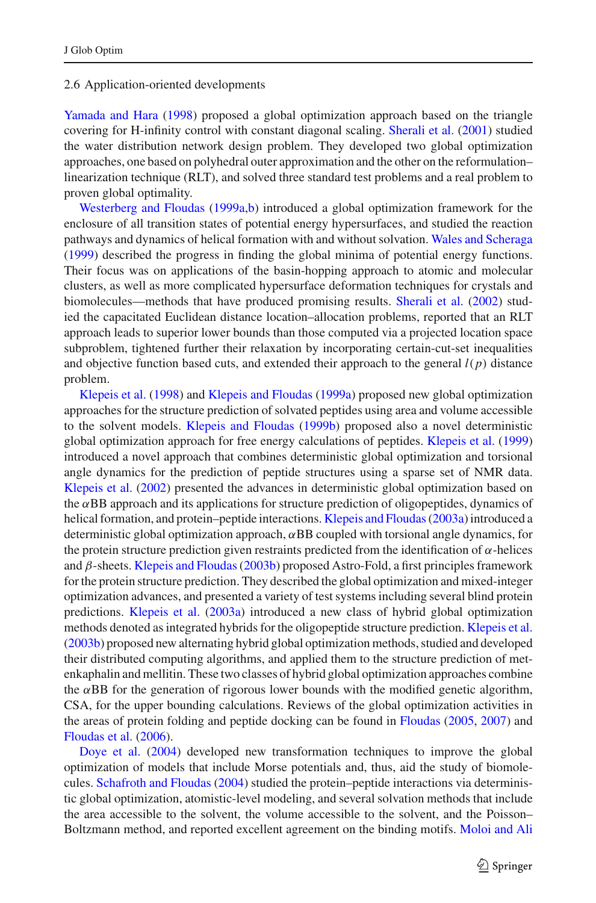#### 2.6 Application-oriented developments

Yamada and Hara [\(1998](#page-34-14)) proposed a global optimization approach based on the triangle covering for H-infinity control with constant diagonal scaling. [Sherali et al.](#page-32-12) [\(2001\)](#page-32-12) studied the water distribution network design problem. They developed two global optimization approaches, one based on polyhedral outer approximation and the other on the reformulation– linearization technique (RLT), and solved three standard test problems and a real problem to [proven](#page-34-15) [global](#page-34-15) [optimality.](#page-34-15)

Westerberg and Floudas [\(1999a](#page-34-15)[,b\)](#page-34-16) introduced a global optimization framework for the enclosure of all transition states of potential energy hypersurfaces, and studied the reaction pathways and dynamics of helical formation with and without solvation. [Wales and Scheraga](#page-34-17) [\(1999](#page-34-17)) described the progress in finding the global minima of potential energy functions. Their focus was on applications of the basin-hopping approach to atomic and molecular clusters, as well as more complicated hypersurface deformation techniques for crystals and biomolecules—methods that have produced promising results. [Sherali et al.](#page-32-13) [\(2002\)](#page-32-13) studied the capacitated Euclidean distance location–allocation problems, reported that an RLT approach leads to superior lower bounds than those computed via a projected location space subproblem, tightened further their relaxation by incorporating certain-cut-set inequalities and objective function based cuts, and extended their approach to the general  $l(p)$  distance problem.

Klepeis et al. [\(1998](#page-29-10)) and [Klepeis and Floudas](#page-28-6) [\(1999a](#page-28-6)) proposed new global optimization approaches for the structure prediction of solvated peptides using area and volume accessible to the solvent models. [Klepeis and Floudas](#page-28-7) [\(1999b\)](#page-28-7) proposed also a novel deterministic global optimization approach for free energy calculations of peptides. [Klepeis et al.](#page-29-11) [\(1999\)](#page-29-11) introduced a novel approach that combines deterministic global optimization and torsional angle dynamics for the prediction of peptide structures using a sparse set of NMR data. [Klepeis et al.](#page-29-12) [\(2002\)](#page-29-12) presented the advances in deterministic global optimization based on the αBB approach and its applications for structure prediction of oligopeptides, dynamics of helical formation, and protein–peptide interactions. Klepeis and Floudas (2003a) introduced a deterministic global optimization approach,  $\alpha$ BB coupled with torsional angle dynamics, for the protein structure prediction given restraints predicted from the identification of  $\alpha$ -helices and β-sheets. [Klepeis and Floudas\(2003b\)](#page-29-13) proposed Astro-Fold, a first principles framework for the protein structure prediction. They described the global optimization and mixed-integer optimization advances, and presented a variety of test systems including several blind protein predictions. [Klepeis et al.](#page-29-14) [\(2003a\)](#page-29-14) introduced a new class of hybrid global optimization methods denoted as integrated hybrids for the oligopeptide structure prediction. [Klepeis et al.](#page-29-15) [\(2003b](#page-29-15)) proposed new alternating hybrid global optimization methods, studied and developed their distributed computing algorithms, and applied them to the structure prediction of metenkaphalin and mellitin. These two classes of hybrid global optimization approaches combine the αBB for the generation of rigorous lower bounds with the modified genetic algorithm, CSA, for the upper bounding calculations. Reviews of the global optimization activities in the areas of protein folding and peptide docking can be found in [Floudas](#page-26-14) [\(2005,](#page-26-14) [2007\)](#page-26-15) and [Floudas et al.](#page-26-16) [\(2006](#page-26-16)).

Doye et al. [\(2004](#page-25-9)) developed new transformation techniques to improve the global optimization of models that include Morse potentials and, thus, aid the study of biomolecules. [Schafroth and Floudas](#page-32-14) [\(2004](#page-32-14)) studied the protein–peptide interactions via deterministic global optimization, atomistic-level modeling, and several solvation methods that include the area accessible to the solvent, the volume accessible to the solvent, and the Poisson– Boltzmann method, and reported excellent agreement on the binding motifs. [Moloi and Ali](#page-30-13)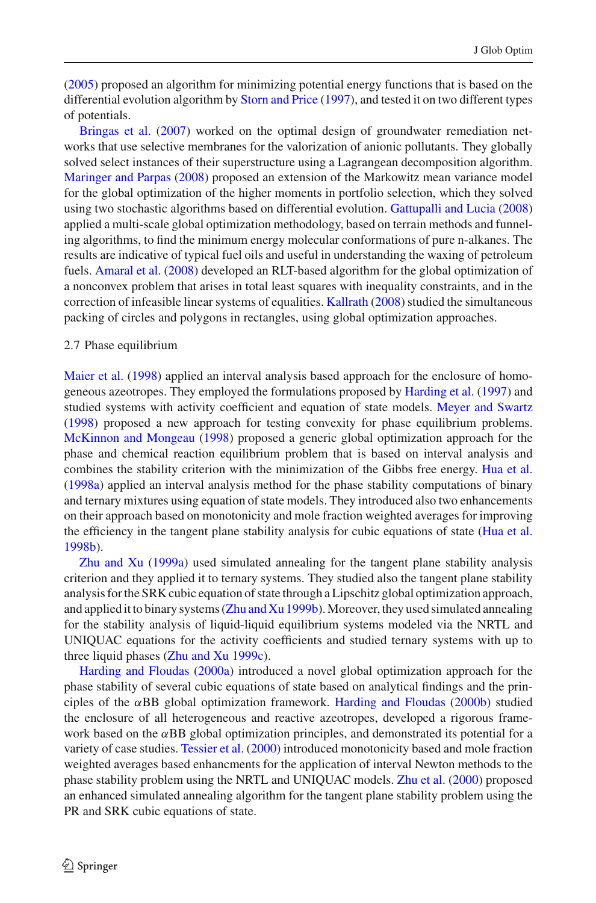[\(2005](#page-30-13)) proposed an algorithm for minimizing potential energy functions that is based on the differential evolution algorithm by [Storn and Price](#page-33-16) [\(1997](#page-33-16)), and tested it on two different types [of](#page-24-12) [potentials.](#page-24-12)

Bringas et al. [\(2007](#page-24-12)) worked on the optimal design of groundwater remediation networks that use selective membranes for the valorization of anionic pollutants. They globally solved select instances of their superstructure using a Lagrangean decomposition algorithm. [Maringer and Parpas](#page-30-14) [\(2008\)](#page-30-14) proposed an extension of the Markowitz mean variance model for the global optimization of the higher moments in portfolio selection, which they solved using two stochastic algorithms based on differential evolution. [Gattupalli and Lucia](#page-27-12) [\(2008\)](#page-27-12) applied a multi-scale global optimization methodology, based on terrain methods and funneling algorithms, to find the minimum energy molecular conformations of pure n-alkanes. The results are indicative of typical fuel oils and useful in understanding the waxing of petroleum fuels. [Amaral et al.](#page-24-13) [\(2008](#page-24-13)) developed an RLT-based algorithm for the global optimization of a nonconvex problem that arises in total least squares with inequality constraints, and in the correction of infeasible linear systems of equalities. [Kallrath](#page-28-9) [\(2008\)](#page-28-9) studied the simultaneous packing of circles and polygons in rectangles, using global optimization approaches.

#### 2.7 Phase equilibrium

Maier et al. [\(1998](#page-30-15)) applied an interval analysis based approach for the enclosure of homogeneous azeotropes. They employed the formulations proposed by [Harding et al.](#page-28-10) [\(1997](#page-28-10)) and studied systems with activity coefficient and equation of state models. [Meyer and Swartz](#page-30-16) [\(1998](#page-30-16)) proposed a new approach for testing convexity for phase equilibrium problems. [McKinnon and Mongeau](#page-30-17) [\(1998](#page-30-17)) proposed a generic global optimization approach for the phase and chemical reaction equilibrium problem that is based on interval analysis and combines the stability criterion with the minimization of the Gibbs free energy. [Hua et al.](#page-28-11) [\(1998a](#page-28-11)) applied an interval analysis method for the phase stability computations of binary and ternary mixtures using equation of state models. They introduced also two enhancements on their approach based on monotonicity and mole fraction weighted averages for improving the efficiency in the tangent plane stability analysis for cubic equations of state [\(Hua et al.](#page-28-12) [1998b](#page-28-12)[\).](#page-35-4)

Zhu and Xu [\(1999a\)](#page-35-4) used simulated annealing for the tangent plane stability analysis criterion and they applied it to ternary systems. They studied also the tangent plane stability analysis for the SRK cubic equation of state through a Lipschitz global optimization approach, and applied it to binary systems [\(Zhu and Xu 1999b\)](#page-35-5). Moreover, they used simulated annealing for the stability analysis of liquid-liquid equilibrium systems modeled via the NRTL and UNIQUAC equations for the activity coefficients and studied ternary systems with up to three liquid phases [\(Zhu and Xu 1999c](#page-35-6)).

Harding and Floudas [\(2000a](#page-28-13)) introduced a novel global optimization approach for the phase stability of several cubic equations of state based on analytical findings and the principles of the  $\alpha$ BB global optimization framework. [Harding and Floudas](#page-28-14) [\(2000b\)](#page-28-14) studied the enclosure of all heterogeneous and reactive azeotropes, developed a rigorous framework based on the  $\alpha$ BB global optimization principles, and demonstrated its potential for a variety of case studies. [Tessier et al.](#page-33-17) [\(2000](#page-33-17)) introduced monotonicity based and mole fraction weighted averages based enhancments for the application of interval Newton methods to the phase stability problem using the NRTL and UNIQUAC models. [Zhu et al.](#page-35-7) [\(2000\)](#page-35-7) proposed an enhanced simulated annealing algorithm for the tangent plane stability problem using the PR and SRK cubic equations of state.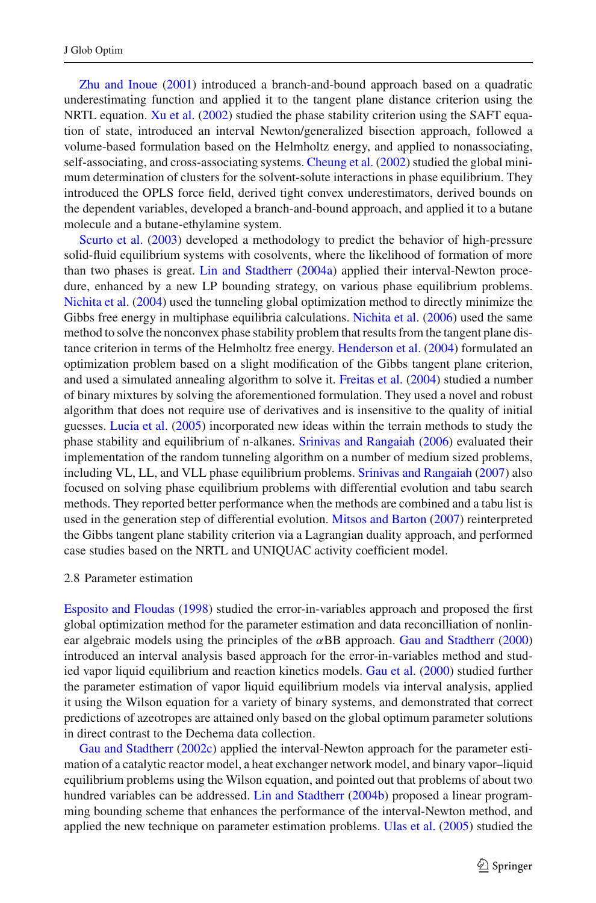[Zhu and Inoue](#page-35-8) [\(2001\)](#page-35-8) introduced a branch-and-bound approach based on a quadratic underestimating function and applied it to the tangent plane distance criterion using the NRTL equation. [Xu et al.](#page-34-18) [\(2002](#page-34-18)) studied the phase stability criterion using the SAFT equation of state, introduced an interval Newton/generalized bisection approach, followed a volume-based formulation based on the Helmholtz energy, and applied to nonassociating, self-associating, and cross-associating systems. [Cheung et al.](#page-25-10) [\(2002](#page-25-10)) studied the global minimum determination of clusters for the solvent-solute interactions in phase equilibrium. They introduced the OPLS force field, derived tight convex underestimators, derived bounds on the dependent variables, developed a branch-and-bound approach, and applied it to a butane [molecule](#page-32-15) [and](#page-32-15) [a](#page-32-15) butane-ethylamine system.

Scurto et al. [\(2003\)](#page-32-15) developed a methodology to predict the behavior of high-pressure solid-fluid equilibrium systems with cosolvents, where the likelihood of formation of more than two phases is great. [Lin and Stadtherr](#page-29-16) [\(2004a](#page-29-16)) applied their interval-Newton procedure, enhanced by a new LP bounding strategy, on various phase equilibrium problems. [Nichita et al.](#page-31-9) [\(2004\)](#page-31-9) used the tunneling global optimization method to directly minimize the Gibbs free energy in multiphase equilibria calculations. [Nichita et al.](#page-31-10) [\(2006\)](#page-31-10) used the same method to solve the nonconvex phase stability problem that results from the tangent plane distance criterion in terms of the Helmholtz free energy. [Henderson et al.](#page-28-15) [\(2004\)](#page-28-15) formulated an optimization problem based on a slight modification of the Gibbs tangent plane criterion, and used a simulated annealing algorithm to solve it. [Freitas et al.](#page-27-13) [\(2004\)](#page-27-13) studied a number of binary mixtures by solving the aforementioned formulation. They used a novel and robust algorithm that does not require use of derivatives and is insensitive to the quality of initial guesses. [Lucia et al.](#page-30-18) [\(2005\)](#page-30-18) incorporated new ideas within the terrain methods to study the phase stability and equilibrium of n-alkanes. [Srinivas and Rangaiah](#page-33-18) [\(2006](#page-33-18)) evaluated their implementation of the random tunneling algorithm on a number of medium sized problems, including VL, LL, and VLL phase equilibrium problems. [Srinivas and Rangaiah](#page-33-19) [\(2007\)](#page-33-19) also focused on solving phase equilibrium problems with differential evolution and tabu search methods. They reported better performance when the methods are combined and a tabu list is used in the generation step of differential evolution. [Mitsos and Barton](#page-30-19) [\(2007](#page-30-19)) reinterpreted the Gibbs tangent plane stability criterion via a Lagrangian duality approach, and performed case studies based on the NRTL and UNIQUAC activity coefficient model.

#### 2.8 Parameter estimation

Esposito and Floudas [\(1998\)](#page-25-11) studied the error-in-variables approach and proposed the first global optimization method for the parameter estimation and data reconcilliation of nonlinear algebraic models using the principles of the  $\alpha$ BB approach. [Gau and Stadtherr](#page-27-14) [\(2000\)](#page-27-14) introduced an interval analysis based approach for the error-in-variables method and studied vapor liquid equilibrium and reaction kinetics models. [Gau et al.](#page-27-15) [\(2000\)](#page-27-15) studied further the parameter estimation of vapor liquid equilibrium models via interval analysis, applied it using the Wilson equation for a variety of binary systems, and demonstrated that correct predictions of azeotropes are attained only based on the global optimum parameter solutions [in](#page-27-16) [direct](#page-27-16) [contrast](#page-27-16) [to](#page-27-16) [th](#page-27-16)e Dechema data collection.

Gau and Stadtherr [\(2002c\)](#page-27-16) applied the interval-Newton approach for the parameter estimation of a catalytic reactor model, a heat exchanger network model, and binary vapor–liquid equilibrium problems using the Wilson equation, and pointed out that problems of about two hundred variables can be addressed. [Lin and Stadtherr](#page-29-17) [\(2004b\)](#page-29-17) proposed a linear programming bounding scheme that enhances the performance of the interval-Newton method, and applied the new technique on parameter estimation problems. [Ulas et al.](#page-34-19) [\(2005](#page-34-19)) studied the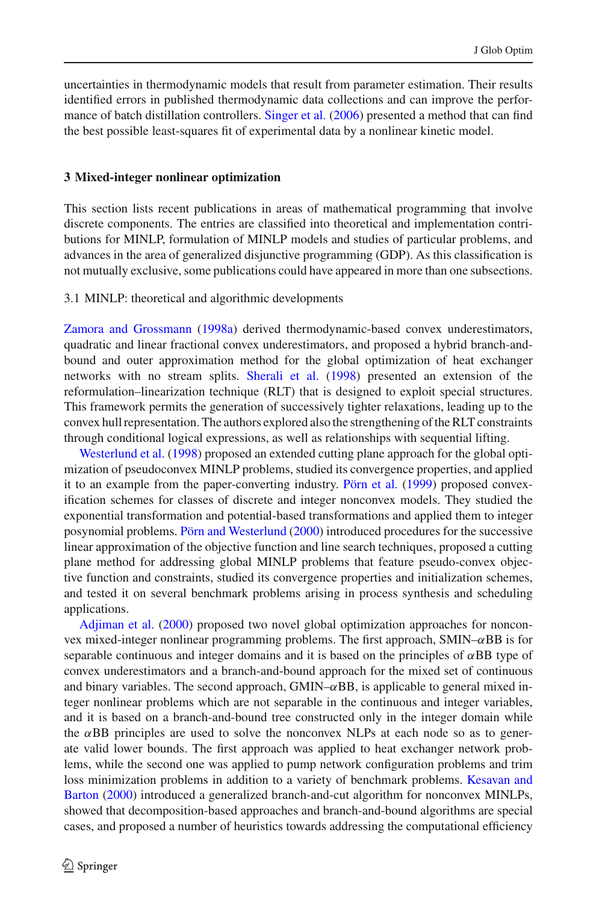uncertainties in thermodynamic models that result from parameter estimation. Their results identified errors in published thermodynamic data collections and can improve the performance of batch distillation controllers. [Singer et al.](#page-33-20) [\(2006](#page-33-20)) presented a method that can find the best possible least-squares fit of experimental data by a nonlinear kinetic model.

#### **3 Mixed-integer nonlinear optimization**

This section lists recent publications in areas of mathematical programming that involve discrete components. The entries are classified into theoretical and implementation contributions for MINLP, formulation of MINLP models and studies of particular problems, and advances in the area of generalized disjunctive programming (GDP). As this classification is not mutually exclusive, some publications could have appeared in more than one subsections.

# 3.1 MINLP: theoretical and algorithmic developments

Zamora and Grossmann [\(1998a\)](#page-34-2) derived thermodynamic-based convex underestimators, quadratic and linear fractional convex underestimators, and proposed a hybrid branch-andbound and outer approximation method for the global optimization of heat exchanger networks with no stream splits. [Sherali et al.](#page-32-16) [\(1998\)](#page-32-16) presented an extension of the reformulation–linearization technique (RLT) that is designed to exploit special structures. This framework permits the generation of successively tighter relaxations, leading up to the convex hull representation. The authors explored also the strengthening of the RLT constraints [through](#page-34-20) [conditional](#page-34-20) logical expressions, as well as relationships with sequential lifting.

Westerlund et al. [\(1998\)](#page-34-20) proposed an extended cutting plane approach for the global optimization of pseudoconvex MINLP problems, studied its convergence properties, and applied it to an example from the paper-converting industry. [Pörn et al.](#page-31-11) [\(1999\)](#page-31-11) proposed convexification schemes for classes of discrete and integer nonconvex models. They studied the exponential transformation and potential-based transformations and applied them to integer posynomial problems. [Pörn and Westerlund](#page-31-12) [\(2000\)](#page-31-12) introduced procedures for the successive linear approximation of the objective function and line search techniques, proposed a cutting plane method for addressing global MINLP problems that feature pseudo-convex objective function and constraints, studied its convergence properties and initialization schemes, and tested it on several benchmark problems arising in process synthesis and scheduling [applications.](#page-23-5)

Adjiman et al. [\(2000](#page-23-5)) proposed two novel global optimization approaches for nonconvex mixed-integer nonlinear programming problems. The first approach, SMIN–αBB is for separable continuous and integer domains and it is based on the principles of αBB type of convex underestimators and a branch-and-bound approach for the mixed set of continuous and binary variables. The second approach, GMIN–αBB, is applicable to general mixed integer nonlinear problems which are not separable in the continuous and integer variables, and it is based on a branch-and-bound tree constructed only in the integer domain while the αBB principles are used to solve the nonconvex NLPs at each node so as to generate valid lower bounds. The first approach was applied to heat exchanger network problems, while the second one was applied to pump network configuration problems and trim loss m[inimization](#page-28-16) [problems](#page-28-16) [in](#page-28-16) [addition](#page-28-16) [to](#page-28-16) [a](#page-28-16) [variety](#page-28-16) [of](#page-28-16) [benchmark](#page-28-16) [problems.](#page-28-16) Kesavan and Barton [\(2000\)](#page-28-16) introduced a generalized branch-and-cut algorithm for nonconvex MINLPs, showed that decomposition-based approaches and branch-and-bound algorithms are special cases, and proposed a number of heuristics towards addressing the computational efficiency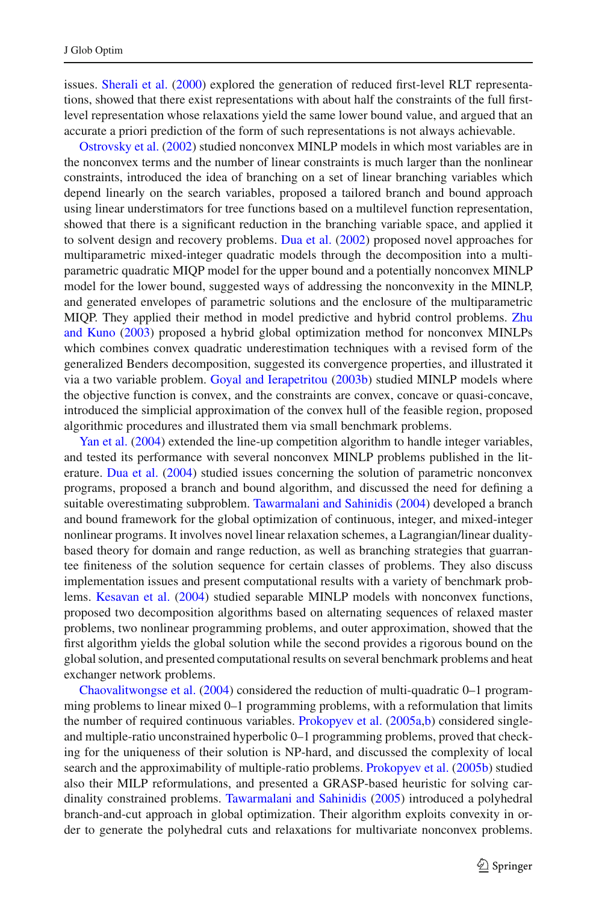issues. [Sherali et al.](#page-32-17) [\(2000\)](#page-32-17) explored the generation of reduced first-level RLT representations, showed that there exist representations with about half the constraints of the full firstlevel representation whose relaxations yield the same lower bound value, and argued that an accurate a priori prediction of the form of such representations is not always achievable.

Ostrovsky et al. [\(2002\)](#page-31-13) studied nonconvex MINLP models in which most variables are in the nonconvex terms and the number of linear constraints is much larger than the nonlinear constraints, introduced the idea of branching on a set of linear branching variables which depend linearly on the search variables, proposed a tailored branch and bound approach using linear understimators for tree functions based on a multilevel function representation, showed that there is a significant reduction in the branching variable space, and applied it to solvent design and recovery problems. [Dua et al.](#page-25-12) [\(2002\)](#page-25-12) proposed novel approaches for multiparametric mixed-integer quadratic models through the decomposition into a multiparametric quadratic MIQP model for the upper bound and a potentially nonconvex MINLP model for the lower bound, suggested ways of addressing the nonconvexity in the MINLP, and generated envelopes of parametric solutions and the enclosure of the multiparametric MIQP. T[hey](#page-35-9) [applied](#page-35-9) [their](#page-35-9) [method](#page-35-9) [in](#page-35-9) [model](#page-35-9) [predictive](#page-35-9) [and](#page-35-9) [hybrid](#page-35-9) [control](#page-35-9) [problems.](#page-35-9) Zhu and Kuno [\(2003\)](#page-35-9) proposed a hybrid global optimization method for nonconvex MINLPs which combines convex quadratic underestimation techniques with a revised form of the generalized Benders decomposition, suggested its convergence properties, and illustrated it via a two variable problem. [Goyal and Ierapetritou](#page-27-17) [\(2003b](#page-27-17)) studied MINLP models where the objective function is convex, and the constraints are convex, concave or quasi-concave, introduced the simplicial approximation of the convex hull of the feasible region, proposed [algorithmic](#page-34-21) [p](#page-34-21)rocedures and illustrated them via small benchmark problems.

Yan et al. [\(2004\)](#page-34-21) extended the line-up competition algorithm to handle integer variables, and tested its performance with several nonconvex MINLP problems published in the literature. [Dua et al.](#page-25-13) [\(2004](#page-25-13)) studied issues concerning the solution of parametric nonconvex programs, proposed a branch and bound algorithm, and discussed the need for defining a suitable overestimating subproblem. [Tawarmalani and Sahinidis](#page-33-21) [\(2004](#page-33-21)) developed a branch and bound framework for the global optimization of continuous, integer, and mixed-integer nonlinear programs. It involves novel linear relaxation schemes, a Lagrangian/linear dualitybased theory for domain and range reduction, as well as branching strategies that guarrantee finiteness of the solution sequence for certain classes of problems. They also discuss implementation issues and present computational results with a variety of benchmark problems. [Kesavan et al.](#page-28-17) [\(2004](#page-28-17)) studied separable MINLP models with nonconvex functions, proposed two decomposition algorithms based on alternating sequences of relaxed master problems, two nonlinear programming problems, and outer approximation, showed that the first algorithm yields the global solution while the second provides a rigorous bound on the global solution, and presented computational results on several benchmark problems and heat exchanger network problems.

Chaovalitwongse et al. [\(2004](#page-25-14)) considered the reduction of multi-quadratic 0–1 programming problems to linear mixed 0–1 programming problems, with a reformulation that limits the number of required continuous variables. [Prokopyev et al.](#page-31-14) [\(2005a](#page-31-14)[,b\)](#page-31-15) considered singleand multiple-ratio unconstrained hyperbolic 0–1 programming problems, proved that checking for the uniqueness of their solution is NP-hard, and discussed the complexity of local search and the approximability of multiple-ratio problems. [Prokopyev et al.](#page-31-15) [\(2005b](#page-31-15)) studied also their MILP reformulations, and presented a GRASP-based heuristic for solving cardinality constrained problems. [Tawarmalani and Sahinidis](#page-33-22) [\(2005\)](#page-33-22) introduced a polyhedral branch-and-cut approach in global optimization. Their algorithm exploits convexity in order to generate the polyhedral cuts and relaxations for multivariate nonconvex problems.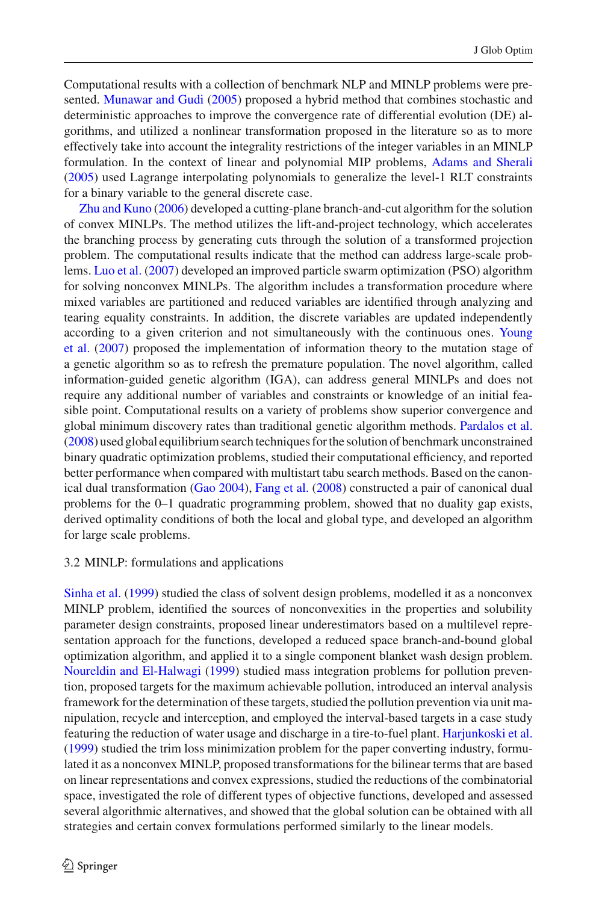Computational results with a collection of benchmark NLP and MINLP problems were presented. [Munawar and Gudi](#page-30-20) [\(2005](#page-30-20)) proposed a hybrid method that combines stochastic and deterministic approaches to improve the convergence rate of differential evolution (DE) algorithms, and utilized a nonlinear transformation proposed in the literature so as to more effectively take into account the integrality restrictions of the integer variables in an MINLP formulation. In the context of linear and polynomial MIP problems, [Adams and Sherali](#page-23-6) [\(2005](#page-23-6)) used Lagrange interpolating polynomials to generalize the level-1 RLT constraints [for](#page-35-10) [a](#page-35-10) [binary](#page-35-10) [varia](#page-35-10)ble to the general discrete case.

Zhu and Kuno [\(2006\)](#page-35-10) developed a cutting-plane branch-and-cut algorithm for the solution of convex MINLPs. The method utilizes the lift-and-project technology, which accelerates the branching process by generating cuts through the solution of a transformed projection problem. The computational results indicate that the method can address large-scale problems. [Luo et al.](#page-30-21) [\(2007\)](#page-30-21) developed an improved particle swarm optimization (PSO) algorithm for solving nonconvex MINLPs. The algorithm includes a transformation procedure where mixed variables are partitioned and reduced variables are identified through analyzing and tearing equality constraints. In addition, the discrete variables are updated independently acco[rding](#page-34-22) [to](#page-34-22) [a](#page-34-22) [given](#page-34-22) [criterion](#page-34-22) [and](#page-34-22) [not](#page-34-22) [simultaneously](#page-34-22) [with](#page-34-22) [the](#page-34-22) [continuous](#page-34-22) [ones.](#page-34-22) Young et al. [\(2007\)](#page-34-22) proposed the implementation of information theory to the mutation stage of a genetic algorithm so as to refresh the premature population. The novel algorithm, called information-guided genetic algorithm (IGA), can address general MINLPs and does not require any additional number of variables and constraints or knowledge of an initial feasible point. Computational results on a variety of problems show superior convergence and global minimum discovery rates than traditional genetic algorithm methods. [Pardalos et al.](#page-31-16) [\(2008](#page-31-16)) used global equilibrium search techniques for the solution of benchmark unconstrained binary quadratic optimization problems, studied their computational efficiency, and reported better performance when compared with multistart tabu search methods. Based on the canonical dual transformation [\(Gao 2004](#page-27-8)), [Fang et al.](#page-26-17) [\(2008](#page-26-17)) constructed a pair of canonical dual problems for the 0–1 quadratic programming problem, showed that no duality gap exists, derived optimality conditions of both the local and global type, and developed an algorithm for large scale problems.

# 3.2 MINLP: formulations and applications

Sinha et al. [\(1999\)](#page-33-23) studied the class of solvent design problems, modelled it as a nonconvex MINLP problem, identified the sources of nonconvexities in the properties and solubility parameter design constraints, proposed linear underestimators based on a multilevel representation approach for the functions, developed a reduced space branch-and-bound global optimization algorithm, and applied it to a single component blanket wash design problem. [Noureldin and El-Halwagi](#page-31-17) [\(1999](#page-31-17)) studied mass integration problems for pollution prevention, proposed targets for the maximum achievable pollution, introduced an interval analysis framework for the determination of these targets, studied the pollution prevention via unit manipulation, recycle and interception, and employed the interval-based targets in a case study featuring the reduction of water usage and discharge in a tire-to-fuel plant. [Harjunkoski et al.](#page-28-18) [\(1999](#page-28-18)) studied the trim loss minimization problem for the paper converting industry, formulated it as a nonconvex MINLP, proposed transformations for the bilinear terms that are based on linear representations and convex expressions, studied the reductions of the combinatorial space, investigated the role of different types of objective functions, developed and assessed several algorithmic alternatives, and showed that the global solution can be obtained with all strategies and certain convex formulations performed similarly to the linear models.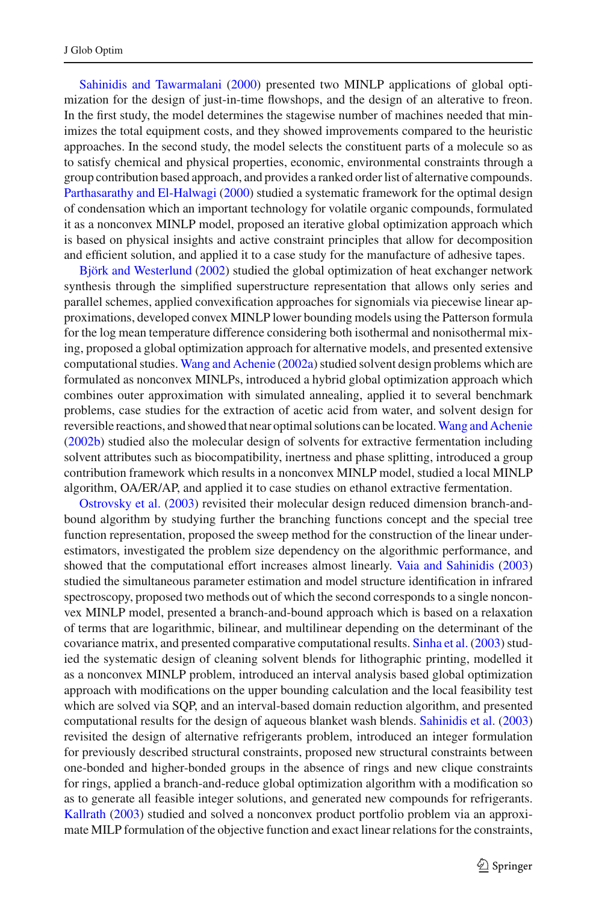[Sahinidis and Tawarmalani](#page-32-18) [\(2000](#page-32-18)) presented two MINLP applications of global optimization for the design of just-in-time flowshops, and the design of an alterative to freon. In the first study, the model determines the stagewise number of machines needed that minimizes the total equipment costs, and they showed improvements compared to the heuristic approaches. In the second study, the model selects the constituent parts of a molecule so as to satisfy chemical and physical properties, economic, environmental constraints through a group contribution based approach, and provides a ranked order list of alternative compounds. [Parthasarathy and El-Halwagi](#page-31-18) [\(2000](#page-31-18)) studied a systematic framework for the optimal design of condensation which an important technology for volatile organic compounds, formulated it as a nonconvex MINLP model, proposed an iterative global optimization approach which is based on physical insights and active constraint principles that allow for decomposition [and](#page-24-14) [efficient](#page-24-14) [solution,](#page-24-14) [and](#page-24-14) applied it to a case study for the manufacture of adhesive tapes.

Björk and Westerlund [\(2002](#page-24-14)) studied the global optimization of heat exchanger network synthesis through the simplified superstructure representation that allows only series and parallel schemes, applied convexification approaches for signomials via piecewise linear approximations, developed convex MINLP lower bounding models using the Patterson formula for the log mean temperature difference considering both isothermal and nonisothermal mixing, proposed a global optimization approach for alternative models, and presented extensive computational studies. [Wang and Achenie](#page-34-23) [\(2002a](#page-34-23)) studied solvent design problems which are formulated as nonconvex MINLPs, introduced a hybrid global optimization approach which combines outer approximation with simulated annealing, applied it to several benchmark problems, case studies for the extraction of acetic acid from water, and solvent design for reversible reactions, and showed that near optimal solutions can be located.[Wang and Achenie](#page-34-24) [\(2002b](#page-34-24)) studied also the molecular design of solvents for extractive fermentation including solvent attributes such as biocompatibility, inertness and phase splitting, introduced a group contribution framework which results in a nonconvex MINLP model, studied a local MINLP [algorithm,](#page-31-19) [OA/ER/](#page-31-19)AP, and applied it to case studies on ethanol extractive fermentation.

Ostrovsky et al. [\(2003](#page-31-19)) revisited their molecular design reduced dimension branch-andbound algorithm by studying further the branching functions concept and the special tree function representation, proposed the sweep method for the construction of the linear underestimators, investigated the problem size dependency on the algorithmic performance, and showed that the computational effort increases almost linearly. [Vaia and Sahinidis](#page-34-25) [\(2003\)](#page-34-25) studied the simultaneous parameter estimation and model structure identification in infrared spectroscopy, proposed two methods out of which the second corresponds to a single nonconvex MINLP model, presented a branch-and-bound approach which is based on a relaxation of terms that are logarithmic, bilinear, and multilinear depending on the determinant of the covariance matrix, and presented comparative computational results. [Sinha et al.](#page-33-24) [\(2003](#page-33-24)) studied the systematic design of cleaning solvent blends for lithographic printing, modelled it as a nonconvex MINLP problem, introduced an interval analysis based global optimization approach with modifications on the upper bounding calculation and the local feasibility test which are solved via SQP, and an interval-based domain reduction algorithm, and presented computational results for the design of aqueous blanket wash blends. [Sahinidis et al.](#page-32-19) [\(2003\)](#page-32-19) revisited the design of alternative refrigerants problem, introduced an integer formulation for previously described structural constraints, proposed new structural constraints between one-bonded and higher-bonded groups in the absence of rings and new clique constraints for rings, applied a branch-and-reduce global optimization algorithm with a modification so as to generate all feasible integer solutions, and generated new compounds for refrigerants. [Kallrath](#page-28-19) [\(2003](#page-28-19)) studied and solved a nonconvex product portfolio problem via an approximate MILP formulation of the objective function and exact linear relations for the constraints,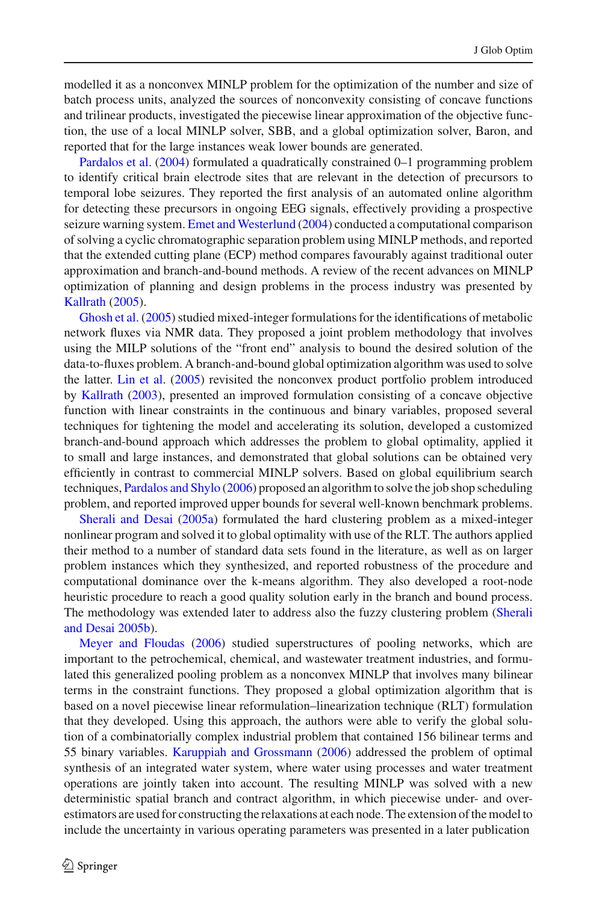modelled it as a nonconvex MINLP problem for the optimization of the number and size of batch process units, analyzed the sources of nonconvexity consisting of concave functions and trilinear products, investigated the piecewise linear approximation of the objective function, the use of a local MINLP solver, SBB, and a global optimization solver, Baron, and [reported](#page-31-20) [that](#page-31-20) [for](#page-31-20) [t](#page-31-20)he large instances weak lower bounds are generated.

Pardalos et al. [\(2004\)](#page-31-20) formulated a quadratically constrained 0–1 programming problem to identify critical brain electrode sites that are relevant in the detection of precursors to temporal lobe seizures. They reported the first analysis of an automated online algorithm for detecting these precursors in ongoing EEG signals, effectively providing a prospective seizure warning system. [Emet and Westerlund](#page-25-15) [\(2004\)](#page-25-15) conducted a computational comparison of solving a cyclic chromatographic separation problem using MINLP methods, and reported that the extended cutting plane (ECP) method compares favourably against traditional outer approximation and branch-and-bound methods. A review of the recent advances on MINLP optimization of planning and design problems in the process industry was presented by [Kallrath](#page-28-20) [\(2005\)](#page-28-20).

Ghosh et al. [\(2005](#page-27-18)) studied mixed-integer formulations for the identifications of metabolic network fluxes via NMR data. They proposed a joint problem methodology that involves using the MILP solutions of the "front end" analysis to bound the desired solution of the data-to-fluxes problem. A branch-and-bound global optimization algorithm was used to solve the latter. [Lin et al.](#page-29-18) [\(2005\)](#page-29-18) revisited the nonconvex product portfolio problem introduced by [Kallrath](#page-28-19) [\(2003](#page-28-19)), presented an improved formulation consisting of a concave objective function with linear constraints in the continuous and binary variables, proposed several techniques for tightening the model and accelerating its solution, developed a customized branch-and-bound approach which addresses the problem to global optimality, applied it to small and large instances, and demonstrated that global solutions can be obtained very efficiently in contrast to commercial MINLP solvers. Based on global equilibrium search techniques, [Pardalos and Shylo](#page-31-21) [\(2006](#page-31-21)) proposed an algorithm to solve the job shop scheduling problem, and reported improved upper bounds for several well-known benchmark problems.

Sherali and Desai [\(2005a\)](#page-32-20) formulated the hard clustering problem as a mixed-integer nonlinear program and solved it to global optimality with use of the RLT. The authors applied their method to a number of standard data sets found in the literature, as well as on larger problem instances which they synthesized, and reported robustness of the procedure and computational dominance over the k-means algorithm. They also developed a root-node heuristic procedure to reach a good quality solution early in the branch and bound process. The meth[odology](#page-32-21) [was](#page-32-21) [extended](#page-32-21) [later](#page-32-21) [to](#page-32-21) [address](#page-32-21) [also](#page-32-21) [the](#page-32-21) [fuzzy](#page-32-21) [clustering](#page-32-21) [problem](#page-32-21) [\(](#page-32-21)Sherali [and](#page-30-22) [Desai](#page-30-22) [2005b\)](#page-32-21)[.](#page-30-22)

Meyer and Floudas [\(2006](#page-30-22)) studied superstructures of pooling networks, which are important to the petrochemical, chemical, and wastewater treatment industries, and formulated this generalized pooling problem as a nonconvex MINLP that involves many bilinear terms in the constraint functions. They proposed a global optimization algorithm that is based on a novel piecewise linear reformulation–linearization technique (RLT) formulation that they developed. Using this approach, the authors were able to verify the global solution of a combinatorially complex industrial problem that contained 156 bilinear terms and 55 binary variables. [Karuppiah and Grossmann](#page-28-21) [\(2006\)](#page-28-21) addressed the problem of optimal synthesis of an integrated water system, where water using processes and water treatment operations are jointly taken into account. The resulting MINLP was solved with a new deterministic spatial branch and contract algorithm, in which piecewise under- and overestimators are used for constructing the relaxations at each node. The extension of the model to include the uncertainty in various operating parameters was presented in a later publication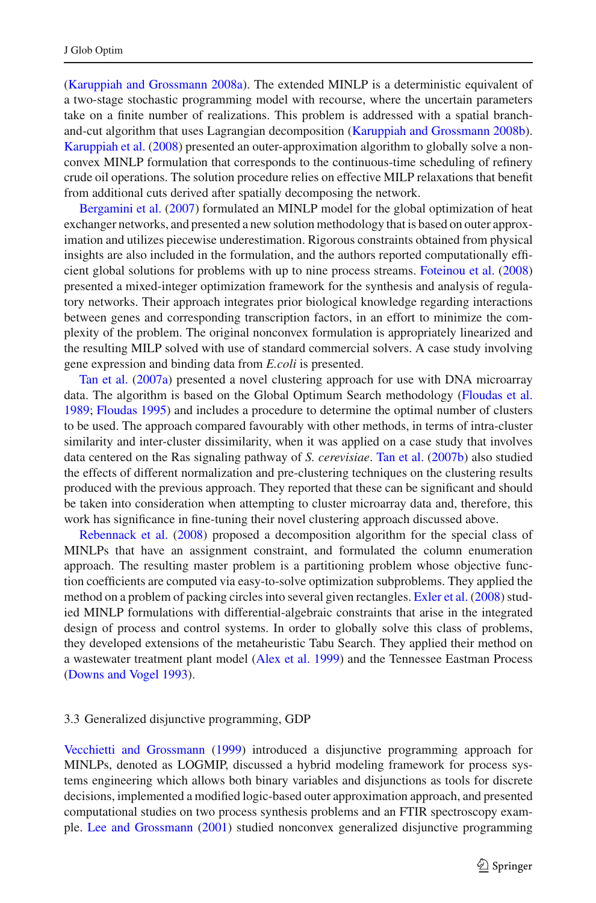[\(Karuppiah and Grossmann 2008a](#page-28-22)). The extended MINLP is a deterministic equivalent of a two-stage stochastic programming model with recourse, where the uncertain parameters take on a finite number of realizations. This problem is addressed with a spatial branchand-cut algorithm that uses Lagrangian decomposition [\(Karuppiah and Grossmann 2008b\)](#page-28-23). [Karuppiah et al.](#page-28-24) [\(2008\)](#page-28-24) presented an outer-approximation algorithm to globally solve a nonconvex MINLP formulation that corresponds to the continuous-time scheduling of refinery crude oil operations. The solution procedure relies on effective MILP relaxations that benefit [from](#page-24-15) [additional](#page-24-15) [cut](#page-24-15)s derived after spatially decomposing the network.

Bergamini et al. [\(2007\)](#page-24-15) formulated an MINLP model for the global optimization of heat exchanger networks, and presented a new solution methodology that is based on outer approximation and utilizes piecewise underestimation. Rigorous constraints obtained from physical insights are also included in the formulation, and the authors reported computationally efficient global solutions for problems with up to nine process streams. [Foteinou et al.](#page-27-19) [\(2008\)](#page-27-19) presented a mixed-integer optimization framework for the synthesis and analysis of regulatory networks. Their approach integrates prior biological knowledge regarding interactions between genes and corresponding transcription factors, in an effort to minimize the complexity of the problem. The original nonconvex formulation is appropriately linearized and the resulting MILP solved with use of standard commercial solvers. A case study involving [gene](#page-33-25) [express](#page-33-25)ion and binding data from *E.coli* is presented.

Tan et al. [\(2007a\)](#page-33-25) presented a novel clustering approach for use with DNA microarray data. The algorithm is based on the Global Optimum Search methodology [\(Floudas et al.](#page-26-18) [1989](#page-26-18); [Floudas 1995\)](#page-26-19) and includes a procedure to determine the optimal number of clusters to be used. The approach compared favourably with other methods, in terms of intra-cluster similarity and inter-cluster dissimilarity, when it was applied on a case study that involves data centered on the Ras signaling pathway of *S. cerevisiae*. [Tan et al.](#page-33-26) [\(2007b](#page-33-26)) also studied the effects of different normalization and pre-clustering techniques on the clustering results produced with the previous approach. They reported that these can be significant and should be taken into consideration when attempting to cluster microarray data and, therefore, this [work](#page-31-22) [has](#page-31-22) [significanc](#page-31-22)e in fine-tuning their novel clustering approach discussed above.

Rebennack et al. [\(2008\)](#page-31-22) proposed a decomposition algorithm for the special class of MINLPs that have an assignment constraint, and formulated the column enumeration approach. The resulting master problem is a partitioning problem whose objective function coefficients are computed via easy-to-solve optimization subproblems. They applied the method on a problem of packing circles into several given rectangles. [Exler et al.](#page-26-20) [\(2008](#page-26-20)) studied MINLP formulations with differential-algebraic constraints that arise in the integrated design of process and control systems. In order to globally solve this class of problems, they developed extensions of the metaheuristic Tabu Search. They applied their method on a wastewater treatment plant model [\(Alex et al. 1999](#page-24-16)) and the Tennessee Eastman Process [\(Downs and Vogel 1993\)](#page-25-16).

#### 3.3 Generalized disjunctive programming, GDP

Vecchietti and Grossmann [\(1999](#page-34-26)) introduced a disjunctive programming approach for MINLPs, denoted as LOGMIP, discussed a hybrid modeling framework for process systems engineering which allows both binary variables and disjunctions as tools for discrete decisions, implemented a modified logic-based outer approximation approach, and presented computational studies on two process synthesis problems and an FTIR spectroscopy example. [Lee and Grossmann](#page-29-19) [\(2001](#page-29-19)) studied nonconvex generalized disjunctive programming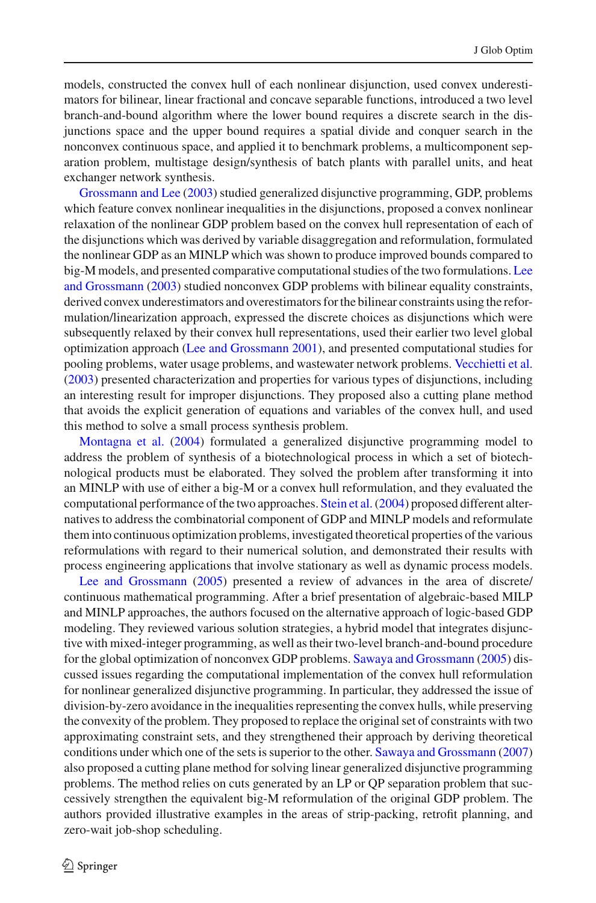models, constructed the convex hull of each nonlinear disjunction, used convex underestimators for bilinear, linear fractional and concave separable functions, introduced a two level branch-and-bound algorithm where the lower bound requires a discrete search in the disjunctions space and the upper bound requires a spatial divide and conquer search in the nonconvex continuous space, and applied it to benchmark problems, a multicomponent separation problem, multistage design/synthesis of batch plants with parallel units, and heat [exchanger](#page-27-20) [network](#page-27-20) [syn](#page-27-20)thesis.

Grossmann and Lee [\(2003](#page-27-20)) studied generalized disjunctive programming, GDP, problems which feature convex nonlinear inequalities in the disjunctions, proposed a convex nonlinear relaxation of the nonlinear GDP problem based on the convex hull representation of each of the disjunctions which was derived by variable disaggregation and reformulation, formulated the nonlinear GDP as an MINLP which was shown to produce improved bounds compared to big-M models, [and](#page-29-20) [presented](#page-29-20) [comparative](#page-29-20) [computational](#page-29-20) [studies](#page-29-20) [of](#page-29-20) [the](#page-29-20) [two](#page-29-20) [formulations.](#page-29-20) Lee and Grossmann [\(2003](#page-29-20)) studied nonconvex GDP problems with bilinear equality constraints, derived convex underestimators and overestimators for the bilinear constraints using the reformulation/linearization approach, expressed the discrete choices as disjunctions which were subsequently relaxed by their convex hull representations, used their earlier two level global optimization approach [\(Lee and Grossmann 2001](#page-29-19)), and presented computational studies for pooling problems, water usage problems, and wastewater network problems. [Vecchietti et al.](#page-34-27) [\(2003](#page-34-27)) presented characterization and properties for various types of disjunctions, including an interesting result for improper disjunctions. They proposed also a cutting plane method that avoids the explicit generation of equations and variables of the convex hull, and used [this](#page-30-23) [method](#page-30-23) [to](#page-30-23) [solve](#page-30-23) a small process synthesis problem.

Montagna et al. [\(2004\)](#page-30-23) formulated a generalized disjunctive programming model to address the problem of synthesis of a biotechnological process in which a set of biotechnological products must be elaborated. They solved the problem after transforming it into an MINLP with use of either a big-M or a convex hull reformulation, and they evaluated the computational performance of the two approaches. [Stein et al.\(2004\)](#page-33-27) proposed different alternatives to address the combinatorial component of GDP and MINLP models and reformulate them into continuous optimization problems, investigated theoretical properties of the various reformulations with regard to their numerical solution, and demonstrated their results with [process](#page-29-21) [engineering](#page-29-21) [app](#page-29-21)lications that involve stationary as well as dynamic process models.

Lee and Grossmann [\(2005](#page-29-21)) presented a review of advances in the area of discrete/ continuous mathematical programming. After a brief presentation of algebraic-based MILP and MINLP approaches, the authors focused on the alternative approach of logic-based GDP modeling. They reviewed various solution strategies, a hybrid model that integrates disjunctive with mixed-integer programming, as well as their two-level branch-and-bound procedure for the global optimization of nonconvex GDP problems. [Sawaya and Grossmann](#page-32-22) [\(2005\)](#page-32-22) discussed issues regarding the computational implementation of the convex hull reformulation for nonlinear generalized disjunctive programming. In particular, they addressed the issue of division-by-zero avoidance in the inequalities representing the convex hulls, while preserving the convexity of the problem. They proposed to replace the original set of constraints with two approximating constraint sets, and they strengthened their approach by deriving theoretical conditions under which one of the sets is superior to the other. [Sawaya and Grossmann](#page-32-23) [\(2007\)](#page-32-23) also proposed a cutting plane method for solving linear generalized disjunctive programming problems. The method relies on cuts generated by an LP or QP separation problem that successively strengthen the equivalent big-M reformulation of the original GDP problem. The authors provided illustrative examples in the areas of strip-packing, retrofit planning, and zero-wait job-shop scheduling.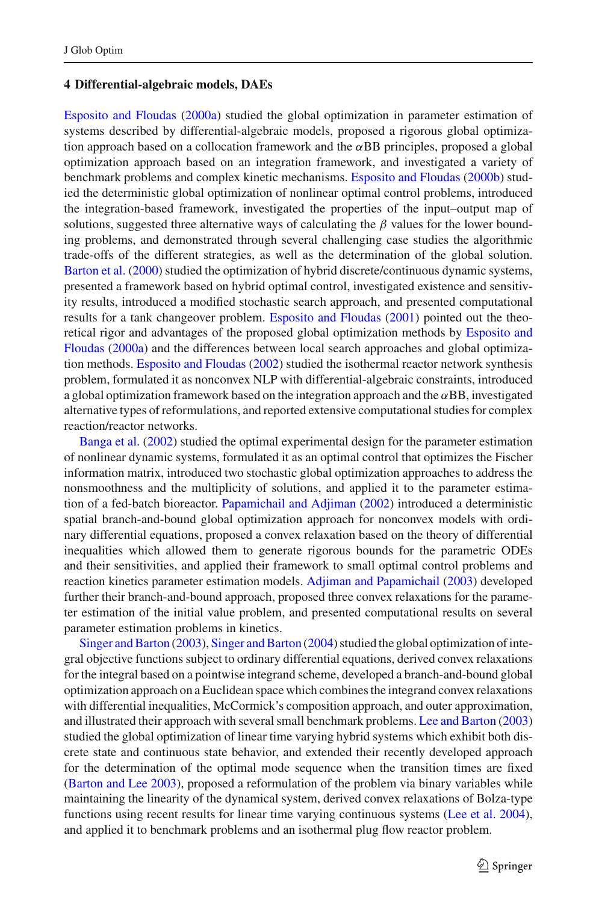#### **4 Differential-algebraic models, DAEs**

Esposito and Floudas [\(2000a\)](#page-26-21) studied the global optimization in parameter estimation of systems described by differential-algebraic models, proposed a rigorous global optimization approach based on a collocation framework and the αBB principles, proposed a global optimization approach based on an integration framework, and investigated a variety of benchmark problems and complex kinetic mechanisms. [Esposito and Floudas](#page-26-22) [\(2000b\)](#page-26-22) studied the deterministic global optimization of nonlinear optimal control problems, introduced the integration-based framework, investigated the properties of the input–output map of solutions, suggested three alternative ways of calculating the  $\beta$  values for the lower bounding problems, and demonstrated through several challenging case studies the algorithmic trade-offs of the different strategies, as well as the determination of the global solution. [Barton et al.](#page-24-17) [\(2000\)](#page-24-17) studied the optimization of hybrid discrete/continuous dynamic systems, presented a framework based on hybrid optimal control, investigated existence and sensitivity results, introduced a modified stochastic search approach, and presented computational results for a tank changeover problem. [Esposito and Floudas](#page-26-23) [\(2001](#page-26-23)) pointed out the theoretical r[igor](#page-26-21) [and](#page-26-21) [advantages](#page-26-21) [of](#page-26-21) [the](#page-26-21) [proposed](#page-26-21) [global](#page-26-21) [optimization](#page-26-21) [methods](#page-26-21) [by](#page-26-21) Esposito and Floudas [\(2000a](#page-26-21)) and the differences between local search approaches and global optimization methods. [Esposito and Floudas](#page-26-24) [\(2002\)](#page-26-24) studied the isothermal reactor network synthesis problem, formulated it as nonconvex NLP with differential-algebraic constraints, introduced a global optimization framework based on the integration approach and the  $\alpha$ BB, investigated alternative types of reformulations, and reported extensive computational studies for complex [reaction/reacto](#page-24-18)r networks.

Banga et al. [\(2002\)](#page-24-18) studied the optimal experimental design for the parameter estimation of nonlinear dynamic systems, formulated it as an optimal control that optimizes the Fischer information matrix, introduced two stochastic global optimization approaches to address the nonsmoothness and the multiplicity of solutions, and applied it to the parameter estimation of a fed-batch bioreactor. [Papamichail and Adjiman](#page-31-23) [\(2002\)](#page-31-23) introduced a deterministic spatial branch-and-bound global optimization approach for nonconvex models with ordinary differential equations, proposed a convex relaxation based on the theory of differential inequalities which allowed them to generate rigorous bounds for the parametric ODEs and their sensitivities, and applied their framework to small optimal control problems and reaction kinetics parameter estimation models. [Adjiman and Papamichail](#page-23-7) [\(2003\)](#page-23-7) developed further their branch-and-bound approach, proposed three convex relaxations for the parameter estimation of the initial value problem, and presented computational results on several [parameter](#page-32-24) [estimation](#page-32-24) problems in kinetics.

Singer and Barton [\(2003\)](#page-32-24), [Singer and Barton](#page-32-25) [\(2004](#page-32-25)) studied the global optimization of integral objective functions subject to ordinary differential equations, derived convex relaxations for the integral based on a pointwise integrand scheme, developed a branch-and-bound global optimization approach on a Euclidean space which combines the integrand convex relaxations with differential inequalities, McCormick's composition approach, and outer approximation, and illustrated their approach with several small benchmark problems. [Lee and Barton](#page-29-22) [\(2003\)](#page-29-22) studied the global optimization of linear time varying hybrid systems which exhibit both discrete state and continuous state behavior, and extended their recently developed approach for the determination of the optimal mode sequence when the transition times are fixed [\(Barton and Lee 2003](#page-24-19)), proposed a reformulation of the problem via binary variables while maintaining the linearity of the dynamical system, derived convex relaxations of Bolza-type functions using recent results for linear time varying continuous systems [\(Lee et al. 2004\)](#page-29-23), and applied it to benchmark problems and an isothermal plug flow reactor problem.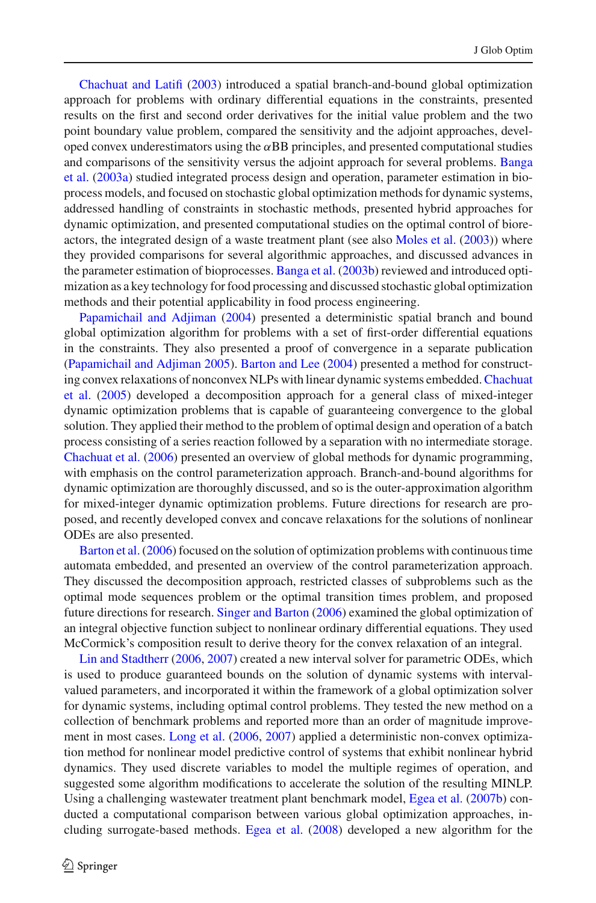[Chachuat and Latifi](#page-25-17) [\(2003](#page-25-17)) introduced a spatial branch-and-bound global optimization approach for problems with ordinary differential equations in the constraints, presented results on the first and second order derivatives for the initial value problem and the two point boundary value problem, compared the sensitivity and the adjoint approaches, developed convex underestimators using the  $\alpha$ BB principles, and presented computational studies and [comparisons](#page-24-20) [of](#page-24-20) [the](#page-24-20) [sensitivity](#page-24-20) [versus](#page-24-20) [the](#page-24-20) [adjoint](#page-24-20) [approach](#page-24-20) [for](#page-24-20) [several](#page-24-20) [problems.](#page-24-20) Banga et al. [\(2003a\)](#page-24-20) studied integrated process design and operation, parameter estimation in bioprocess models, and focused on stochastic global optimization methods for dynamic systems, addressed handling of constraints in stochastic methods, presented hybrid approaches for dynamic optimization, and presented computational studies on the optimal control of bioreactors, the integrated design of a waste treatment plant (see also [Moles et al.](#page-30-24) [\(2003](#page-30-24))) where they provided comparisons for several algorithmic approaches, and discussed advances in the parameter estimation of bioprocesses. [Banga et al.](#page-24-21) [\(2003b](#page-24-21)) reviewed and introduced optimization as a key technology for food processing and discussed stochastic global optimization methods and their potential applicability in food process engineering.

Papamichail and Adjiman [\(2004](#page-31-24)) presented a deterministic spatial branch and bound global optimization algorithm for problems with a set of first-order differential equations in the constraints. They also presented a proof of convergence in a separate publication [\(Papamichail and Adjiman 2005\)](#page-31-25). [Barton and Lee](#page-24-22) [\(2004](#page-24-22)) presented a method for constructing c[onvex](#page-25-18) [relaxations](#page-25-18) [of](#page-25-18) [nonconvex](#page-25-18) [NLPs](#page-25-18) [with](#page-25-18) [linear](#page-25-18) [dynamic](#page-25-18) [systems](#page-25-18) [embedded.](#page-25-18) Chachuat et al. [\(2005\)](#page-25-18) developed a decomposition approach for a general class of mixed-integer dynamic optimization problems that is capable of guaranteeing convergence to the global solution. They applied their method to the problem of optimal design and operation of a batch process consisting of a series reaction followed by a separation with no intermediate storage. [Chachuat et al.](#page-25-19) [\(2006](#page-25-19)) presented an overview of global methods for dynamic programming, with emphasis on the control parameterization approach. Branch-and-bound algorithms for dynamic optimization are thoroughly discussed, and so is the outer-approximation algorithm for mixed-integer dynamic optimization problems. Future directions for research are proposed, and recently developed convex and concave relaxations for the solutions of nonlinear [ODEs](#page-24-23) [are](#page-24-23) [also](#page-24-23) presented.

Barton et al.[\(2006](#page-24-23)) focused on the solution of optimization problems with continuous time automata embedded, and presented an overview of the control parameterization approach. They discussed the decomposition approach, restricted classes of subproblems such as the optimal mode sequences problem or the optimal transition times problem, and proposed future directions for research. [Singer and Barton](#page-32-26) [\(2006](#page-32-26)) examined the global optimization of an integral objective function subject to nonlinear ordinary differential equations. They used McCormick's composition result to derive theory for the convex relaxation of an integral.

Lin and Stadtherr [\(2006](#page-29-24), [2007\)](#page-29-25) created a new interval solver for parametric ODEs, which is used to produce guaranteed bounds on the solution of dynamic systems with intervalvalued parameters, and incorporated it within the framework of a global optimization solver for dynamic systems, including optimal control problems. They tested the new method on a collection of benchmark problems and reported more than an order of magnitude improvement in most cases. [Long et al.](#page-30-25) [\(2006,](#page-30-25) [2007\)](#page-30-26) applied a deterministic non-convex optimization method for nonlinear model predictive control of systems that exhibit nonlinear hybrid dynamics. They used discrete variables to model the multiple regimes of operation, and suggested some algorithm modifications to accelerate the solution of the resulting MINLP. Using a challenging wastewater treatment plant benchmark model, [Egea et al.](#page-25-20) [\(2007b\)](#page-25-20) conducted a computational comparison between various global optimization approaches, including surrogate-based methods. [Egea et al.](#page-25-21) [\(2008\)](#page-25-21) developed a new algorithm for the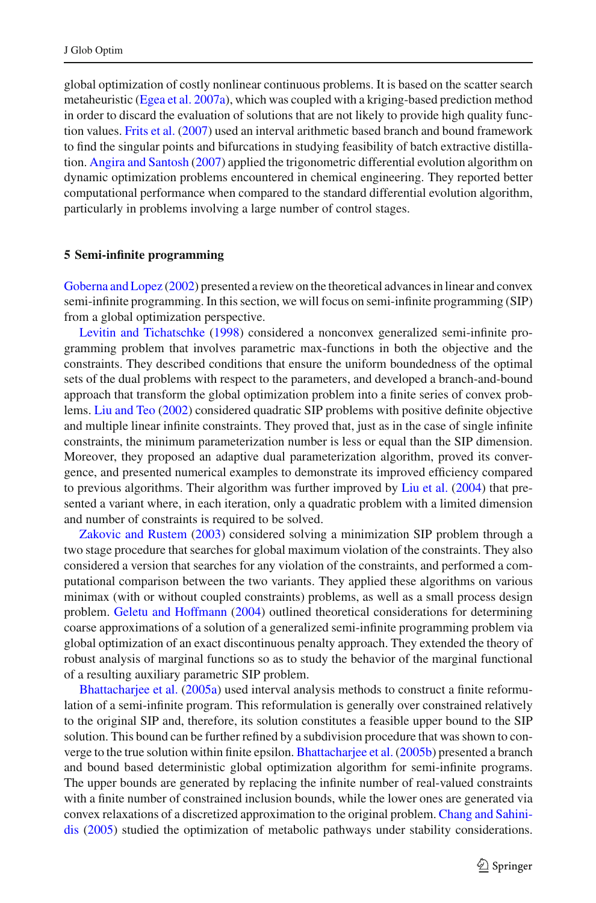global optimization of costly nonlinear continuous problems. It is based on the scatter search metaheuristic [\(Egea et al. 2007a](#page-25-22)), which was coupled with a kriging-based prediction method in order to discard the evaluation of solutions that are not likely to provide high quality function values. [Frits et al.](#page-27-21) [\(2007](#page-27-21)) used an interval arithmetic based branch and bound framework to find the singular points and bifurcations in studying feasibility of batch extractive distillation. [Angira and Santosh](#page-24-24) [\(2007](#page-24-24)) applied the trigonometric differential evolution algorithm on dynamic optimization problems encountered in chemical engineering. They reported better computational performance when compared to the standard differential evolution algorithm, particularly in problems involving a large number of control stages.

## **5 Semi-infinite programming**

Goberna and Lopez [\(2002\)](#page-27-22) presented a review on the theoretical advances in linear and convex semi-infinite programming. In this section, we will focus on semi-infinite programming (SIP) [from](#page-29-26) [a](#page-29-26) [global](#page-29-26) [optimization](#page-29-26) [p](#page-29-26)erspective.

Levitin and Tichatschke [\(1998\)](#page-29-26) considered a nonconvex generalized semi-infinite programming problem that involves parametric max-functions in both the objective and the constraints. They described conditions that ensure the uniform boundedness of the optimal sets of the dual problems with respect to the parameters, and developed a branch-and-bound approach that transform the global optimization problem into a finite series of convex problems. [Liu and Teo](#page-29-27) [\(2002\)](#page-29-27) considered quadratic SIP problems with positive definite objective and multiple linear infinite constraints. They proved that, just as in the case of single infinite constraints, the minimum parameterization number is less or equal than the SIP dimension. Moreover, they proposed an adaptive dual parameterization algorithm, proved its convergence, and presented numerical examples to demonstrate its improved efficiency compared to previous algorithms. Their algorithm was further improved by [Liu et al.](#page-30-27) [\(2004](#page-30-27)) that presented a variant where, in each iteration, only a quadratic problem with a limited dimension [and](#page-34-28) [number](#page-34-28) [of](#page-34-28) [constrain](#page-34-28)ts is required to be solved.

Zakovic and Rustem [\(2003](#page-34-28)) considered solving a minimization SIP problem through a two stage procedure that searches for global maximum violation of the constraints. They also considered a version that searches for any violation of the constraints, and performed a computational comparison between the two variants. They applied these algorithms on various minimax (with or without coupled constraints) problems, as well as a small process design problem. [Geletu and Hoffmann](#page-27-23) [\(2004\)](#page-27-23) outlined theoretical considerations for determining coarse approximations of a solution of a generalized semi-infinite programming problem via global optimization of an exact discontinuous penalty approach. They extended the theory of robust analysis of marginal functions so as to study the behavior of the marginal functional [of](#page-24-25) [a](#page-24-25) [resulting](#page-24-25) [auxiliary](#page-24-25) parametric SIP problem.

Bhattacharjee et al. [\(2005a](#page-24-25)) used interval analysis methods to construct a finite reformulation of a semi-infinite program. This reformulation is generally over constrained relatively to the original SIP and, therefore, its solution constitutes a feasible upper bound to the SIP solution. This bound can be further refined by a subdivision procedure that was shown to converge to the true solution within finite epsilon. [Bhattacharjee et al.](#page-24-26) [\(2005b\)](#page-24-26) presented a branch and bound based deterministic global optimization algorithm for semi-infinite programs. The upper bounds are generated by replacing the infinite number of real-valued constraints with a finite number of constrained inclusion bounds, while the lower ones are generated via co[nvex](#page-25-23) [relaxations](#page-25-23) [of](#page-25-23) [a](#page-25-23) [discretized](#page-25-23) [approximation](#page-25-23) [to](#page-25-23) [the](#page-25-23) [original](#page-25-23) [problem.](#page-25-23) Chang and Sahinidis [\(2005\)](#page-25-23) studied the optimization of metabolic pathways under stability considerations.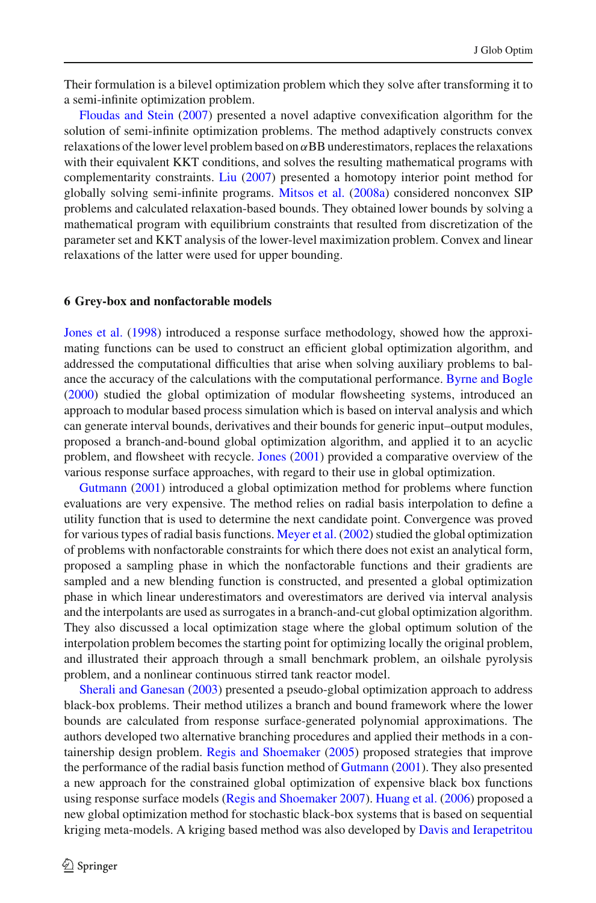Their formulation is a bilevel optimization problem which they solve after transforming it to a semi-infinite optimization problem.

Floudas and Stein [\(2007\)](#page-26-25) presented a novel adaptive convexification algorithm for the solution of semi-infinite optimization problems. The method adaptively constructs convex relaxations of the lower level problem based on  $\alpha$ BB underestimators, replaces the relaxations with their equivalent KKT conditions, and solves the resulting mathematical programs with complementarity constraints. [Liu](#page-29-28) [\(2007](#page-29-28)) presented a homotopy interior point method for globally solving semi-infinite programs. [Mitsos et al.](#page-30-28) [\(2008a](#page-30-28)) considered nonconvex SIP problems and calculated relaxation-based bounds. They obtained lower bounds by solving a mathematical program with equilibrium constraints that resulted from discretization of the parameter set and KKT analysis of the lower-level maximization problem. Convex and linear relaxations of the latter were used for upper bounding.

#### **6 Grey-box and nonfactorable models**

Jones et al. [\(1998\)](#page-28-25) introduced a response surface methodology, showed how the approximating functions can be used to construct an efficient global optimization algorithm, and addressed the computational difficulties that arise when solving auxiliary problems to balance the accuracy of the calculations with the computational performance. [Byrne and Bogle](#page-25-24) [\(2000](#page-25-24)) studied the global optimization of modular flowsheeting systems, introduced an approach to modular based process simulation which is based on interval analysis and which can generate interval bounds, derivatives and their bounds for generic input–output modules, proposed a branch-and-bound global optimization algorithm, and applied it to an acyclic problem, and flowsheet with recycle. [Jones](#page-28-26) [\(2001\)](#page-28-26) provided a comparative overview of the [various](#page-27-24) [respo](#page-27-24)nse surface approaches, with regard to their use in global optimization.

Gutmann [\(2001\)](#page-27-24) introduced a global optimization method for problems where function evaluations are very expensive. The method relies on radial basis interpolation to define a utility function that is used to determine the next candidate point. Convergence was proved for various types of radial basis functions. [Meyer et al.](#page-30-29) [\(2002](#page-30-29)) studied the global optimization of problems with nonfactorable constraints for which there does not exist an analytical form, proposed a sampling phase in which the nonfactorable functions and their gradients are sampled and a new blending function is constructed, and presented a global optimization phase in which linear underestimators and overestimators are derived via interval analysis and the interpolants are used as surrogates in a branch-and-cut global optimization algorithm. They also discussed a local optimization stage where the global optimum solution of the interpolation problem becomes the starting point for optimizing locally the original problem, and illustrated their approach through a small benchmark problem, an oilshale pyrolysis [problem,](#page-32-27) [and](#page-32-27) [a](#page-32-27) [nonlinea](#page-32-27)r continuous stirred tank reactor model.

Sherali and Ganesan [\(2003\)](#page-32-27) presented a pseudo-global optimization approach to address black-box problems. Their method utilizes a branch and bound framework where the lower bounds are calculated from response surface-generated polynomial approximations. The authors developed two alternative branching procedures and applied their methods in a containership design problem. [Regis and Shoemaker](#page-31-26) [\(2005\)](#page-31-26) proposed strategies that improve the performance of the radial basis function method of [Gutmann](#page-27-24) [\(2001\)](#page-27-24). They also presented a new approach for the constrained global optimization of expensive black box functions using response surface models [\(Regis and Shoemaker 2007\)](#page-31-27). [Huang et al.](#page-28-27) [\(2006\)](#page-28-27) proposed a new global optimization method for stochastic black-box systems that is based on sequential kriging meta-models. A kriging based method was also developed by [Davis and Ierapetritou](#page-25-25)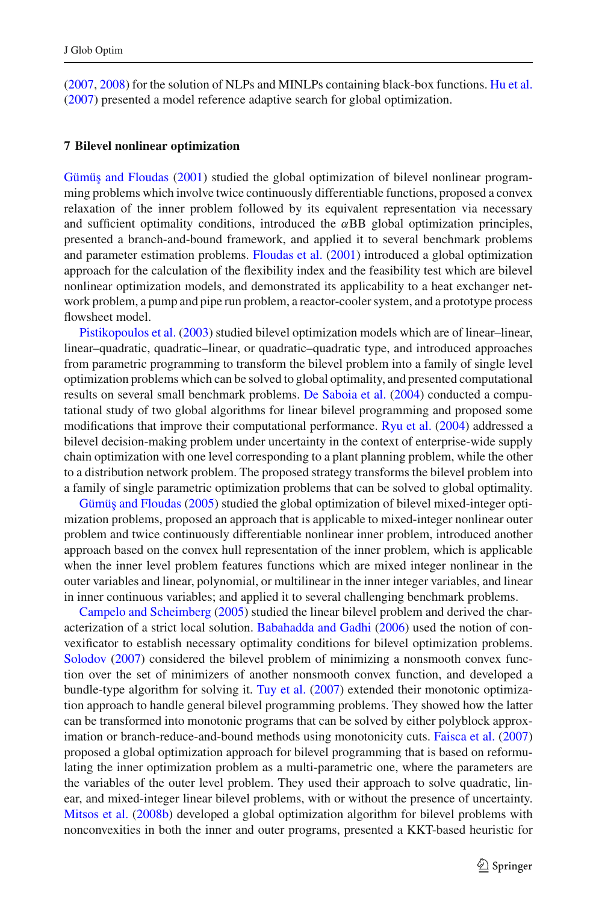[\(2007](#page-25-25), [2008\)](#page-25-26) for the solution of NLPs and MINLPs containing black-box functions. [Hu et al.](#page-28-28) [\(2007](#page-28-28)) presented a model reference adaptive search for global optimization.

## **7 Bilevel nonlinear optimization**

Gümüş and Floudas [\(2001\)](#page-27-25) studied the global optimization of bilevel nonlinear programming problems which involve twice continuously differentiable functions, proposed a convex relaxation of the inner problem followed by its equivalent representation via necessary and sufficient optimality conditions, introduced the  $\alpha$ BB global optimization principles, presented a branch-and-bound framework, and applied it to several benchmark problems and parameter estimation problems. [Floudas et al.](#page-26-26) [\(2001\)](#page-26-26) introduced a global optimization approach for the calculation of the flexibility index and the feasibility test which are bilevel nonlinear optimization models, and demonstrated its applicability to a heat exchanger network problem, a pump and pipe run problem, a reactor-cooler system, and a prototype process [flowsheet](#page-31-28) [model.](#page-31-28)

Pistikopoulos et al. [\(2003](#page-31-28)) studied bilevel optimization models which are of linear–linear, linear–quadratic, quadratic–linear, or quadratic–quadratic type, and introduced approaches from parametric programming to transform the bilevel problem into a family of single level optimization problems which can be solved to global optimality, and presented computational results on several small benchmark problems. [De Saboia et al.](#page-25-27) [\(2004\)](#page-25-27) conducted a computational study of two global algorithms for linear bilevel programming and proposed some modifications that improve their computational performance. [Ryu et al.](#page-32-28) [\(2004](#page-32-28)) addressed a bilevel decision-making problem under uncertainty in the context of enterprise-wide supply chain optimization with one level corresponding to a plant planning problem, while the other to a distribution network problem. The proposed strategy transforms the bilevel problem into [a](#page-27-26) [family](#page-27-26) [of](#page-27-26) [single](#page-27-26) [param](#page-27-26)etric optimization problems that can be solved to global optimality.

Gümüş and Floudas [\(2005](#page-27-26)) studied the global optimization of bilevel mixed-integer optimization problems, proposed an approach that is applicable to mixed-integer nonlinear outer problem and twice continuously differentiable nonlinear inner problem, introduced another approach based on the convex hull representation of the inner problem, which is applicable when the inner level problem features functions which are mixed integer nonlinear in the outer variables and linear, polynomial, or multilinear in the inner integer variables, and linear [in](#page-25-28) [inner](#page-25-28) [continuous](#page-25-28) [variables](#page-25-28); and applied it to several challenging benchmark problems.

Campelo and Scheimberg [\(2005](#page-25-28)) studied the linear bilevel problem and derived the characterization of a strict local solution. [Babahadda and Gadhi](#page-24-27) [\(2006\)](#page-24-27) used the notion of convexificator to establish necessary optimality conditions for bilevel optimization problems. [Solodov](#page-33-28) [\(2007\)](#page-33-28) considered the bilevel problem of minimizing a nonsmooth convex function over the set of minimizers of another nonsmooth convex function, and developed a bundle-type algorithm for solving it. [Tuy et al.](#page-34-29) [\(2007\)](#page-34-29) extended their monotonic optimization approach to handle general bilevel programming problems. They showed how the latter can be transformed into monotonic programs that can be solved by either polyblock approximation or branch-reduce-and-bound methods using monotonicity cuts. [Faisca et al.](#page-26-27) [\(2007\)](#page-26-27) proposed a global optimization approach for bilevel programming that is based on reformulating the inner optimization problem as a multi-parametric one, where the parameters are the variables of the outer level problem. They used their approach to solve quadratic, linear, and mixed-integer linear bilevel problems, with or without the presence of uncertainty. [Mitsos et al.](#page-30-30) [\(2008b](#page-30-30)) developed a global optimization algorithm for bilevel problems with nonconvexities in both the inner and outer programs, presented a KKT-based heuristic for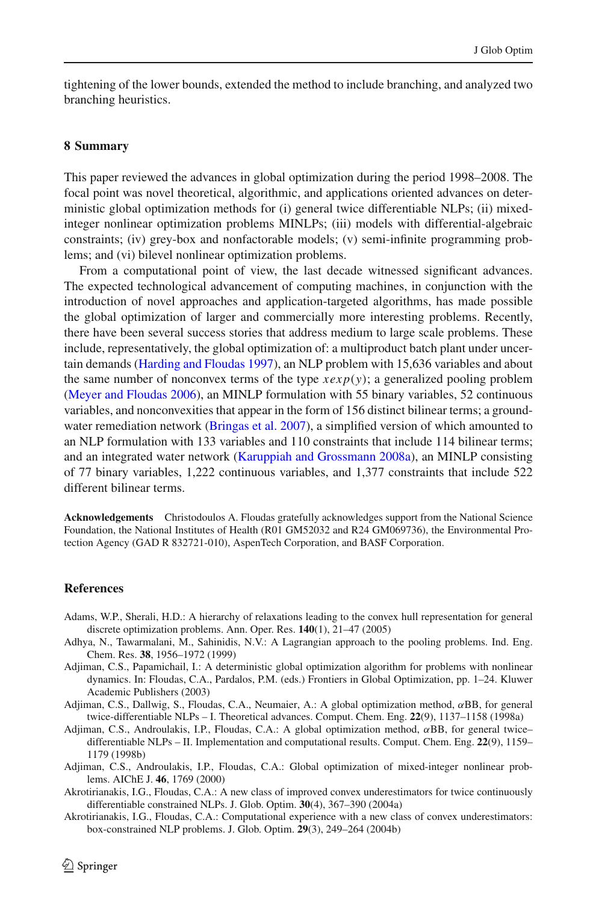tightening of the lower bounds, extended the method to include branching, and analyzed two branching heuristics.

## **8 Summary**

This paper reviewed the advances in global optimization during the period 1998–2008. The focal point was novel theoretical, algorithmic, and applications oriented advances on deterministic global optimization methods for (i) general twice differentiable NLPs; (ii) mixedinteger nonlinear optimization problems MINLPs; (iii) models with differential-algebraic constraints; (iv) grey-box and nonfactorable models; (v) semi-infinite programming problems; and (vi) bilevel nonlinear optimization problems.

From a computational point of view, the last decade witnessed significant advances. The expected technological advancement of computing machines, in conjunction with the introduction of novel approaches and application-targeted algorithms, has made possible the global optimization of larger and commercially more interesting problems. Recently, there have been several success stories that address medium to large scale problems. These include, representatively, the global optimization of: a multiproduct batch plant under uncertain demands [\(Harding and Floudas 1997\)](#page-27-27), an NLP problem with 15,636 variables and about the same number of nonconvex terms of the type  $x \exp(y)$ ; a generalized pooling problem [\(Meyer and Floudas 2006\)](#page-30-22), an MINLP formulation with 55 binary variables, 52 continuous variables, and nonconvexities that appear in the form of 156 distinct bilinear terms; a groundwater remediation network [\(Bringas et al. 2007\)](#page-24-12), a simplified version of which amounted to an NLP formulation with 133 variables and 110 constraints that include 114 bilinear terms; and an integrated water network [\(Karuppiah and Grossmann 2008a](#page-28-22)), an MINLP consisting of 77 binary variables, 1,222 continuous variables, and 1,377 constraints that include 522 different bilinear terms.

**Acknowledgements** Christodoulos A. Floudas gratefully acknowledges support from the National Science Foundation, the National Institutes of Health (R01 GM52032 and R24 GM069736), the Environmental Protection Agency (GAD R 832721-010), AspenTech Corporation, and BASF Corporation.

#### **References**

- <span id="page-23-6"></span>Adams, W.P., Sherali, H.D.: A hierarchy of relaxations leading to the convex hull representation for general discrete optimization problems. Ann. Oper. Res. **140**(1), 21–47 (2005)
- <span id="page-23-4"></span>Adhya, N., Tawarmalani, M., Sahinidis, N.V.: A Lagrangian approach to the pooling problems. Ind. Eng. Chem. Res. **38**, 1956–1972 (1999)
- <span id="page-23-7"></span>Adjiman, C.S., Papamichail, I.: A deterministic global optimization algorithm for problems with nonlinear dynamics. In: Floudas, C.A., Pardalos, P.M. (eds.) Frontiers in Global Optimization, pp. 1–24. Kluwer Academic Publishers (2003)
- <span id="page-23-0"></span>Adjiman, C.S., Dallwig, S., Floudas, C.A., Neumaier, A.: A global optimization method, αBB, for general twice-differentiable NLPs – I. Theoretical advances. Comput. Chem. Eng. **22**(9), 1137–1158 (1998a)
- <span id="page-23-1"></span>Adjiman, C.S., Androulakis, I.P., Floudas, C.A.: A global optimization method, αBB, for general twice– differentiable NLPs – II. Implementation and computational results. Comput. Chem. Eng. **22**(9), 1159– 1179 (1998b)
- <span id="page-23-5"></span>Adjiman, C.S., Androulakis, I.P., Floudas, C.A.: Global optimization of mixed-integer nonlinear problems. AIChE J. **46**, 1769 (2000)
- <span id="page-23-2"></span>Akrotirianakis, I.G., Floudas, C.A.: A new class of improved convex underestimators for twice continuously differentiable constrained NLPs. J. Glob. Optim. **30**(4), 367–390 (2004a)
- <span id="page-23-3"></span>Akrotirianakis, I.G., Floudas, C.A.: Computational experience with a new class of convex underestimators: box-constrained NLP problems. J. Glob. Optim. **29**(3), 249–264 (2004b)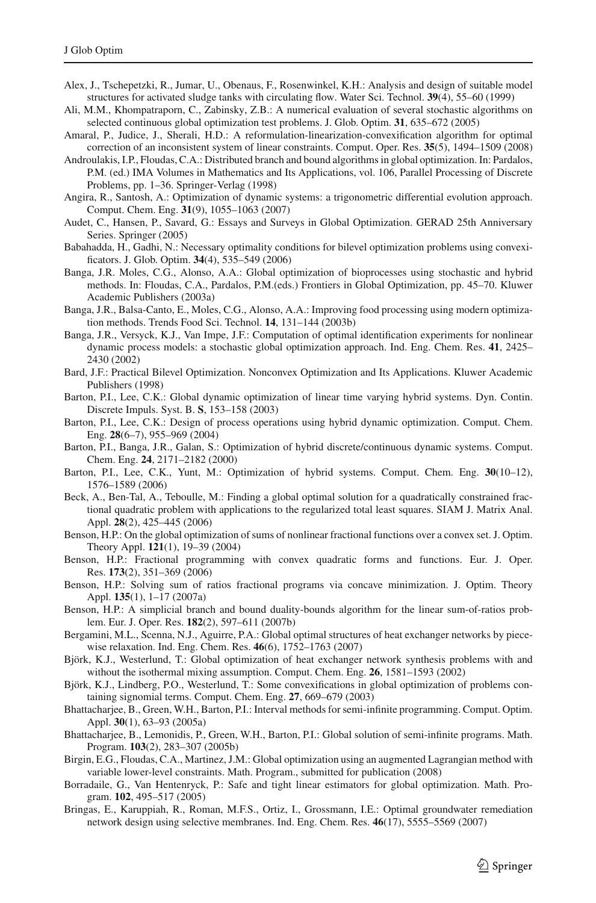- <span id="page-24-16"></span>Alex, J., Tschepetzki, R., Jumar, U., Obenaus, F., Rosenwinkel, K.H.: Analysis and design of suitable model structures for activated sludge tanks with circulating flow. Water Sci. Technol. **39**(4), 55–60 (1999)
- <span id="page-24-2"></span>Ali, M.M., Khompatraporn, C., Zabinsky, Z.B.: A numerical evaluation of several stochastic algorithms on selected continuous global optimization test problems. J. Glob. Optim. **31**, 635–672 (2005)
- <span id="page-24-13"></span>Amaral, P., Judice, J., Sherali, H.D.: A reformulation-linearization-convexification algorithm for optimal correction of an inconsistent system of linear constraints. Comput. Oper. Res. **35**(5), 1494–1509 (2008)
- <span id="page-24-9"></span>Androulakis, I.P., Floudas, C.A.: Distributed branch and bound algorithms in global optimization. In: Pardalos, P.M. (ed.) IMA Volumes in Mathematics and Its Applications, vol. 106, Parallel Processing of Discrete Problems, pp. 1–36. Springer-Verlag (1998)
- <span id="page-24-24"></span>Angira, R., Santosh, A.: Optimization of dynamic systems: a trigonometric differential evolution approach. Comput. Chem. Eng. **31**(9), 1055–1063 (2007)
- <span id="page-24-1"></span>Audet, C., Hansen, P., Savard, G.: Essays and Surveys in Global Optimization. GERAD 25th Anniversary Series. Springer (2005)
- <span id="page-24-27"></span>Babahadda, H., Gadhi, N.: Necessary optimality conditions for bilevel optimization problems using convexificators. J. Glob. Optim. **34**(4), 535–549 (2006)
- <span id="page-24-20"></span>Banga, J.R. Moles, C.G., Alonso, A.A.: Global optimization of bioprocesses using stochastic and hybrid methods. In: Floudas, C.A., Pardalos, P.M.(eds.) Frontiers in Global Optimization, pp. 45–70. Kluwer Academic Publishers (2003a)
- <span id="page-24-21"></span>Banga, J.R., Balsa-Canto, E., Moles, C.G., Alonso, A.A.: Improving food processing using modern optimization methods. Trends Food Sci. Technol. **14**, 131–144 (2003b)
- <span id="page-24-18"></span>Banga, J.R., Versyck, K.J., Van Impe, J.F.: Computation of optimal identification experiments for nonlinear dynamic process models: a stochastic global optimization approach. Ind. Eng. Chem. Res. **41**, 2425– 2430 (2002)
- <span id="page-24-0"></span>Bard, J.F.: Practical Bilevel Optimization. Nonconvex Optimization and Its Applications. Kluwer Academic Publishers (1998)
- <span id="page-24-19"></span>Barton, P.I., Lee, C.K.: Global dynamic optimization of linear time varying hybrid systems. Dyn. Contin. Discrete Impuls. Syst. B. **S**, 153–158 (2003)
- <span id="page-24-22"></span>Barton, P.I., Lee, C.K.: Design of process operations using hybrid dynamic optimization. Comput. Chem. Eng. **28**(6–7), 955–969 (2004)
- <span id="page-24-17"></span>Barton, P.I., Banga, J.R., Galan, S.: Optimization of hybrid discrete/continuous dynamic systems. Comput. Chem. Eng. **24**, 2171–2182 (2000)
- <span id="page-24-23"></span>Barton, P.I., Lee, C.K., Yunt, M.: Optimization of hybrid systems. Comput. Chem. Eng. **30**(10–12), 1576–1589 (2006)
- <span id="page-24-5"></span>Beck, A., Ben-Tal, A., Teboulle, M.: Finding a global optimal solution for a quadratically constrained fractional quadratic problem with applications to the regularized total least squares. SIAM J. Matrix Anal. Appl. **28**(2), 425–445 (2006)
- <span id="page-24-4"></span>Benson, H.P.: On the global optimization of sums of nonlinear fractional functions over a convex set. J. Optim. Theory Appl. **121**(1), 19–39 (2004)
- <span id="page-24-6"></span>Benson, H.P.: Fractional programming with convex quadratic forms and functions. Eur. J. Oper. Res. **173**(2), 351–369 (2006)
- <span id="page-24-7"></span>Benson, H.P.: Solving sum of ratios fractional programs via concave minimization. J. Optim. Theory Appl. **135**(1), 1–17 (2007a)
- <span id="page-24-8"></span>Benson, H.P.: A simplicial branch and bound duality-bounds algorithm for the linear sum-of-ratios problem. Eur. J. Oper. Res. **182**(2), 597–611 (2007b)
- <span id="page-24-15"></span>Bergamini, M.L., Scenna, N.J., Aguirre, P.A.: Global optimal structures of heat exchanger networks by piecewise relaxation. Ind. Eng. Chem. Res. **46**(6), 1752–1763 (2007)
- <span id="page-24-14"></span>Björk, K.J., Westerlund, T.: Global optimization of heat exchanger network synthesis problems with and without the isothermal mixing assumption. Comput. Chem. Eng. **26**, 1581–1593 (2002)
- <span id="page-24-3"></span>Björk, K.J., Lindberg, P.O., Westerlund, T.: Some convexifications in global optimization of problems containing signomial terms. Comput. Chem. Eng. **27**, 669–679 (2003)
- <span id="page-24-25"></span>Bhattacharjee, B., Green, W.H., Barton, P.I.: Interval methods for semi-infinite programming. Comput. Optim. Appl. **30**(1), 63–93 (2005a)
- <span id="page-24-26"></span>Bhattacharjee, B., Lemonidis, P., Green, W.H., Barton, P.I.: Global solution of semi-infinite programs. Math. Program. **103**(2), 283–307 (2005b)
- <span id="page-24-11"></span>Birgin, E.G., Floudas, C.A., Martinez, J.M.: Global optimization using an augmented Lagrangian method with variable lower-level constraints. Math. Program., submitted for publication (2008)
- <span id="page-24-10"></span>Borradaile, G., Van Hentenryck, P.: Safe and tight linear estimators for global optimization. Math. Program. **102**, 495–517 (2005)
- <span id="page-24-12"></span>Bringas, E., Karuppiah, R., Roman, M.F.S., Ortiz, I., Grossmann, I.E.: Optimal groundwater remediation network design using selective membranes. Ind. Eng. Chem. Res. **46**(17), 5555–5569 (2007)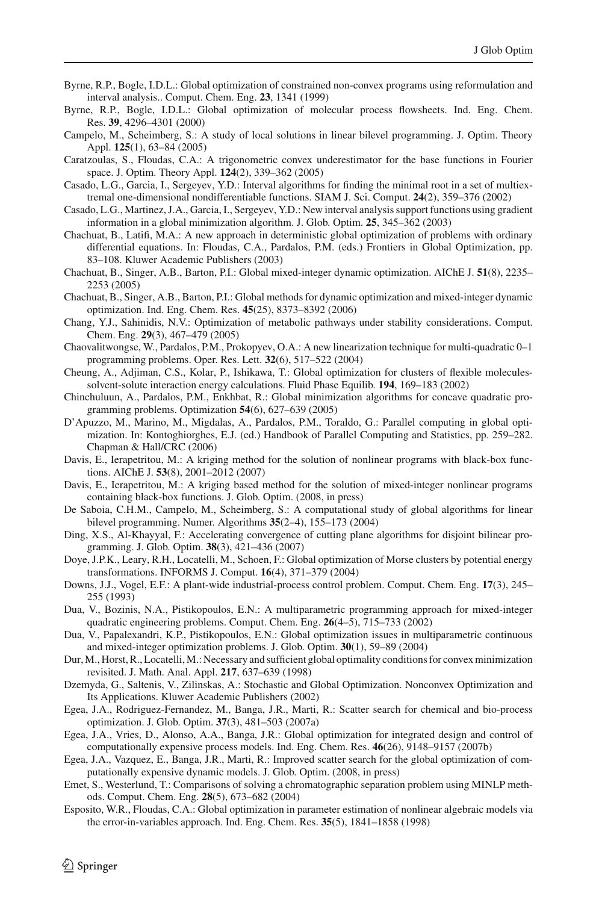- <span id="page-25-7"></span>Byrne, R.P., Bogle, I.D.L.: Global optimization of constrained non-convex programs using reformulation and interval analysis.. Comput. Chem. Eng. **23**, 1341 (1999)
- <span id="page-25-24"></span>Byrne, R.P., Bogle, I.D.L.: Global optimization of molecular process flowsheets. Ind. Eng. Chem. Res. **39**, 4296–4301 (2000)
- <span id="page-25-28"></span>Campelo, M., Scheimberg, S.: A study of local solutions in linear bilevel programming. J. Optim. Theory Appl. **125**(1), 63–84 (2005)
- <span id="page-25-3"></span>Caratzoulas, S., Floudas, C.A.: A trigonometric convex underestimator for the base functions in Fourier space. J. Optim. Theory Appl. **124**(2), 339–362 (2005)
- <span id="page-25-8"></span>Casado, L.G., Garcia, I., Sergeyev, Y.D.: Interval algorithms for finding the minimal root in a set of multiextremal one-dimensional nondifferentiable functions. SIAM J. Sci. Comput. **24**(2), 359–376 (2002)
- <span id="page-25-2"></span>Casado, L.G., Martinez, J.A., Garcia, I., Sergeyev, Y.D.: New interval analysis support functions using gradient information in a global minimization algorithm. J. Glob. Optim. **25**, 345–362 (2003)
- <span id="page-25-17"></span>Chachuat, B., Latifi, M.A.: A new approach in deterministic global optimization of problems with ordinary differential equations. In: Floudas, C.A., Pardalos, P.M. (eds.) Frontiers in Global Optimization, pp. 83–108. Kluwer Academic Publishers (2003)
- <span id="page-25-18"></span>Chachuat, B., Singer, A.B., Barton, P.I.: Global mixed-integer dynamic optimization. AIChE J. **51**(8), 2235– 2253 (2005)
- <span id="page-25-19"></span>Chachuat, B., Singer, A.B., Barton, P.I.: Global methods for dynamic optimization and mixed-integer dynamic optimization. Ind. Eng. Chem. Res. **45**(25), 8373–8392 (2006)
- <span id="page-25-23"></span>Chang, Y.J., Sahinidis, N.V.: Optimization of metabolic pathways under stability considerations. Comput. Chem. Eng. **29**(3), 467–479 (2005)
- <span id="page-25-14"></span>Chaovalitwongse, W., Pardalos, P.M., Prokopyev, O.A.: A new linearization technique for multi-quadratic 0–1 programming problems. Oper. Res. Lett. **32**(6), 517–522 (2004)
- <span id="page-25-10"></span>Cheung, A., Adjiman, C.S., Kolar, P., Ishikawa, T.: Global optimization for clusters of flexible moleculessolvent-solute interaction energy calculations. Fluid Phase Equilib. **194**, 169–183 (2002)
- <span id="page-25-4"></span>Chinchuluun, A., Pardalos, P.M., Enkhbat, R.: Global minimization algorithms for concave quadratic programming problems. Optimization **54**(6), 627–639 (2005)
- <span id="page-25-1"></span>D'Apuzzo, M., Marino, M., Migdalas, A., Pardalos, P.M., Toraldo, G.: Parallel computing in global optimization. In: Kontoghiorghes, E.J. (ed.) Handbook of Parallel Computing and Statistics, pp. 259–282. Chapman & Hall/CRC (2006)
- <span id="page-25-25"></span>Davis, E., Ierapetritou, M.: A kriging method for the solution of nonlinear programs with black-box functions. AIChE J. **53**(8), 2001–2012 (2007)
- <span id="page-25-26"></span>Davis, E., Ierapetritou, M.: A kriging based method for the solution of mixed-integer nonlinear programs containing black-box functions. J. Glob. Optim. (2008, in press)
- <span id="page-25-27"></span>De Saboia, C.H.M., Campelo, M., Scheimberg, S.: A computational study of global algorithms for linear bilevel programming. Numer. Algorithms **35**(2–4), 155–173 (2004)
- <span id="page-25-6"></span>Ding, X.S., Al-Khayyal, F.: Accelerating convergence of cutting plane algorithms for disjoint bilinear programming. J. Glob. Optim. **38**(3), 421–436 (2007)
- <span id="page-25-9"></span>Doye, J.P.K., Leary, R.H., Locatelli, M., Schoen, F.: Global optimization of Morse clusters by potential energy transformations. INFORMS J. Comput. **16**(4), 371–379 (2004)
- <span id="page-25-16"></span>Downs, J.J., Vogel, E.F.: A plant-wide industrial-process control problem. Comput. Chem. Eng. **17**(3), 245– 255 (1993)
- <span id="page-25-12"></span>Dua, V., Bozinis, N.A., Pistikopoulos, E.N.: A multiparametric programming approach for mixed-integer quadratic engineering problems. Comput. Chem. Eng. **26**(4–5), 715–733 (2002)
- <span id="page-25-13"></span>Dua, V., Papalexandri, K.P., Pistikopoulos, E.N.: Global optimization issues in multiparametric continuous and mixed-integer optimization problems. J. Glob. Optim. **30**(1), 59–89 (2004)
- <span id="page-25-5"></span>Dur, M., Horst, R., Locatelli, M.: Necessary and sufficient global optimality conditions for convex minimization revisited. J. Math. Anal. Appl. **217**, 637–639 (1998)
- <span id="page-25-0"></span>Dzemyda, G., Saltenis, V., Zilinskas, A.: Stochastic and Global Optimization. Nonconvex Optimization and Its Applications. Kluwer Academic Publishers (2002)
- <span id="page-25-22"></span>Egea, J.A., Rodriguez-Fernandez, M., Banga, J.R., Marti, R.: Scatter search for chemical and bio-process optimization. J. Glob. Optim. **37**(3), 481–503 (2007a)
- <span id="page-25-20"></span>Egea, J.A., Vries, D., Alonso, A.A., Banga, J.R.: Global optimization for integrated design and control of computationally expensive process models. Ind. Eng. Chem. Res. **46**(26), 9148–9157 (2007b)
- <span id="page-25-21"></span>Egea, J.A., Vazquez, E., Banga, J.R., Marti, R.: Improved scatter search for the global optimization of computationally expensive dynamic models. J. Glob. Optim. (2008, in press)
- <span id="page-25-15"></span>Emet, S., Westerlund, T.: Comparisons of solving a chromatographic separation problem using MINLP methods. Comput. Chem. Eng. **28**(5), 673–682 (2004)
- <span id="page-25-11"></span>Esposito, W.R., Floudas, C.A.: Global optimization in parameter estimation of nonlinear algebraic models via the error-in-variables approach. Ind. Eng. Chem. Res. **35**(5), 1841–1858 (1998)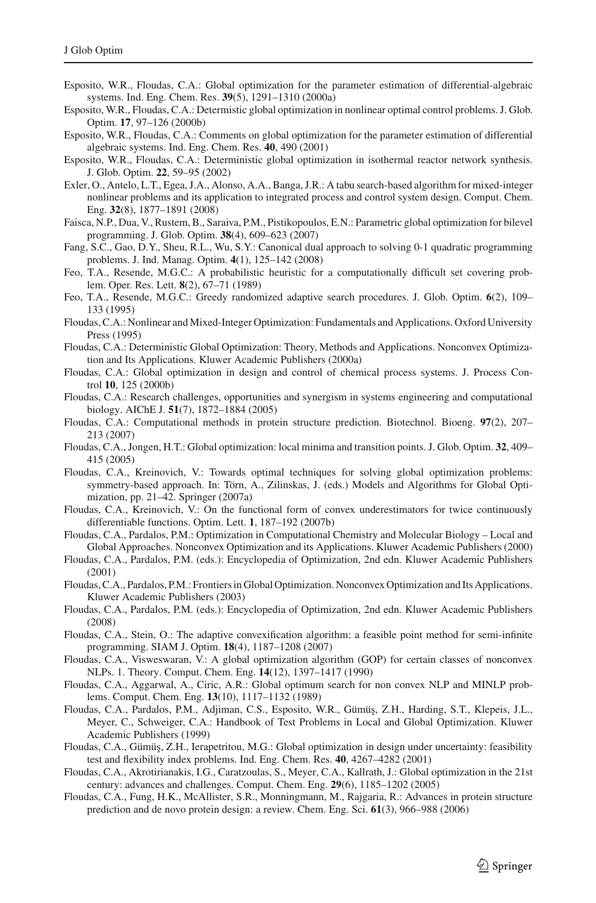- <span id="page-26-21"></span>Esposito, W.R., Floudas, C.A.: Global optimization for the parameter estimation of differential-algebraic systems. Ind. Eng. Chem. Res. **39**(5), 1291–1310 (2000a)
- <span id="page-26-22"></span>Esposito, W.R., Floudas, C.A.: Determistic global optimization in nonlinear optimal control problems. J. Glob. Optim. **17**, 97–126 (2000b)
- <span id="page-26-23"></span>Esposito, W.R., Floudas, C.A.: Comments on global optimization for the parameter estimation of differential algebraic systems. Ind. Eng. Chem. Res. **40**, 490 (2001)
- <span id="page-26-24"></span>Esposito, W.R., Floudas, C.A.: Deterministic global optimization in isothermal reactor network synthesis. J. Glob. Optim. **22**, 59–95 (2002)
- <span id="page-26-20"></span>Exler, O., Antelo, L.T., Egea, J.A., Alonso, A.A., Banga, J.R.: A tabu search-based algorithm for mixed-integer nonlinear problems and its application to integrated process and control system design. Comput. Chem. Eng. **32**(8), 1877–1891 (2008)
- <span id="page-26-27"></span>Faisca, N.P., Dua, V., Rustem, B., Saraiva, P.M., Pistikopoulos, E.N.: Parametric global optimization for bilevel programming. J. Glob. Optim. **38**(4), 609–623 (2007)
- <span id="page-26-17"></span>Fang, S.C., Gao, D.Y., Sheu, R.L., Wu, S.Y.: Canonical dual approach to solving 0-1 quadratic programming problems. J. Ind. Manag. Optim. **4**(1), 125–142 (2008)
- <span id="page-26-10"></span>Feo, T.A., Resende, M.G.C.: A probabilistic heuristic for a computationally difficult set covering problem. Oper. Res. Lett. **8**(2), 67–71 (1989)
- <span id="page-26-11"></span>Feo, T.A., Resende, M.G.C.: Greedy randomized adaptive search procedures. J. Glob. Optim. **6**(2), 109– 133 (1995)
- <span id="page-26-19"></span>Floudas, C.A.: Nonlinear and Mixed-Integer Optimization: Fundamentals and Applications. Oxford University Press (1995)
- <span id="page-26-0"></span>Floudas, C.A.: Deterministic Global Optimization: Theory, Methods and Applications. Nonconvex Optimization and Its Applications. Kluwer Academic Publishers (2000a)
- <span id="page-26-6"></span>Floudas, C.A.: Global optimization in design and control of chemical process systems. J. Process Control **10**, 125 (2000b)
- <span id="page-26-14"></span>Floudas, C.A.: Research challenges, opportunities and synergism in systems engineering and computational biology. AIChE J. **51**(7), 1872–1884 (2005)
- <span id="page-26-15"></span>Floudas, C.A.: Computational methods in protein structure prediction. Biotechnol. Bioeng. **97**(2), 207– 213 (2007)
- <span id="page-26-9"></span>Floudas, C.A., Jongen, H.T.: Global optimization: local minima and transition points. J. Glob. Optim. **32**, 409– 415 (2005)
- <span id="page-26-12"></span>Floudas, C.A., Kreinovich, V.: Towards optimal techniques for solving global optimization problems: symmetry-based approach. In: Törn, A., Zilinskas, J. (eds.) Models and Algorithms for Global Optimization, pp. 21–42. Springer (2007a)
- <span id="page-26-13"></span>Floudas, C.A., Kreinovich, V.: On the functional form of convex underestimators for twice continuously differentiable functions. Optim. Lett. **1**, 187–192 (2007b)
- <span id="page-26-1"></span>Floudas, C.A., Pardalos, P.M.: Optimization in Computational Chemistry and Molecular Biology – Local and Global Approaches. Nonconvex Optimization and its Applications. Kluwer Academic Publishers (2000)
- <span id="page-26-3"></span>Floudas, C.A., Pardalos, P.M. (eds.): Encyclopedia of Optimization, 2nd edn. Kluwer Academic Publishers (2001)
- <span id="page-26-2"></span>Floudas, C.A., Pardalos, P.M.: Frontiers in Global Optimization. Nonconvex Optimization and Its Applications. Kluwer Academic Publishers (2003)
- <span id="page-26-4"></span>Floudas, C.A., Pardalos, P.M. (eds.): Encyclopedia of Optimization, 2nd edn. Kluwer Academic Publishers (2008)
- <span id="page-26-25"></span>Floudas, C.A., Stein, O.: The adaptive convexification algorithm: a feasible point method for semi-infinite programming. SIAM J. Optim. **18**(4), 1187–1208 (2007)
- <span id="page-26-8"></span>Floudas, C.A., Visweswaran, V.: A global optimization algorithm (GOP) for certain classes of nonconvex NLPs. 1. Theory. Comput. Chem. Eng. **14**(12), 1397–1417 (1990)
- <span id="page-26-18"></span>Floudas, C.A., Aggarwal, A., Ciric, A.R.: Global optimum search for non convex NLP and MINLP problems. Comput. Chem. Eng. **13**(10), 1117–1132 (1989)
- <span id="page-26-5"></span>Floudas, C.A., Pardalos, P.M., Adjiman, C.S., Esposito, W.R., Gümüş, Z.H., Harding, S.T., Klepeis, J.L., Meyer, C., Schweiger, C.A.: Handbook of Test Problems in Local and Global Optimization. Kluwer Academic Publishers (1999)
- <span id="page-26-26"></span>Floudas, C.A., Gümüş, Z.H., Ierapetritou, M.G.: Global optimization in design under uncertainty: feasibility test and flexibility index problems. Ind. Eng. Chem. Res. **40**, 4267–4282 (2001)
- <span id="page-26-7"></span>Floudas, C.A., Akrotirianakis, I.G., Caratzoulas, S., Meyer, C.A., Kallrath, J.: Global optimization in the 21st century: advances and challenges. Comput. Chem. Eng. **29**(6), 1185–1202 (2005)
- <span id="page-26-16"></span>Floudas, C.A., Fung, H.K., McAllister, S.R., Monningmann, M., Rajgaria, R.: Advances in protein structure prediction and de novo protein design: a review. Chem. Eng. Sci. **61**(3), 966–988 (2006)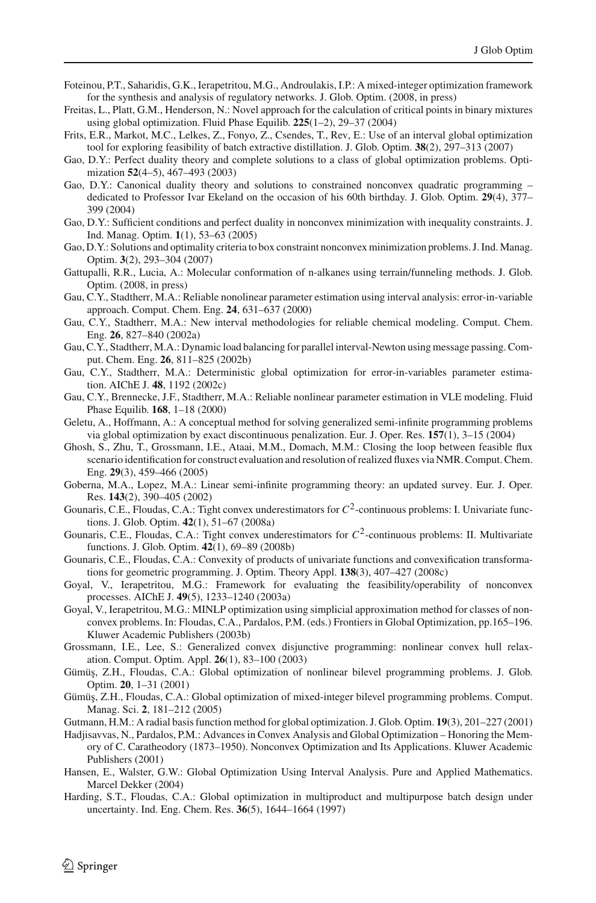- <span id="page-27-19"></span>Foteinou, P.T., Saharidis, G.K., Ierapetritou, M.G., Androulakis, I.P.: A mixed-integer optimization framework for the synthesis and analysis of regulatory networks. J. Glob. Optim. (2008, in press)
- <span id="page-27-13"></span>Freitas, L., Platt, G.M., Henderson, N.: Novel approach for the calculation of critical points in binary mixtures using global optimization. Fluid Phase Equilib. **225**(1–2), 29–37 (2004)
- <span id="page-27-21"></span>Frits, E.R., Markot, M.C., Lelkes, Z., Fonyo, Z., Csendes, T., Rev, E.: Use of an interval global optimization tool for exploring feasibility of batch extractive distillation. J. Glob. Optim. **38**(2), 297–313 (2007)
- <span id="page-27-7"></span>Gao, D.Y.: Perfect duality theory and complete solutions to a class of global optimization problems. Optimization **52**(4–5), 467–493 (2003)
- <span id="page-27-8"></span>Gao, D.Y.: Canonical duality theory and solutions to constrained nonconvex quadratic programming – dedicated to Professor Ivar Ekeland on the occasion of his 60th birthday. J. Glob. Optim. **29**(4), 377– 399 (2004)
- <span id="page-27-9"></span>Gao, D.Y.: Sufficient conditions and perfect duality in nonconvex minimization with inequality constraints. J. Ind. Manag. Optim. **1**(1), 53–63 (2005)
- <span id="page-27-10"></span>Gao, D.Y.: Solutions and optimality criteria to box constraint nonconvex minimization problems. J. Ind. Manag. Optim. **3**(2), 293–304 (2007)
- <span id="page-27-12"></span>Gattupalli, R.R., Lucia, A.: Molecular conformation of n-alkanes using terrain/funneling methods. J. Glob. Optim. (2008, in press)
- <span id="page-27-14"></span>Gau, C.Y., Stadtherr, M.A.: Reliable nonolinear parameter estimation using interval analysis: error-in-variable approach. Comput. Chem. Eng. **24**, 631–637 (2000)
- <span id="page-27-5"></span>Gau, C.Y., Stadtherr, M.A.: New interval methodologies for reliable chemical modeling. Comput. Chem. Eng. **26**, 827–840 (2002a)
- <span id="page-27-6"></span>Gau, C.Y., Stadtherr, M.A.: Dynamic load balancing for parallel interval-Newton using message passing. Comput. Chem. Eng. **26**, 811–825 (2002b)
- <span id="page-27-16"></span>Gau, C.Y., Stadtherr, M.A.: Deterministic global optimization for error-in-variables parameter estimation. AIChE J. **48**, 1192 (2002c)
- <span id="page-27-15"></span>Gau, C.Y., Brennecke, J.F., Stadtherr, M.A.: Reliable nonlinear parameter estimation in VLE modeling. Fluid Phase Equilib. **168**, 1–18 (2000)
- <span id="page-27-23"></span>Geletu, A., Hoffmann, A.: A conceptual method for solving generalized semi-infinite programming problems via global optimization by exact discontinuous penalization. Eur. J. Oper. Res. **157**(1), 3–15 (2004)
- <span id="page-27-18"></span>Ghosh, S., Zhu, T., Grossmann, I.E., Ataai, M.M., Domach, M.M.: Closing the loop between feasible flux scenario identification for construct evaluation and resolution of realized fluxes via NMR. Comput. Chem. Eng. **29**(3), 459–466 (2005)
- <span id="page-27-22"></span>Goberna, M.A., Lopez, M.A.: Linear semi-infinite programming theory: an updated survey. Eur. J. Oper. Res. **143**(2), 390–405 (2002)
- <span id="page-27-2"></span>Gounaris, C.E., Floudas, C.A.: Tight convex underestimators for  $C^2$ -continuous problems: I. Univariate functions. J. Glob. Optim. **42**(1), 51–67 (2008a)
- <span id="page-27-3"></span>Gounaris, C.E., Floudas, C.A.: Tight convex underestimators for *C*2-continuous problems: II. Multivariate functions. J. Glob. Optim. **42**(1), 69–89 (2008b)
- <span id="page-27-11"></span>Gounaris, C.E., Floudas, C.A.: Convexity of products of univariate functions and convexification transformations for geometric programming. J. Optim. Theory Appl. **138**(3), 407–427 (2008c)
- <span id="page-27-4"></span>Goyal, V., Ierapetritou, M.G.: Framework for evaluating the feasibility/operability of nonconvex processes. AIChE J. **49**(5), 1233–1240 (2003a)
- <span id="page-27-17"></span>Goyal, V., Ierapetritou, M.G.: MINLP optimization using simplicial approximation method for classes of nonconvex problems. In: Floudas, C.A., Pardalos, P.M. (eds.) Frontiers in Global Optimization, pp.165–196. Kluwer Academic Publishers (2003b)
- <span id="page-27-20"></span>Grossmann, I.E., Lee, S.: Generalized convex disjunctive programming: nonlinear convex hull relaxation. Comput. Optim. Appl. **26**(1), 83–100 (2003)
- <span id="page-27-25"></span>Gümüş, Z.H., Floudas, C.A.: Global optimization of nonlinear bilevel programming problems. J. Glob. Optim. **20**, 1–31 (2001)
- <span id="page-27-26"></span>Gümüş, Z.H., Floudas, C.A.: Global optimization of mixed-integer bilevel programming problems. Comput. Manag. Sci. **2**, 181–212 (2005)
- <span id="page-27-24"></span>Gutmann, H.M.: A radial basis function method for global optimization. J. Glob. Optim. **19**(3), 201–227 (2001)
- <span id="page-27-1"></span>Hadjisavvas, N., Pardalos, P.M.: Advances in Convex Analysis and Global Optimization – Honoring the Memory of C. Caratheodory (1873–1950). Nonconvex Optimization and Its Applications. Kluwer Academic Publishers (2001)
- <span id="page-27-0"></span>Hansen, E., Walster, G.W.: Global Optimization Using Interval Analysis. Pure and Applied Mathematics. Marcel Dekker (2004)
- <span id="page-27-27"></span>Harding, S.T., Floudas, C.A.: Global optimization in multiproduct and multipurpose batch design under uncertainty. Ind. Eng. Chem. Res. **36**(5), 1644–1664 (1997)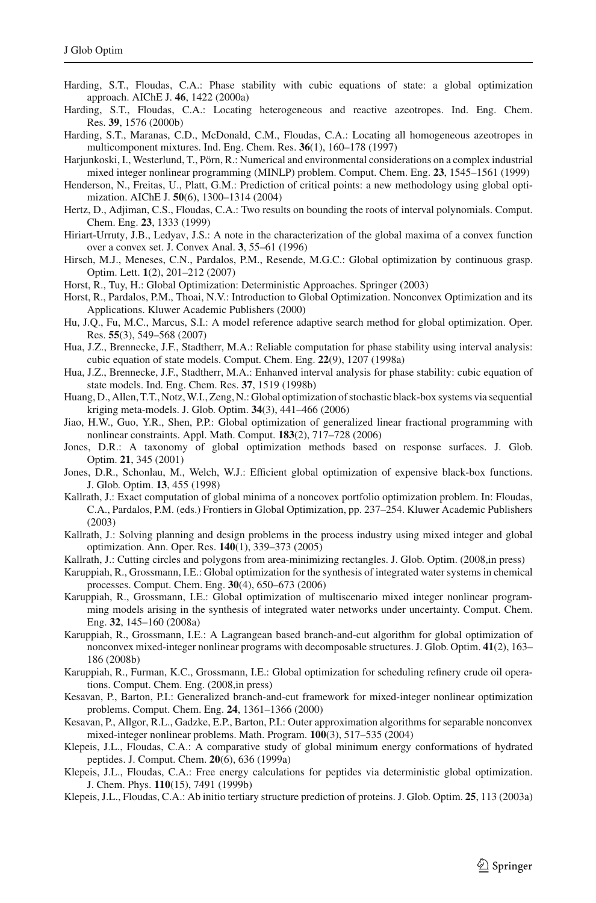- <span id="page-28-13"></span>Harding, S.T., Floudas, C.A.: Phase stability with cubic equations of state: a global optimization approach. AIChE J. **46**, 1422 (2000a)
- <span id="page-28-14"></span>Harding, S.T., Floudas, C.A.: Locating heterogeneous and reactive azeotropes. Ind. Eng. Chem. Res. **39**, 1576 (2000b)
- <span id="page-28-10"></span>Harding, S.T., Maranas, C.D., McDonald, C.M., Floudas, C.A.: Locating all homogeneous azeotropes in multicomponent mixtures. Ind. Eng. Chem. Res. **36**(1), 160–178 (1997)
- <span id="page-28-18"></span>Harjunkoski, I., Westerlund, T., Pörn, R.: Numerical and environmental considerations on a complex industrial mixed integer nonlinear programming (MINLP) problem. Comput. Chem. Eng. **23**, 1545–1561 (1999)
- <span id="page-28-15"></span>Henderson, N., Freitas, U., Platt, G.M.: Prediction of critical points: a new methodology using global optimization. AIChE J. **50**(6), 1300–1314 (2004)
- <span id="page-28-2"></span>Hertz, D., Adjiman, C.S., Floudas, C.A.: Two results on bounding the roots of interval polynomials. Comput. Chem. Eng. **23**, 1333 (1999)
- <span id="page-28-3"></span>Hiriart-Urruty, J.B., Ledyav, J.S.: A note in the characterization of the global maxima of a convex function over a convex set. J. Convex Anal. **3**, 55–61 (1996)
- <span id="page-28-5"></span>Hirsch, M.J., Meneses, C.N., Pardalos, P.M., Resende, M.G.C.: Global optimization by continuous grasp. Optim. Lett. **1**(2), 201–212 (2007)
- <span id="page-28-1"></span>Horst, R., Tuy, H.: Global Optimization: Deterministic Approaches. Springer (2003)
- <span id="page-28-0"></span>Horst, R., Pardalos, P.M., Thoai, N.V.: Introduction to Global Optimization. Nonconvex Optimization and its Applications. Kluwer Academic Publishers (2000)
- <span id="page-28-28"></span>Hu, J.Q., Fu, M.C., Marcus, S.I.: A model reference adaptive search method for global optimization. Oper. Res. **55**(3), 549–568 (2007)
- <span id="page-28-11"></span>Hua, J.Z., Brennecke, J.F., Stadtherr, M.A.: Reliable computation for phase stability using interval analysis: cubic equation of state models. Comput. Chem. Eng. **22**(9), 1207 (1998a)
- <span id="page-28-12"></span>Hua, J.Z., Brennecke, J.F., Stadtherr, M.A.: Enhanved interval analysis for phase stability: cubic equation of state models. Ind. Eng. Chem. Res. **37**, 1519 (1998b)
- <span id="page-28-27"></span>Huang, D., Allen, T.T., Notz, W.I., Zeng, N.: Global optimization of stochastic black-box systems via sequential kriging meta-models. J. Glob. Optim. **34**(3), 441–466 (2006)
- <span id="page-28-4"></span>Jiao, H.W., Guo, Y.R., Shen, P.P.: Global optimization of generalized linear fractional programming with nonlinear constraints. Appl. Math. Comput. **183**(2), 717–728 (2006)
- <span id="page-28-26"></span>Jones, D.R.: A taxonomy of global optimization methods based on response surfaces. J. Glob. Optim. **21**, 345 (2001)
- <span id="page-28-25"></span>Jones, D.R., Schonlau, M., Welch, W.J.: Efficient global optimization of expensive black-box functions. J. Glob. Optim. **13**, 455 (1998)
- <span id="page-28-19"></span>Kallrath, J.: Exact computation of global minima of a noncovex portfolio optimization problem. In: Floudas, C.A., Pardalos, P.M. (eds.) Frontiers in Global Optimization, pp. 237–254. Kluwer Academic Publishers (2003)
- <span id="page-28-20"></span>Kallrath, J.: Solving planning and design problems in the process industry using mixed integer and global optimization. Ann. Oper. Res. **140**(1), 339–373 (2005)
- <span id="page-28-9"></span>Kallrath, J.: Cutting circles and polygons from area-minimizing rectangles. J. Glob. Optim. (2008,in press)
- <span id="page-28-21"></span>Karuppiah, R., Grossmann, I.E.: Global optimization for the synthesis of integrated water systems in chemical processes. Comput. Chem. Eng. **30**(4), 650–673 (2006)
- <span id="page-28-22"></span>Karuppiah, R., Grossmann, I.E.: Global optimization of multiscenario mixed integer nonlinear programming models arising in the synthesis of integrated water networks under uncertainty. Comput. Chem. Eng. **32**, 145–160 (2008a)
- <span id="page-28-23"></span>Karuppiah, R., Grossmann, I.E.: A Lagrangean based branch-and-cut algorithm for global optimization of nonconvex mixed-integer nonlinear programs with decomposable structures. J. Glob. Optim. **41**(2), 163– 186 (2008b)
- <span id="page-28-24"></span>Karuppiah, R., Furman, K.C., Grossmann, I.E.: Global optimization for scheduling refinery crude oil operations. Comput. Chem. Eng. (2008,in press)
- <span id="page-28-16"></span>Kesavan, P., Barton, P.I.: Generalized branch-and-cut framework for mixed-integer nonlinear optimization problems. Comput. Chem. Eng. **24**, 1361–1366 (2000)
- <span id="page-28-17"></span>Kesavan, P., Allgor, R.L., Gadzke, E.P., Barton, P.I.: Outer approximation algorithms for separable nonconvex mixed-integer nonlinear problems. Math. Program. **100**(3), 517–535 (2004)
- <span id="page-28-6"></span>Klepeis, J.L., Floudas, C.A.: A comparative study of global minimum energy conformations of hydrated peptides. J. Comput. Chem. **20**(6), 636 (1999a)
- <span id="page-28-7"></span>Klepeis, J.L., Floudas, C.A.: Free energy calculations for peptides via deterministic global optimization. J. Chem. Phys. **110**(15), 7491 (1999b)
- <span id="page-28-8"></span>Klepeis, J.L., Floudas, C.A.: Ab initio tertiary structure prediction of proteins. J. Glob. Optim. **25**, 113 (2003a)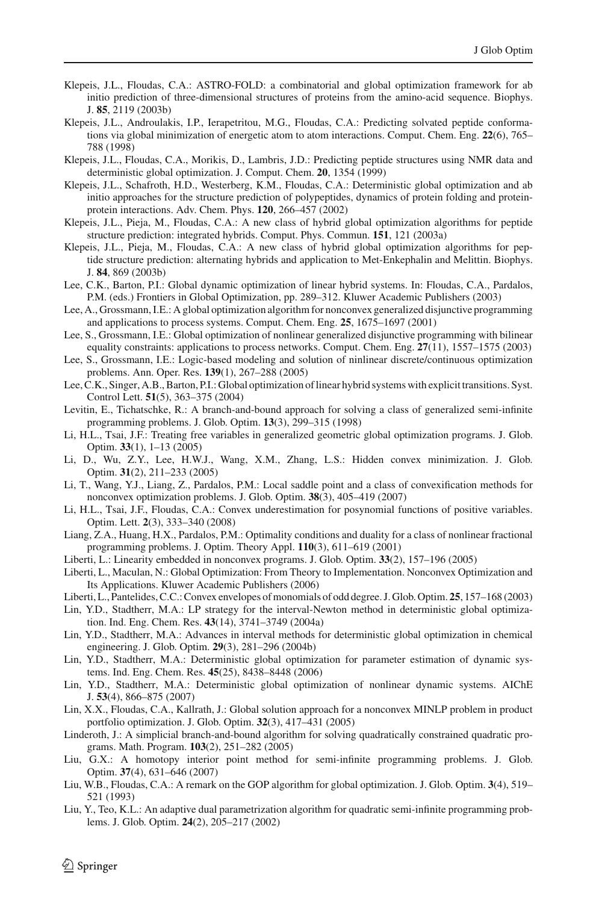- <span id="page-29-13"></span>Klepeis, J.L., Floudas, C.A.: ASTRO-FOLD: a combinatorial and global optimization framework for ab initio prediction of three-dimensional structures of proteins from the amino-acid sequence. Biophys. J. **85**, 2119 (2003b)
- <span id="page-29-10"></span>Klepeis, J.L., Androulakis, I.P., Ierapetritou, M.G., Floudas, C.A.: Predicting solvated peptide conformations via global minimization of energetic atom to atom interactions. Comput. Chem. Eng. **22**(6), 765– 788 (1998)
- <span id="page-29-11"></span>Klepeis, J.L., Floudas, C.A., Morikis, D., Lambris, J.D.: Predicting peptide structures using NMR data and deterministic global optimization. J. Comput. Chem. **20**, 1354 (1999)
- <span id="page-29-12"></span>Klepeis, J.L., Schafroth, H.D., Westerberg, K.M., Floudas, C.A.: Deterministic global optimization and ab initio approaches for the structure prediction of polypeptides, dynamics of protein folding and proteinprotein interactions. Adv. Chem. Phys. **120**, 266–457 (2002)
- <span id="page-29-14"></span>Klepeis, J.L., Pieja, M., Floudas, C.A.: A new class of hybrid global optimization algorithms for peptide structure prediction: integrated hybrids. Comput. Phys. Commun. **151**, 121 (2003a)
- <span id="page-29-15"></span>Klepeis, J.L., Pieja, M., Floudas, C.A.: A new class of hybrid global optimization algorithms for peptide structure prediction: alternating hybrids and application to Met-Enkephalin and Melittin. Biophys. J. **84**, 869 (2003b)
- <span id="page-29-22"></span>Lee, C.K., Barton, P.I.: Global dynamic optimization of linear hybrid systems. In: Floudas, C.A., Pardalos, P.M. (eds.) Frontiers in Global Optimization, pp. 289–312. Kluwer Academic Publishers (2003)
- <span id="page-29-19"></span>Lee, A., Grossmann, I.E.: A global optimization algorithm for nonconvex generalized disjunctive programming and applications to process systems. Comput. Chem. Eng. **25**, 1675–1697 (2001)
- <span id="page-29-20"></span>Lee, S., Grossmann, I.E.: Global optimization of nonlinear generalized disjunctive programming with bilinear equality constraints: applications to process networks. Comput. Chem. Eng. **27**(11), 1557–1575 (2003)
- <span id="page-29-21"></span>Lee, S., Grossmann, I.E.: Logic-based modeling and solution of ninlinear discrete/continuous optimization problems. Ann. Oper. Res. **139**(1), 267–288 (2005)
- <span id="page-29-23"></span>Lee, C.K., Singer, A.B., Barton, P.I.: Global optimization of linear hybrid systems with explicit transitions. Syst. Control Lett. **51**(5), 363–375 (2004)
- <span id="page-29-26"></span>Levitin, E., Tichatschke, R.: A branch-and-bound approach for solving a class of generalized semi-infinite programming problems. J. Glob. Optim. **13**(3), 299–315 (1998)
- <span id="page-29-8"></span>Li, H.L., Tsai, J.F.: Treating free variables in generalized geometric global optimization programs. J. Glob. Optim. **33**(1), 1–13 (2005)
- <span id="page-29-2"></span>Li, D., Wu, Z.Y., Lee, H.W.J., Wang, X.M., Zhang, L.S.: Hidden convex minimization. J. Glob. Optim. **31**(2), 211–233 (2005)
- <span id="page-29-9"></span>Li, T., Wang, Y.J., Liang, Z., Pardalos, P.M.: Local saddle point and a class of convexification methods for nonconvex optimization problems. J. Glob. Optim. **38**(3), 405–419 (2007)
- <span id="page-29-4"></span>Li, H.L., Tsai, J.F., Floudas, C.A.: Convex underestimation for posynomial functions of positive variables. Optim. Lett. **2**(3), 333–340 (2008)
- <span id="page-29-5"></span>Liang, Z.A., Huang, H.X., Pardalos, P.M.: Optimality conditions and duality for a class of nonlinear fractional programming problems. J. Optim. Theory Appl. **110**(3), 611–619 (2001)
- <span id="page-29-6"></span>Liberti, L.: Linearity embedded in nonconvex programs. J. Glob. Optim. **33**(2), 157–196 (2005)
- <span id="page-29-0"></span>Liberti, L., Maculan, N.: Global Optimization: From Theory to Implementation. Nonconvex Optimization and Its Applications. Kluwer Academic Publishers (2006)
- <span id="page-29-1"></span>Liberti, L., Pantelides, C.C.: Convex envelopes of monomials of odd degree. J. Glob. Optim. **25**, 157–168 (2003)
- <span id="page-29-16"></span>Lin, Y.D., Stadtherr, M.A.: LP strategy for the interval-Newton method in deterministic global optimization. Ind. Eng. Chem. Res. **43**(14), 3741–3749 (2004a)
- <span id="page-29-17"></span>Lin, Y.D., Stadtherr, M.A.: Advances in interval methods for deterministic global optimization in chemical engineering. J. Glob. Optim. **29**(3), 281–296 (2004b)
- <span id="page-29-24"></span>Lin, Y.D., Stadtherr, M.A.: Deterministic global optimization for parameter estimation of dynamic systems. Ind. Eng. Chem. Res. **45**(25), 8438–8448 (2006)
- <span id="page-29-25"></span>Lin, Y.D., Stadtherr, M.A.: Deterministic global optimization of nonlinear dynamic systems. AIChE J. **53**(4), 866–875 (2007)
- <span id="page-29-18"></span>Lin, X.X., Floudas, C.A., Kallrath, J.: Global solution approach for a nonconvex MINLP problem in product portfolio optimization. J. Glob. Optim. **32**(3), 417–431 (2005)
- <span id="page-29-7"></span>Linderoth, J.: A simplicial branch-and-bound algorithm for solving quadratically constrained quadratic programs. Math. Program. **103**(2), 251–282 (2005)
- <span id="page-29-28"></span>Liu, G.X.: A homotopy interior point method for semi-infinite programming problems. J. Glob. Optim. **37**(4), 631–646 (2007)
- <span id="page-29-3"></span>Liu, W.B., Floudas, C.A.: A remark on the GOP algorithm for global optimization. J. Glob. Optim. **3**(4), 519– 521 (1993)
- <span id="page-29-27"></span>Liu, Y., Teo, K.L.: An adaptive dual parametrization algorithm for quadratic semi-infinite programming problems. J. Glob. Optim. **24**(2), 205–217 (2002)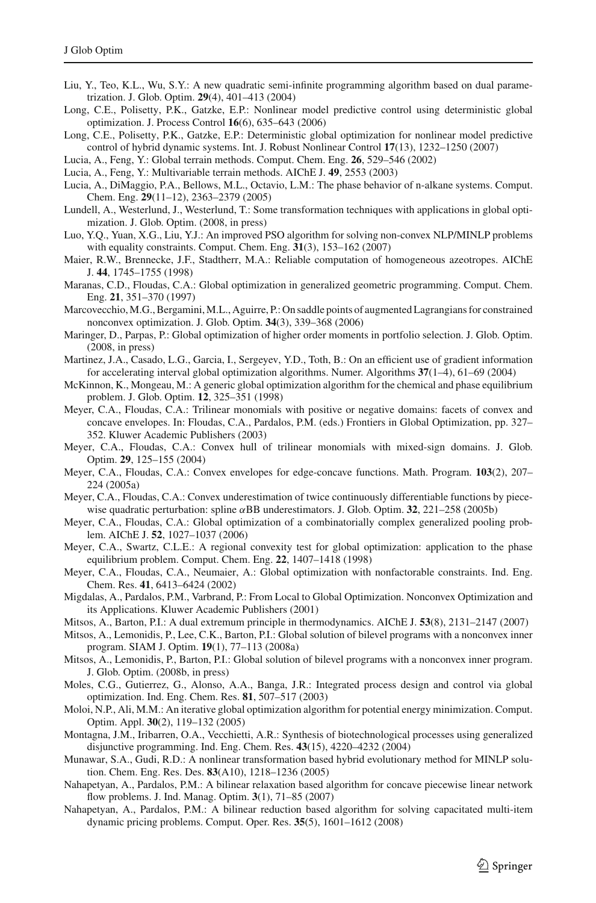- <span id="page-30-27"></span>Liu, Y., Teo, K.L., Wu, S.Y.: A new quadratic semi-infinite programming algorithm based on dual parametrization. J. Glob. Optim. **29**(4), 401–413 (2004)
- <span id="page-30-25"></span>Long, C.E., Polisetty, P.K., Gatzke, E.P.: Nonlinear model predictive control using deterministic global optimization. J. Process Control **16**(6), 635–643 (2006)
- <span id="page-30-26"></span>Long, C.E., Polisetty, P.K., Gatzke, E.P.: Deterministic global optimization for nonlinear model predictive control of hybrid dynamic systems. Int. J. Robust Nonlinear Control **17**(13), 1232–1250 (2007)
- <span id="page-30-8"></span>Lucia, A., Feng, Y.: Global terrain methods. Comput. Chem. Eng. **26**, 529–546 (2002)
- <span id="page-30-9"></span>Lucia, A., Feng, Y.: Multivariable terrain methods. AIChE J. **49**, 2553 (2003)
- <span id="page-30-18"></span>Lucia, A., DiMaggio, P.A., Bellows, M.L., Octavio, L.M.: The phase behavior of n-alkane systems. Comput. Chem. Eng. **29**(11–12), 2363–2379 (2005)
- <span id="page-30-5"></span>Lundell, A., Westerlund, J., Westerlund, T.: Some transformation techniques with applications in global optimization. J. Glob. Optim. (2008, in press)
- <span id="page-30-21"></span>Luo, Y.Q., Yuan, X.G., Liu, Y.J.: An improved PSO algorithm for solving non-convex NLP/MINLP problems with equality constraints. Comput. Chem. Eng. **31**(3), 153–162 (2007)
- <span id="page-30-15"></span>Maier, R.W., Brennecke, J.F., Stadtherr, M.A.: Reliable computation of homogeneous azeotropes. AIChE J. **44**, 1745–1755 (1998)
- <span id="page-30-12"></span>Maranas, C.D., Floudas, C.A.: Global optimization in generalized geometric programming. Comput. Chem. Eng. **21**, 351–370 (1997)
- <span id="page-30-11"></span>Marcovecchio, M.G., Bergamini, M.L., Aguirre, P.: On saddle points of augmented Lagrangians for constrained nonconvex optimization. J. Glob. Optim. **34**(3), 339–368 (2006)
- <span id="page-30-14"></span>Maringer, D., Parpas, P.: Global optimization of higher order moments in portfolio selection. J. Glob. Optim. (2008, in press)
- <span id="page-30-10"></span>Martinez, J.A., Casado, L.G., Garcia, I., Sergeyev, Y.D., Toth, B.: On an efficient use of gradient information for accelerating interval global optimization algorithms. Numer. Algorithms **37**(1–4), 61–69 (2004)
- <span id="page-30-17"></span>McKinnon, K., Mongeau, M.: A generic global optimization algorithm for the chemical and phase equilibrium problem. J. Glob. Optim. **12**, 325–351 (1998)
- <span id="page-30-1"></span>Meyer, C.A., Floudas, C.A.: Trilinear monomials with positive or negative domains: facets of convex and concave envelopes. In: Floudas, C.A., Pardalos, P.M. (eds.) Frontiers in Global Optimization, pp. 327– 352. Kluwer Academic Publishers (2003)
- <span id="page-30-2"></span>Meyer, C.A., Floudas, C.A.: Convex hull of trilinear monomials with mixed-sign domains. J. Glob. Optim. **29**, 125–155 (2004)
- <span id="page-30-3"></span>Meyer, C.A., Floudas, C.A.: Convex envelopes for edge-concave functions. Math. Program. **103**(2), 207– 224 (2005a)
- <span id="page-30-4"></span>Meyer, C.A., Floudas, C.A.: Convex underestimation of twice continuously differentiable functions by piecewise quadratic perturbation: spline αBB underestimators. J. Glob. Optim. **32**, 221–258 (2005b)
- <span id="page-30-22"></span>Meyer, C.A., Floudas, C.A.: Global optimization of a combinatorially complex generalized pooling problem. AIChE J. **52**, 1027–1037 (2006)
- <span id="page-30-16"></span>Meyer, C.A., Swartz, C.L.E.: A regional convexity test for global optimization: application to the phase equilibrium problem. Comput. Chem. Eng. **22**, 1407–1418 (1998)
- <span id="page-30-29"></span>Meyer, C.A., Floudas, C.A., Neumaier, A.: Global optimization with nonfactorable constraints. Ind. Eng. Chem. Res. **41**, 6413–6424 (2002)
- <span id="page-30-0"></span>Migdalas, A., Pardalos, P.M., Varbrand, P.: From Local to Global Optimization. Nonconvex Optimization and its Applications. Kluwer Academic Publishers (2001)
- <span id="page-30-19"></span>Mitsos, A., Barton, P.I.: A dual extremum principle in thermodynamics. AIChE J. **53**(8), 2131–2147 (2007)
- <span id="page-30-28"></span>Mitsos, A., Lemonidis, P., Lee, C.K., Barton, P.I.: Global solution of bilevel programs with a nonconvex inner program. SIAM J. Optim. **19**(1), 77–113 (2008a)
- <span id="page-30-30"></span>Mitsos, A., Lemonidis, P., Barton, P.I.: Global solution of bilevel programs with a nonconvex inner program. J. Glob. Optim. (2008b, in press)
- <span id="page-30-24"></span>Moles, C.G., Gutierrez, G., Alonso, A.A., Banga, J.R.: Integrated process design and control via global optimization. Ind. Eng. Chem. Res. **81**, 507–517 (2003)
- <span id="page-30-13"></span>Moloi, N.P., Ali, M.M.: An iterative global optimization algorithm for potential energy minimization. Comput. Optim. Appl. **30**(2), 119–132 (2005)
- <span id="page-30-23"></span>Montagna, J.M., Iribarren, O.A., Vecchietti, A.R.: Synthesis of biotechnological processes using generalized disjunctive programming. Ind. Eng. Chem. Res. **43**(15), 4220–4232 (2004)
- <span id="page-30-20"></span>Munawar, S.A., Gudi, R.D.: A nonlinear transformation based hybrid evolutionary method for MINLP solution. Chem. Eng. Res. Des. **83**(A10), 1218–1236 (2005)
- <span id="page-30-6"></span>Nahapetyan, A., Pardalos, P.M.: A bilinear relaxation based algorithm for concave piecewise linear network flow problems. J. Ind. Manag. Optim. **3**(1), 71–85 (2007)
- <span id="page-30-7"></span>Nahapetyan, A., Pardalos, P.M.: A bilinear reduction based algorithm for solving capacitated multi-item dynamic pricing problems. Comput. Oper. Res. **35**(5), 1601–1612 (2008)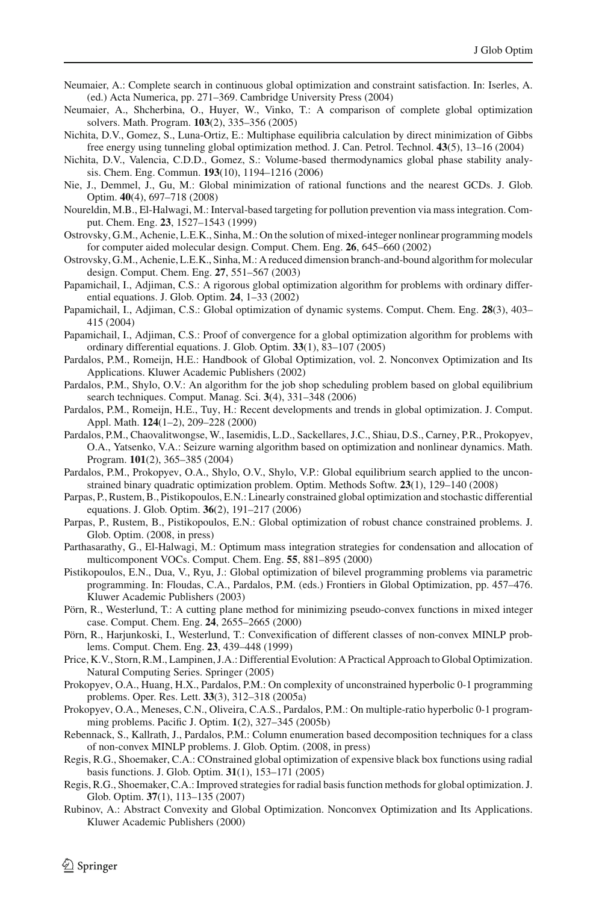- <span id="page-31-5"></span>Neumaier, A.: Complete search in continuous global optimization and constraint satisfaction. In: Iserles, A. (ed.) Acta Numerica, pp. 271–369. Cambridge University Press (2004)
- <span id="page-31-3"></span>Neumaier, A., Shcherbina, O., Huyer, W., Vinko, T.: A comparison of complete global optimization solvers. Math. Program. **103**(2), 335–356 (2005)
- <span id="page-31-9"></span>Nichita, D.V., Gomez, S., Luna-Ortiz, E.: Multiphase equilibria calculation by direct minimization of Gibbs free energy using tunneling global optimization method. J. Can. Petrol. Technol. **43**(5), 13–16 (2004)
- <span id="page-31-10"></span>Nichita, D.V., Valencia, C.D.D., Gomez, S.: Volume-based thermodynamics global phase stability analysis. Chem. Eng. Commun. **193**(10), 1194–1216 (2006)
- <span id="page-31-6"></span>Nie, J., Demmel, J., Gu, M.: Global minimization of rational functions and the nearest GCDs. J. Glob. Optim. **40**(4), 697–718 (2008)
- <span id="page-31-17"></span>Noureldin, M.B., El-Halwagi, M.: Interval-based targeting for pollution prevention via mass integration. Comput. Chem. Eng. **23**, 1527–1543 (1999)
- <span id="page-31-13"></span>Ostrovsky, G.M., Achenie, L.E.K., Sinha, M.: On the solution of mixed-integer nonlinear programming models for computer aided molecular design. Comput. Chem. Eng. **26**, 645–660 (2002)
- <span id="page-31-19"></span>Ostrovsky, G.M., Achenie, L.E.K., Sinha, M.: A reduced dimension branch-and-bound algorithm for molecular design. Comput. Chem. Eng. **27**, 551–567 (2003)
- <span id="page-31-23"></span>Papamichail, I., Adjiman, C.S.: A rigorous global optimization algorithm for problems with ordinary differential equations. J. Glob. Optim. **24**, 1–33 (2002)
- <span id="page-31-24"></span>Papamichail, I., Adjiman, C.S.: Global optimization of dynamic systems. Comput. Chem. Eng. **28**(3), 403– 415 (2004)
- <span id="page-31-25"></span>Papamichail, I., Adjiman, C.S.: Proof of convergence for a global optimization algorithm for problems with ordinary differential equations. J. Glob. Optim. **33**(1), 83–107 (2005)
- <span id="page-31-2"></span>Pardalos, P.M., Romeijn, H.E.: Handbook of Global Optimization, vol. 2. Nonconvex Optimization and Its Applications. Kluwer Academic Publishers (2002)
- <span id="page-31-21"></span>Pardalos, P.M., Shylo, O.V.: An algorithm for the job shop scheduling problem based on global equilibrium search techniques. Comput. Manag. Sci. **3**(4), 331–348 (2006)
- <span id="page-31-4"></span>Pardalos, P.M., Romeijn, H.E., Tuy, H.: Recent developments and trends in global optimization. J. Comput. Appl. Math. **124**(1–2), 209–228 (2000)
- <span id="page-31-20"></span>Pardalos, P.M., Chaovalitwongse, W., Iasemidis, L.D., Sackellares, J.C., Shiau, D.S., Carney, P.R., Prokopyev, O.A., Yatsenko, V.A.: Seizure warning algorithm based on optimization and nonlinear dynamics. Math. Program. **101**(2), 365–385 (2004)
- <span id="page-31-16"></span>Pardalos, P.M., Prokopyev, O.A., Shylo, O.V., Shylo, V.P.: Global equilibrium search applied to the unconstrained binary quadratic optimization problem. Optim. Methods Softw. **23**(1), 129–140 (2008)
- <span id="page-31-7"></span>Parpas, P., Rustem, B., Pistikopoulos, E.N.: Linearly constrained global optimization and stochastic differential equations. J. Glob. Optim. **36**(2), 191–217 (2006)
- <span id="page-31-8"></span>Parpas, P., Rustem, B., Pistikopoulos, E.N.: Global optimization of robust chance constrained problems. J. Glob. Optim. (2008, in press)
- <span id="page-31-18"></span>Parthasarathy, G., El-Halwagi, M.: Optimum mass integration strategies for condensation and allocation of multicomponent VOCs. Comput. Chem. Eng. **55**, 881–895 (2000)
- <span id="page-31-28"></span>Pistikopoulos, E.N., Dua, V., Ryu, J.: Global optimization of bilevel programming problems via parametric programming. In: Floudas, C.A., Pardalos, P.M. (eds.) Frontiers in Global Optimization, pp. 457–476. Kluwer Academic Publishers (2003)
- <span id="page-31-12"></span>Pörn, R., Westerlund, T.: A cutting plane method for minimizing pseudo-convex functions in mixed integer case. Comput. Chem. Eng. **24**, 2655–2665 (2000)
- <span id="page-31-11"></span>Pörn, R., Harjunkoski, I., Westerlund, T.: Convexification of different classes of non-convex MINLP problems. Comput. Chem. Eng. **23**, 439–448 (1999)
- <span id="page-31-1"></span>Price, K.V., Storn, R.M., Lampinen, J.A.: Differential Evolution: A Practical Approach to Global Optimization. Natural Computing Series. Springer (2005)
- <span id="page-31-14"></span>Prokopyev, O.A., Huang, H.X., Pardalos, P.M.: On complexity of unconstrained hyperbolic 0-1 programming problems. Oper. Res. Lett. **33**(3), 312–318 (2005a)
- <span id="page-31-15"></span>Prokopyev, O.A., Meneses, C.N., Oliveira, C.A.S., Pardalos, P.M.: On multiple-ratio hyperbolic 0-1 programming problems. Pacific J. Optim. **1**(2), 327–345 (2005b)
- <span id="page-31-22"></span>Rebennack, S., Kallrath, J., Pardalos, P.M.: Column enumeration based decomposition techniques for a class of non-convex MINLP problems. J. Glob. Optim. (2008, in press)
- <span id="page-31-26"></span>Regis, R.G., Shoemaker, C.A.: COnstrained global optimization of expensive black box functions using radial basis functions. J. Glob. Optim. **31**(1), 153–171 (2005)
- <span id="page-31-27"></span>Regis, R.G., Shoemaker, C.A.: Improved strategies for radial basis function methods for global optimization. J. Glob. Optim. **37**(1), 113–135 (2007)
- <span id="page-31-0"></span>Rubinov, A.: Abstract Convexity and Global Optimization. Nonconvex Optimization and Its Applications. Kluwer Academic Publishers (2000)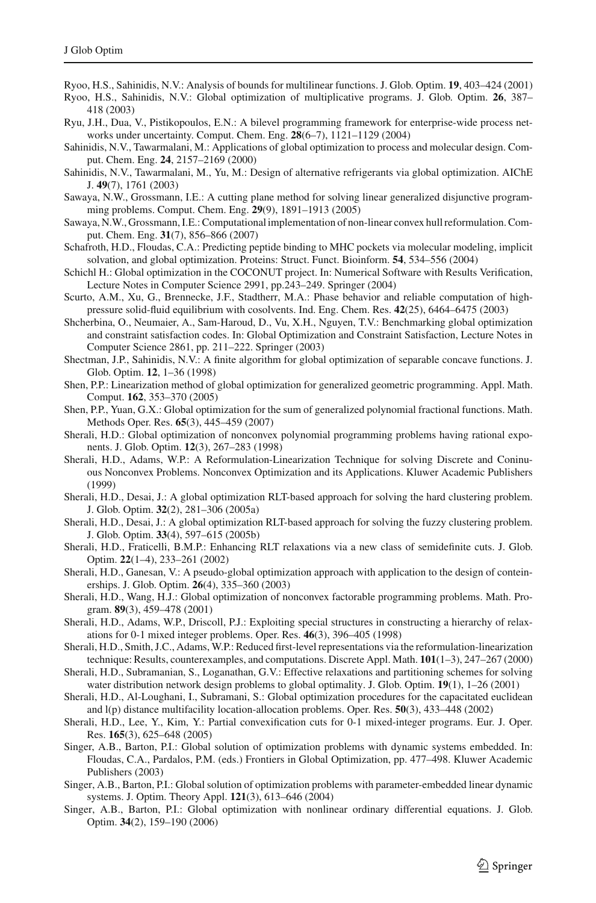- <span id="page-32-3"></span>Ryoo, H.S., Sahinidis, N.V.: Analysis of bounds for multilinear functions. J. Glob. Optim. **19**, 403–424 (2001)
- <span id="page-32-6"></span>Ryoo, H.S., Sahinidis, N.V.: Global optimization of multiplicative programs. J. Glob. Optim. **26**, 387– 418 (2003)
- <span id="page-32-28"></span>Ryu, J.H., Dua, V., Pistikopoulos, E.N.: A bilevel programming framework for enterprise-wide process networks under uncertainty. Comput. Chem. Eng. **28**(6–7), 1121–1129 (2004)
- <span id="page-32-18"></span>Sahinidis, N.V., Tawarmalani, M.: Applications of global optimization to process and molecular design. Comput. Chem. Eng. **24**, 2157–2169 (2000)
- <span id="page-32-19"></span>Sahinidis, N.V., Tawarmalani, M., Yu, M.: Design of alternative refrigerants via global optimization. AIChE J. **49**(7), 1761 (2003)
- <span id="page-32-22"></span>Sawaya, N.W., Grossmann, I.E.: A cutting plane method for solving linear generalized disjunctive programming problems. Comput. Chem. Eng. **29**(9), 1891–1913 (2005)
- <span id="page-32-23"></span>Sawaya, N.W., Grossmann, I.E.: Computational implementation of non-linear convex hull reformulation. Comput. Chem. Eng. **31**(7), 856–866 (2007)
- <span id="page-32-14"></span>Schafroth, H.D., Floudas, C.A.: Predicting peptide binding to MHC pockets via molecular modeling, implicit solvation, and global optimization. Proteins: Struct. Funct. Bioinform. **54**, 534–556 (2004)
- <span id="page-32-2"></span>Schichl H.: Global optimization in the COCONUT project. In: Numerical Software with Results Verification, Lecture Notes in Computer Science 2991, pp.243–249. Springer (2004)
- <span id="page-32-15"></span>Scurto, A.M., Xu, G., Brennecke, J.F., Stadtherr, M.A.: Phase behavior and reliable computation of highpressure solid-fluid equilibrium with cosolvents. Ind. Eng. Chem. Res. **42**(25), 6464–6475 (2003)
- <span id="page-32-1"></span>Shcherbina, O., Neumaier, A., Sam-Haroud, D., Vu, X.H., Nguyen, T.V.: Benchmarking global optimization and constraint satisfaction codes. In: Global Optimization and Constraint Satisfaction, Lecture Notes in Computer Science 2861, pp. 211–222. Springer (2003)
- <span id="page-32-5"></span>Shectman, J.P., Sahinidis, N.V.: A finite algorithm for global optimization of separable concave functions. J. Glob. Optim. **12**, 1–36 (1998)
- <span id="page-32-11"></span>Shen, P.P.: Linearization method of global optimization for generalized geometric programming. Appl. Math. Comput. **162**, 353–370 (2005)
- <span id="page-32-7"></span>Shen, P.P., Yuan, G.X.: Global optimization for the sum of generalized polynomial fractional functions. Math. Methods Oper. Res. **65**(3), 445–459 (2007)
- <span id="page-32-8"></span>Sherali, H.D.: Global optimization of nonconvex polynomial programming problems having rational exponents. J. Glob. Optim. **12**(3), 267–283 (1998)
- <span id="page-32-0"></span>Sherali, H.D., Adams, W.P.: A Reformulation-Linearization Technique for solving Discrete and Coninuous Nonconvex Problems. Nonconvex Optimization and its Applications. Kluwer Academic Publishers (1999)
- <span id="page-32-20"></span>Sherali, H.D., Desai, J.: A global optimization RLT-based approach for solving the hard clustering problem. J. Glob. Optim. **32**(2), 281–306 (2005a)
- <span id="page-32-21"></span>Sherali, H.D., Desai, J.: A global optimization RLT-based approach for solving the fuzzy clustering problem. J. Glob. Optim. **33**(4), 597–615 (2005b)
- <span id="page-32-10"></span>Sherali, H.D., Fraticelli, B.M.P.: Enhancing RLT relaxations via a new class of semidefinite cuts. J. Glob. Optim. **22**(1–4), 233–261 (2002)
- <span id="page-32-27"></span>Sherali, H.D., Ganesan, V.: A pseudo-global optimization approach with application to the design of conteinerships. J. Glob. Optim. **26**(4), 335–360 (2003)
- <span id="page-32-9"></span>Sherali, H.D., Wang, H.J.: Global optimization of nonconvex factorable programming problems. Math. Program. **89**(3), 459–478 (2001)
- <span id="page-32-16"></span>Sherali, H.D., Adams, W.P., Driscoll, P.J.: Exploiting special structures in constructing a hierarchy of relaxations for 0-1 mixed integer problems. Oper. Res. **46**(3), 396–405 (1998)
- <span id="page-32-17"></span>Sherali, H.D., Smith, J.C., Adams, W.P.: Reduced first-level representations via the reformulation-linearization technique: Results, counterexamples, and computations. Discrete Appl. Math. **101**(1–3), 247–267 (2000)
- <span id="page-32-12"></span>Sherali, H.D., Subramanian, S., Loganathan, G.V.: Effective relaxations and partitioning schemes for solving water distribution network design problems to global optimality. J. Glob. Optim. **19**(1), 1–26 (2001)
- <span id="page-32-13"></span>Sherali, H.D., Al-Loughani, I., Subramani, S.: Global optimization procedures for the capacitated euclidean and l(p) distance multifacility location-allocation problems. Oper. Res. **50**(3), 433–448 (2002)
- <span id="page-32-4"></span>Sherali, H.D., Lee, Y., Kim, Y.: Partial convexification cuts for 0-1 mixed-integer programs. Eur. J. Oper. Res. **165**(3), 625–648 (2005)
- <span id="page-32-24"></span>Singer, A.B., Barton, P.I.: Global solution of optimization problems with dynamic systems embedded. In: Floudas, C.A., Pardalos, P.M. (eds.) Frontiers in Global Optimization, pp. 477–498. Kluwer Academic Publishers (2003)
- <span id="page-32-25"></span>Singer, A.B., Barton, P.I.: Global solution of optimization problems with parameter-embedded linear dynamic systems. J. Optim. Theory Appl. **121**(3), 613–646 (2004)
- <span id="page-32-26"></span>Singer, A.B., Barton, P.I.: Global optimization with nonlinear ordinary differential equations. J. Glob. Optim. **34**(2), 159–190 (2006)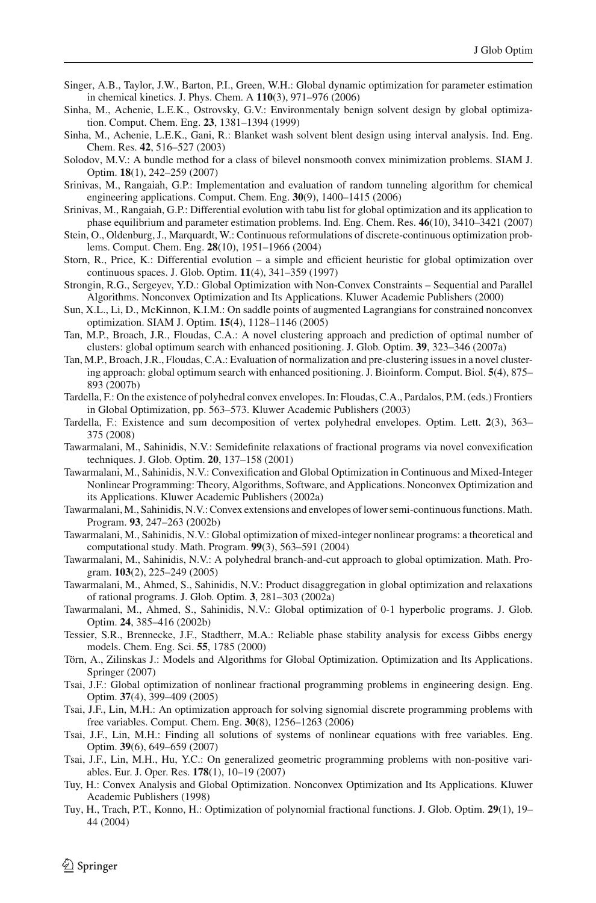- <span id="page-33-20"></span>Singer, A.B., Taylor, J.W., Barton, P.I., Green, W.H.: Global dynamic optimization for parameter estimation in chemical kinetics. J. Phys. Chem. A **110**(3), 971–976 (2006)
- <span id="page-33-23"></span>Sinha, M., Achenie, L.E.K., Ostrovsky, G.V.: Environmentaly benign solvent design by global optimization. Comput. Chem. Eng. **23**, 1381–1394 (1999)
- <span id="page-33-24"></span>Sinha, M., Achenie, L.E.K., Gani, R.: Blanket wash solvent blent design using interval analysis. Ind. Eng. Chem. Res. **42**, 516–527 (2003)
- <span id="page-33-28"></span>Solodov, M.V.: A bundle method for a class of bilevel nonsmooth convex minimization problems. SIAM J. Optim. **18**(1), 242–259 (2007)
- <span id="page-33-18"></span>Srinivas, M., Rangaiah, G.P.: Implementation and evaluation of random tunneling algorithm for chemical engineering applications. Comput. Chem. Eng. **30**(9), 1400–1415 (2006)
- <span id="page-33-19"></span>Srinivas, M., Rangaiah, G.P.: Differential evolution with tabu list for global optimization and its application to phase equilibrium and parameter estimation problems. Ind. Eng. Chem. Res. **46**(10), 3410–3421 (2007)
- <span id="page-33-27"></span>Stein, O., Oldenburg, J., Marquardt, W.: Continuous reformulations of discrete-continuous optimization problems. Comput. Chem. Eng. **28**(10), 1951–1966 (2004)
- <span id="page-33-16"></span>Storn, R., Price, K.: Differential evolution – a simple and efficient heuristic for global optimization over continuous spaces. J. Glob. Optim. **11**(4), 341–359 (1997)
- <span id="page-33-1"></span>Strongin, R.G., Sergeyev, Y.D.: Global Optimization with Non-Convex Constraints – Sequential and Parallel Algorithms. Nonconvex Optimization and Its Applications. Kluwer Academic Publishers (2000)
- <span id="page-33-12"></span>Sun, X.L., Li, D., McKinnon, K.I.M.: On saddle points of augmented Lagrangians for constrained nonconvex optimization. SIAM J. Optim. **15**(4), 1128–1146 (2005)
- <span id="page-33-25"></span>Tan, M.P., Broach, J.R., Floudas, C.A.: A novel clustering approach and prediction of optimal number of clusters: global optimum search with enhanced positioning. J. Glob. Optim. **39**, 323–346 (2007a)
- <span id="page-33-26"></span>Tan, M.P., Broach, J.R., Floudas, C.A.: Evaluation of normalization and pre-clustering issues in a novel clustering approach: global optimum search with enhanced positioning. J. Bioinform. Comput. Biol. **5**(4), 875– 893 (2007b)
- <span id="page-33-5"></span>Tardella, F.: On the existence of polyhedral convex envelopes. In: Floudas, C.A., Pardalos, P.M. (eds.) Frontiers in Global Optimization, pp. 563–573. Kluwer Academic Publishers (2003)
- <span id="page-33-6"></span>Tardella, F.: Existence and sum decomposition of vertex polyhedral envelopes. Optim. Lett. **2**(3), 363– 375 (2008)
- <span id="page-33-4"></span>Tawarmalani, M., Sahinidis, N.V.: Semidefinite relaxations of fractional programs via novel convexification techniques. J. Glob. Optim. **20**, 137–158 (2001)
- <span id="page-33-2"></span>Tawarmalani, M., Sahinidis, N.V.: Convexification and Global Optimization in Continuous and Mixed-Integer Nonlinear Programming: Theory, Algorithms, Software, and Applications. Nonconvex Optimization and its Applications. Kluwer Academic Publishers (2002a)
- <span id="page-33-8"></span>Tawarmalani, M., Sahinidis, N.V.: Convex extensions and envelopes of lower semi-continuous functions. Math. Program. **93**, 247–263 (2002b)
- <span id="page-33-21"></span>Tawarmalani, M., Sahinidis, N.V.: Global optimization of mixed-integer nonlinear programs: a theoretical and computational study. Math. Program. **99**(3), 563–591 (2004)
- <span id="page-33-22"></span>Tawarmalani, M., Sahinidis, N.V.: A polyhedral branch-and-cut approach to global optimization. Math. Program. **103**(2), 225–249 (2005)
- <span id="page-33-7"></span>Tawarmalani, M., Ahmed, S., Sahinidis, N.V.: Product disaggregation in global optimization and relaxations of rational programs. J. Glob. Optim. **3**, 281–303 (2002a)
- <span id="page-33-9"></span>Tawarmalani, M., Ahmed, S., Sahinidis, N.V.: Global optimization of 0-1 hyperbolic programs. J. Glob. Optim. **24**, 385–416 (2002b)
- <span id="page-33-17"></span>Tessier, S.R., Brennecke, J.F., Stadtherr, M.A.: Reliable phase stability analysis for excess Gibbs energy models. Chem. Eng. Sci. **55**, 1785 (2000)
- <span id="page-33-3"></span>Törn, A., Zilinskas J.: Models and Algorithms for Global Optimization. Optimization and Its Applications. Springer (2007)
- <span id="page-33-11"></span>Tsai, J.F.: Global optimization of nonlinear fractional programming problems in engineering design. Eng. Optim. **37**(4), 399–409 (2005)
- <span id="page-33-13"></span>Tsai, J.F., Lin, M.H.: An optimization approach for solving signomial discrete programming problems with free variables. Comput. Chem. Eng. **30**(8), 1256–1263 (2006)
- <span id="page-33-15"></span>Tsai, J.F., Lin, M.H.: Finding all solutions of systems of nonlinear equations with free variables. Eng. Optim. **39**(6), 649–659 (2007)
- <span id="page-33-14"></span>Tsai, J.F., Lin, M.H., Hu, Y.C.: On generalized geometric programming problems with non-positive variables. Eur. J. Oper. Res. **178**(1), 10–19 (2007)
- <span id="page-33-0"></span>Tuy, H.: Convex Analysis and Global Optimization. Nonconvex Optimization and Its Applications. Kluwer Academic Publishers (1998)
- <span id="page-33-10"></span>Tuy, H., Trach, P.T., Konno, H.: Optimization of polynomial fractional functions. J. Glob. Optim. **29**(1), 19– 44 (2004)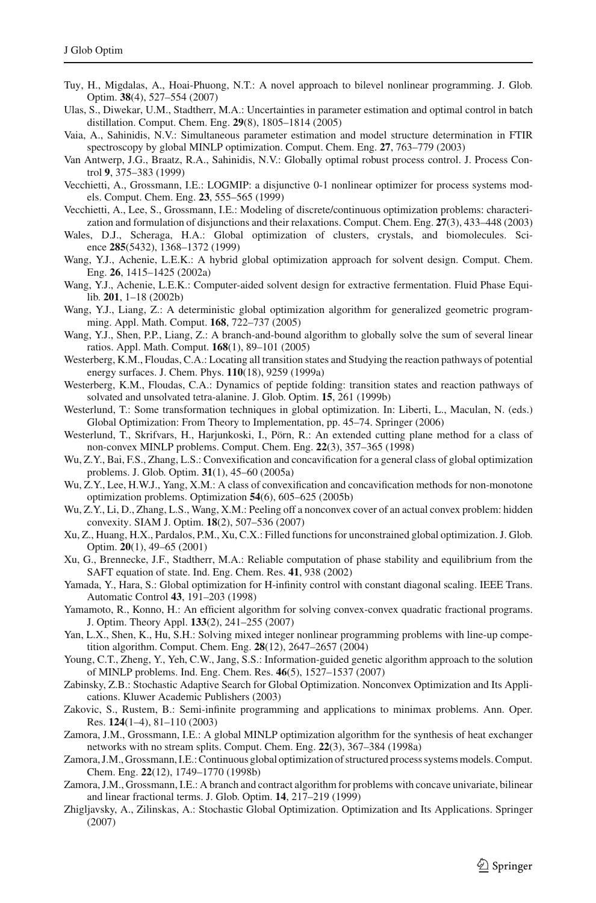- <span id="page-34-29"></span>Tuy, H., Migdalas, A., Hoai-Phuong, N.T.: A novel approach to bilevel nonlinear programming. J. Glob. Optim. **38**(4), 527–554 (2007)
- <span id="page-34-19"></span>Ulas, S., Diwekar, U.M., Stadtherr, M.A.: Uncertainties in parameter estimation and optimal control in batch distillation. Comput. Chem. Eng. **29**(8), 1805–1814 (2005)
- <span id="page-34-25"></span>Vaia, A., Sahinidis, N.V.: Simultaneous parameter estimation and model structure determination in FTIR spectroscopy by global MINLP optimization. Comput. Chem. Eng. **27**, 763–779 (2003)
- <span id="page-34-9"></span>Van Antwerp, J.G., Braatz, R.A., Sahinidis, N.V.: Globally optimal robust process control. J. Process Control **9**, 375–383 (1999)
- <span id="page-34-26"></span>Vecchietti, A., Grossmann, I.E.: LOGMIP: a disjunctive 0-1 nonlinear optimizer for process systems models. Comput. Chem. Eng. **23**, 555–565 (1999)
- <span id="page-34-27"></span>Vecchietti, A., Lee, S., Grossmann, I.E.: Modeling of discrete/continuous optimization problems: characterization and formulation of disjunctions and their relaxations. Comput. Chem. Eng. **27**(3), 433–448 (2003)
- <span id="page-34-17"></span>Wales, D.J., Scheraga, H.A.: Global optimization of clusters, crystals, and biomolecules. Science **285**(5432), 1368–1372 (1999)
- <span id="page-34-23"></span>Wang, Y.J., Achenie, L.E.K.: A hybrid global optimization approach for solvent design. Comput. Chem. Eng. **26**, 1415–1425 (2002a)
- <span id="page-34-24"></span>Wang, Y.J., Achenie, L.E.K.: Computer-aided solvent design for extractive fermentation. Fluid Phase Equilib. **201**, 1–18 (2002b)
- <span id="page-34-13"></span>Wang, Y.J., Liang, Z.: A deterministic global optimization algorithm for generalized geometric programming. Appl. Math. Comput. **168**, 722–737 (2005)
- <span id="page-34-10"></span>Wang, Y.J., Shen, P.P., Liang, Z.: A branch-and-bound algorithm to globally solve the sum of several linear ratios. Appl. Math. Comput. **168**(1), 89–101 (2005)
- <span id="page-34-15"></span>Westerberg, K.M., Floudas, C.A.: Locating all transition states and Studying the reaction pathways of potential energy surfaces. J. Chem. Phys. **110**(18), 9259 (1999a)
- <span id="page-34-16"></span>Westerberg, K.M., Floudas, C.A.: Dynamics of peptide folding: transition states and reaction pathways of solvated and unsolvated tetra-alanine. J. Glob. Optim. **15**, 261 (1999b)
- <span id="page-34-8"></span>Westerlund, T.: Some transformation techniques in global optimization. In: Liberti, L., Maculan, N. (eds.) Global Optimization: From Theory to Implementation, pp. 45–74. Springer (2006)
- <span id="page-34-20"></span>Westerlund, T., Skrifvars, H., Harjunkoski, I., Pörn, R.: An extended cutting plane method for a class of non-convex MINLP problems. Comput. Chem. Eng. **22**(3), 357–365 (1998)
- <span id="page-34-6"></span>Wu, Z.Y., Bai, F.S., Zhang, L.S.: Convexification and concavification for a general class of global optimization problems. J. Glob. Optim. **31**(1), 45–60 (2005a)
- <span id="page-34-7"></span>Wu, Z.Y., Lee, H.W.J., Yang, X.M.: A class of convexification and concavification methods for non-monotone optimization problems. Optimization **54**(6), 605–625 (2005b)
- <span id="page-34-5"></span>Wu, Z.Y., Li, D., Zhang, L.S., Wang, X.M.: Peeling off a nonconvex cover of an actual convex problem: hidden convexity. SIAM J. Optim. **18**(2), 507–536 (2007)
- <span id="page-34-12"></span>Xu, Z., Huang, H.X., Pardalos, P.M., Xu, C.X.: Filled functions for unconstrained global optimization. J. Glob. Optim. **20**(1), 49–65 (2001)
- <span id="page-34-18"></span>Xu, G., Brennecke, J.F., Stadtherr, M.A.: Reliable computation of phase stability and equilibrium from the SAFT equation of state. Ind. Eng. Chem. Res. **41**, 938 (2002)
- <span id="page-34-14"></span>Yamada, Y., Hara, S.: Global optimization for H-infinity control with constant diagonal scaling. IEEE Trans. Automatic Control **43**, 191–203 (1998)
- <span id="page-34-11"></span>Yamamoto, R., Konno, H.: An efficient algorithm for solving convex-convex quadratic fractional programs. J. Optim. Theory Appl. **133**(2), 241–255 (2007)
- <span id="page-34-21"></span>Yan, L.X., Shen, K., Hu, S.H.: Solving mixed integer nonlinear programming problems with line-up competition algorithm. Comput. Chem. Eng. **28**(12), 2647–2657 (2004)
- <span id="page-34-22"></span>Young, C.T., Zheng, Y., Yeh, C.W., Jang, S.S.: Information-guided genetic algorithm approach to the solution of MINLP problems. Ind. Eng. Chem. Res. **46**(5), 1527–1537 (2007)
- <span id="page-34-0"></span>Zabinsky, Z.B.: Stochastic Adaptive Search for Global Optimization. Nonconvex Optimization and Its Applications. Kluwer Academic Publishers (2003)
- <span id="page-34-28"></span>Zakovic, S., Rustem, B.: Semi-infinite programming and applications to minimax problems. Ann. Oper. Res. **124**(1–4), 81–110 (2003)
- <span id="page-34-2"></span>Zamora, J.M., Grossmann, I.E.: A global MINLP optimization algorithm for the synthesis of heat exchanger networks with no stream splits. Comput. Chem. Eng. **22**(3), 367–384 (1998a)
- <span id="page-34-3"></span>Zamora, J.M., Grossmann, I.E.: Continuous global optimization of structured process systems models. Comput. Chem. Eng. **22**(12), 1749–1770 (1998b)
- <span id="page-34-4"></span>Zamora, J.M., Grossmann, I.E.: A branch and contract algorithm for problems with concave univariate, bilinear and linear fractional terms. J. Glob. Optim. **14**, 217–219 (1999)
- <span id="page-34-1"></span>Zhigljavsky, A., Zilinskas, A.: Stochastic Global Optimization. Optimization and Its Applications. Springer (2007)